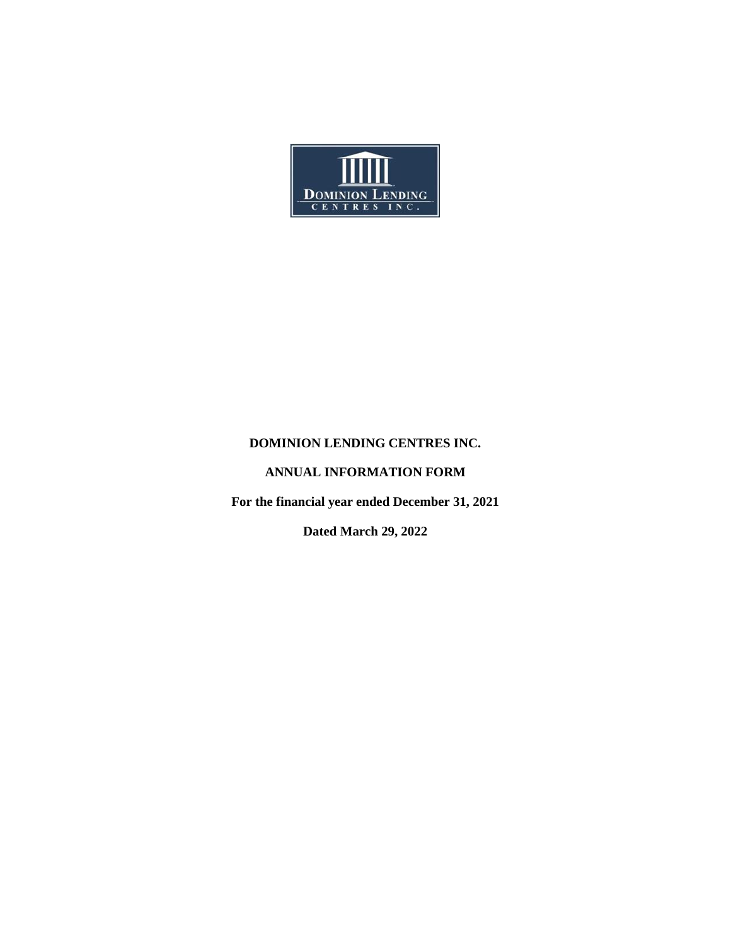

## **DOMINION LENDING CENTRES INC.**

# **ANNUAL INFORMATION FORM**

**For the financial year ended December 31, 2021**

**Dated March 29, 2022**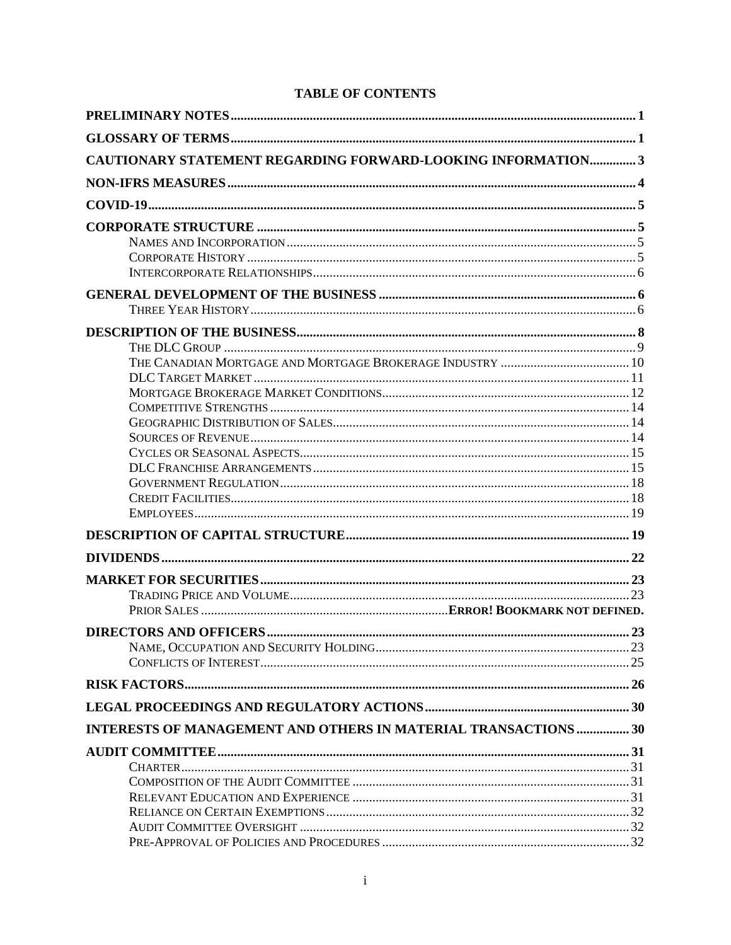| <b>CAUTIONARY STATEMENT REGARDING FORWARD-LOOKING INFORMATION3</b> |  |
|--------------------------------------------------------------------|--|
|                                                                    |  |
|                                                                    |  |
|                                                                    |  |
|                                                                    |  |
|                                                                    |  |
|                                                                    |  |
|                                                                    |  |
|                                                                    |  |
|                                                                    |  |
|                                                                    |  |
|                                                                    |  |
|                                                                    |  |
|                                                                    |  |
|                                                                    |  |
|                                                                    |  |
|                                                                    |  |
|                                                                    |  |
|                                                                    |  |
|                                                                    |  |
|                                                                    |  |
|                                                                    |  |
|                                                                    |  |
|                                                                    |  |
|                                                                    |  |
|                                                                    |  |
|                                                                    |  |
|                                                                    |  |
|                                                                    |  |
|                                                                    |  |
|                                                                    |  |
| INTERESTS OF MANAGEMENT AND OTHERS IN MATERIAL TRANSACTIONS  30    |  |
|                                                                    |  |
|                                                                    |  |
|                                                                    |  |
|                                                                    |  |
|                                                                    |  |
|                                                                    |  |
|                                                                    |  |

# **TABLE OF CONTENTS**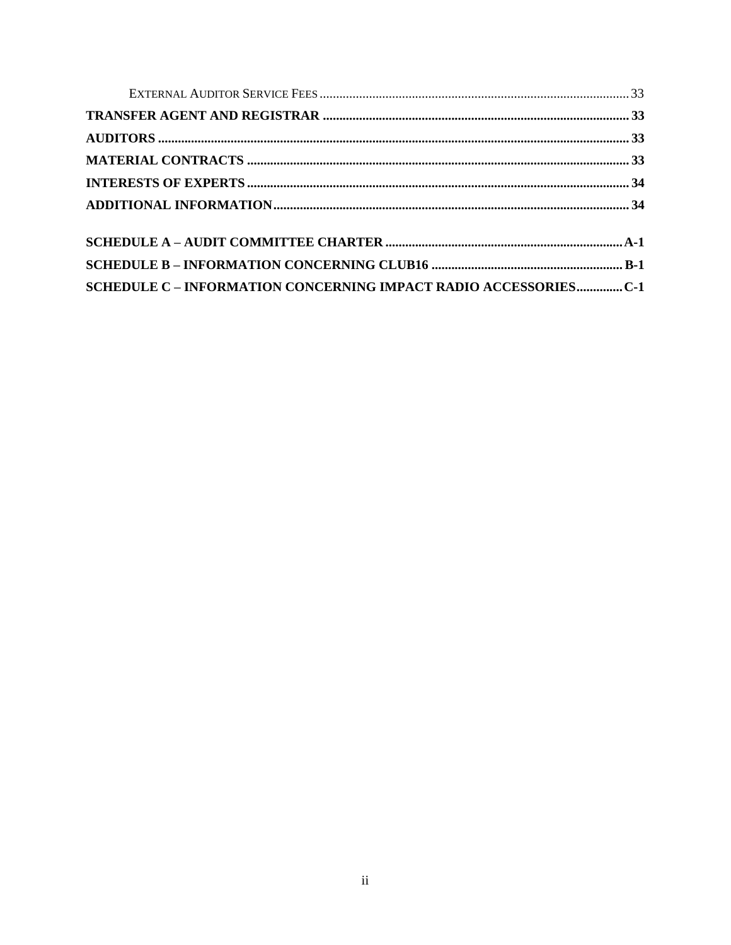| SCHEDULE C - INFORMATION CONCERNING IMPACT RADIO ACCESSORIESC-1 |  |
|-----------------------------------------------------------------|--|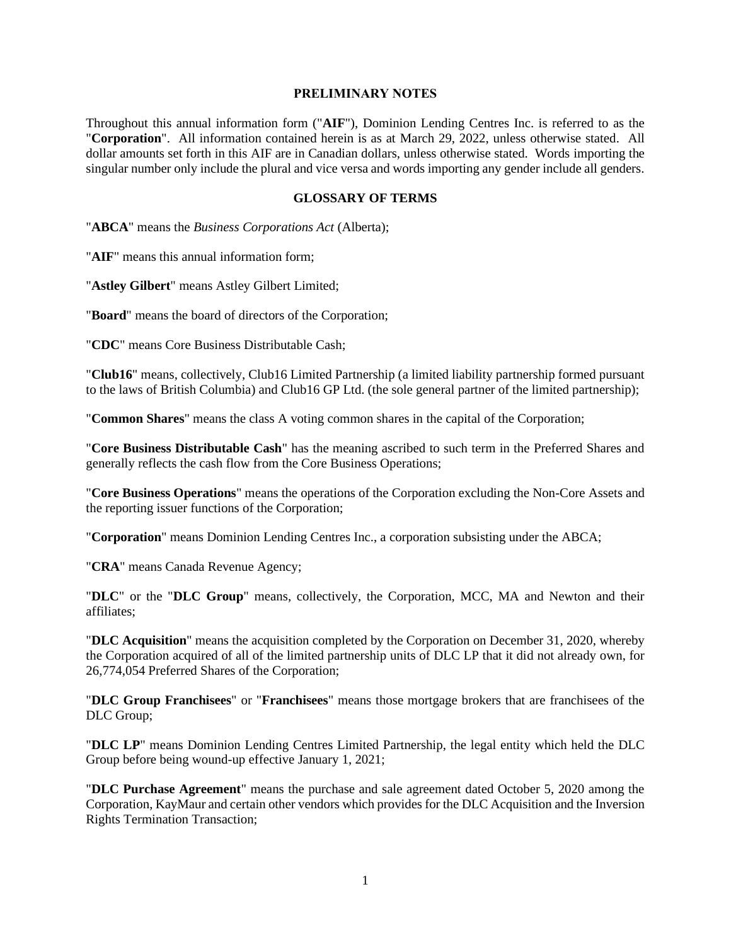#### **PRELIMINARY NOTES**

<span id="page-3-0"></span>Throughout this annual information form ("**AIF**"), Dominion Lending Centres Inc. is referred to as the "**Corporation**". All information contained herein is as at March 29, 2022, unless otherwise stated. All dollar amounts set forth in this AIF are in Canadian dollars, unless otherwise stated. Words importing the singular number only include the plural and vice versa and words importing any gender include all genders.

#### **GLOSSARY OF TERMS**

<span id="page-3-1"></span>"**ABCA**" means the *Business Corporations Act* (Alberta);

"**AIF**" means this annual information form;

"**Astley Gilbert**" means Astley Gilbert Limited;

"**Board**" means the board of directors of the Corporation;

"**CDC**" means Core Business Distributable Cash;

"**Club16**" means, collectively, Club16 Limited Partnership (a limited liability partnership formed pursuant to the laws of British Columbia) and Club16 GP Ltd. (the sole general partner of the limited partnership);

"**Common Shares**" means the class A voting common shares in the capital of the Corporation;

"**Core Business Distributable Cash**" has the meaning ascribed to such term in the Preferred Shares and generally reflects the cash flow from the Core Business Operations;

"**Core Business Operations**" means the operations of the Corporation excluding the Non-Core Assets and the reporting issuer functions of the Corporation;

"**Corporation**" means Dominion Lending Centres Inc., a corporation subsisting under the ABCA;

"**CRA**" means Canada Revenue Agency;

"**DLC**" or the "**DLC Group**" means, collectively, the Corporation, MCC, MA and Newton and their affiliates;

"**DLC Acquisition**" means the acquisition completed by the Corporation on December 31, 2020, whereby the Corporation acquired of all of the limited partnership units of DLC LP that it did not already own, for 26,774,054 Preferred Shares of the Corporation;

"**DLC Group Franchisees**" or "**Franchisees**" means those mortgage brokers that are franchisees of the DLC Group;

"**DLC LP**" means Dominion Lending Centres Limited Partnership, the legal entity which held the DLC Group before being wound-up effective January 1, 2021;

"**DLC Purchase Agreement**" means the purchase and sale agreement dated October 5, 2020 among the Corporation, KayMaur and certain other vendors which provides for the DLC Acquisition and the Inversion Rights Termination Transaction;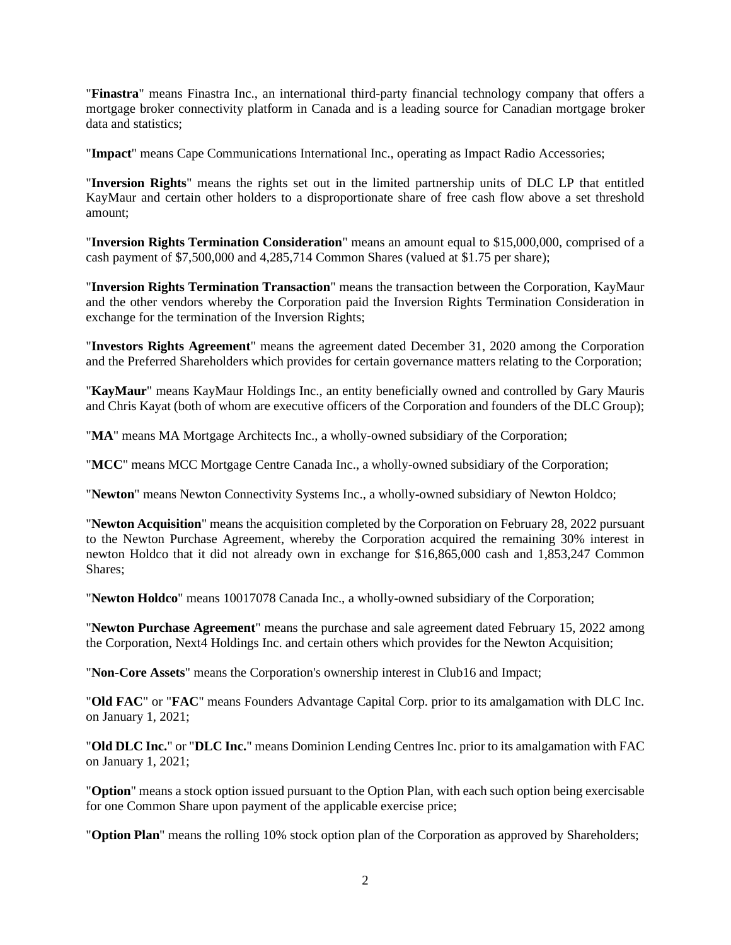"**Finastra**" means Finastra Inc., an international third-party financial technology company that offers a mortgage broker connectivity platform in Canada and is a leading source for Canadian mortgage broker data and statistics;

"**Impact**" means Cape Communications International Inc., operating as Impact Radio Accessories;

"**Inversion Rights**" means the rights set out in the limited partnership units of DLC LP that entitled KayMaur and certain other holders to a disproportionate share of free cash flow above a set threshold amount;

"**Inversion Rights Termination Consideration**" means an amount equal to \$15,000,000, comprised of a cash payment of \$7,500,000 and 4,285,714 Common Shares (valued at \$1.75 per share);

"**Inversion Rights Termination Transaction**" means the transaction between the Corporation, KayMaur and the other vendors whereby the Corporation paid the Inversion Rights Termination Consideration in exchange for the termination of the Inversion Rights;

"**Investors Rights Agreement**" means the agreement dated December 31, 2020 among the Corporation and the Preferred Shareholders which provides for certain governance matters relating to the Corporation;

"**KayMaur**" means KayMaur Holdings Inc., an entity beneficially owned and controlled by Gary Mauris and Chris Kayat (both of whom are executive officers of the Corporation and founders of the DLC Group);

"**MA**" means MA Mortgage Architects Inc., a wholly-owned subsidiary of the Corporation;

"**MCC**" means MCC Mortgage Centre Canada Inc., a wholly-owned subsidiary of the Corporation;

"**Newton**" means Newton Connectivity Systems Inc., a wholly-owned subsidiary of Newton Holdco;

"**Newton Acquisition**" means the acquisition completed by the Corporation on February 28, 2022 pursuant to the Newton Purchase Agreement, whereby the Corporation acquired the remaining 30% interest in newton Holdco that it did not already own in exchange for \$16,865,000 cash and 1,853,247 Common Shares;

"**Newton Holdco**" means 10017078 Canada Inc., a wholly-owned subsidiary of the Corporation;

"**Newton Purchase Agreement**" means the purchase and sale agreement dated February 15, 2022 among the Corporation, Next4 Holdings Inc. and certain others which provides for the Newton Acquisition;

"**Non-Core Assets**" means the Corporation's ownership interest in Club16 and Impact;

"**Old FAC**" or "**FAC**" means Founders Advantage Capital Corp. prior to its amalgamation with DLC Inc. on January 1, 2021;

"**Old DLC Inc.**" or "**DLC Inc.**" means Dominion Lending Centres Inc. prior to its amalgamation with FAC on January 1, 2021;

"**Option**" means a stock option issued pursuant to the Option Plan, with each such option being exercisable for one Common Share upon payment of the applicable exercise price;

"**Option Plan**" means the rolling 10% stock option plan of the Corporation as approved by Shareholders;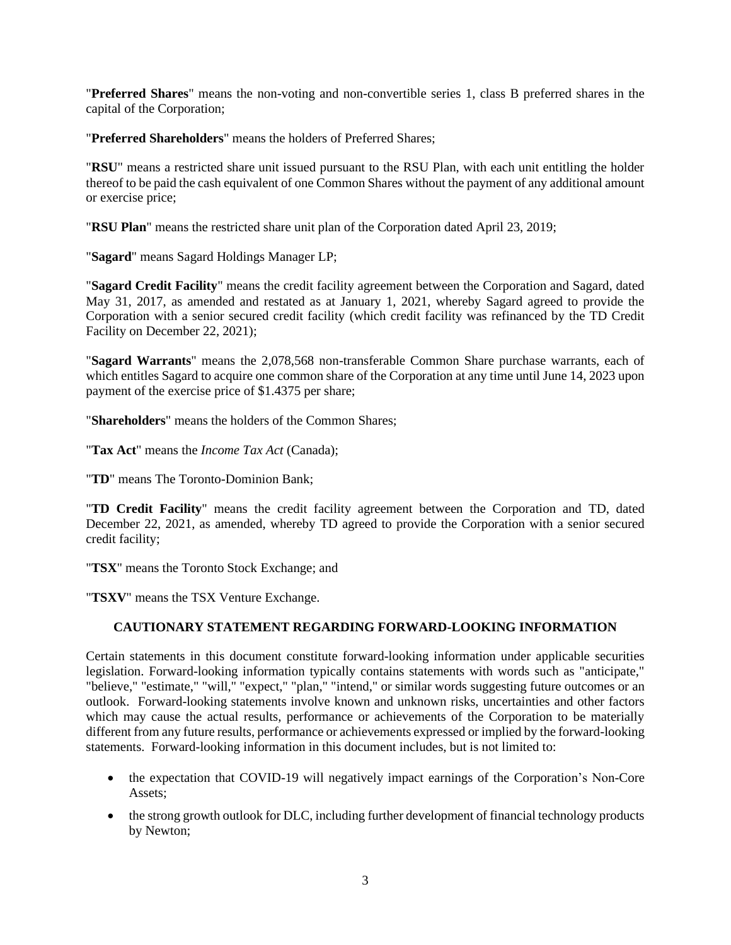"**Preferred Shares**" means the non-voting and non-convertible series 1, class B preferred shares in the capital of the Corporation;

"**Preferred Shareholders**" means the holders of Preferred Shares;

"**RSU**" means a restricted share unit issued pursuant to the RSU Plan, with each unit entitling the holder thereof to be paid the cash equivalent of one Common Shares without the payment of any additional amount or exercise price;

"**RSU Plan**" means the restricted share unit plan of the Corporation dated April 23, 2019;

"**Sagard**" means Sagard Holdings Manager LP;

"**Sagard Credit Facility**" means the credit facility agreement between the Corporation and Sagard, dated May 31, 2017, as amended and restated as at January 1, 2021, whereby Sagard agreed to provide the Corporation with a senior secured credit facility (which credit facility was refinanced by the TD Credit Facility on December 22, 2021);

"**Sagard Warrants**" means the 2,078,568 non-transferable Common Share purchase warrants, each of which entitles Sagard to acquire one common share of the Corporation at any time until June 14, 2023 upon payment of the exercise price of \$1.4375 per share;

"**Shareholders**" means the holders of the Common Shares;

"**Tax Act**" means the *Income Tax Act* (Canada);

"**TD**" means The Toronto-Dominion Bank;

"**TD Credit Facility**" means the credit facility agreement between the Corporation and TD, dated December 22, 2021, as amended, whereby TD agreed to provide the Corporation with a senior secured credit facility;

"**TSX**" means the Toronto Stock Exchange; and

<span id="page-5-0"></span>"**TSXV**" means the TSX Venture Exchange.

## **CAUTIONARY STATEMENT REGARDING FORWARD-LOOKING INFORMATION**

Certain statements in this document constitute forward-looking information under applicable securities legislation. Forward-looking information typically contains statements with words such as "anticipate," "believe," "estimate," "will," "expect," "plan," "intend," or similar words suggesting future outcomes or an outlook. Forward-looking statements involve known and unknown risks, uncertainties and other factors which may cause the actual results, performance or achievements of the Corporation to be materially different from any future results, performance or achievements expressed or implied by the forward-looking statements. Forward-looking information in this document includes, but is not limited to:

- the expectation that COVID-19 will negatively impact earnings of the Corporation's Non-Core Assets;
- the strong growth outlook for DLC, including further development of financial technology products by Newton;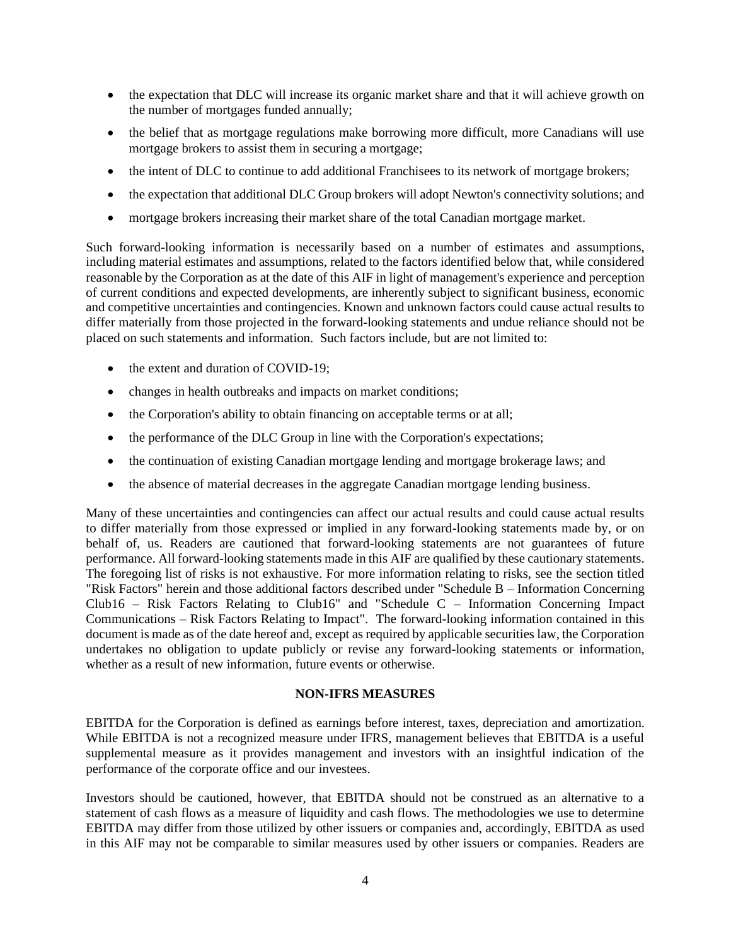- the expectation that DLC will increase its organic market share and that it will achieve growth on the number of mortgages funded annually;
- the belief that as mortgage regulations make borrowing more difficult, more Canadians will use mortgage brokers to assist them in securing a mortgage;
- the intent of DLC to continue to add additional Franchisees to its network of mortgage brokers;
- the expectation that additional DLC Group brokers will adopt Newton's connectivity solutions; and
- mortgage brokers increasing their market share of the total Canadian mortgage market.

Such forward-looking information is necessarily based on a number of estimates and assumptions, including material estimates and assumptions, related to the factors identified below that, while considered reasonable by the Corporation as at the date of this AIF in light of management's experience and perception of current conditions and expected developments, are inherently subject to significant business, economic and competitive uncertainties and contingencies. Known and unknown factors could cause actual results to differ materially from those projected in the forward-looking statements and undue reliance should not be placed on such statements and information. Such factors include, but are not limited to:

- the extent and duration of COVID-19;
- changes in health outbreaks and impacts on market conditions;
- the Corporation's ability to obtain financing on acceptable terms or at all;
- the performance of the DLC Group in line with the Corporation's expectations;
- the continuation of existing Canadian mortgage lending and mortgage brokerage laws; and
- the absence of material decreases in the aggregate Canadian mortgage lending business.

Many of these uncertainties and contingencies can affect our actual results and could cause actual results to differ materially from those expressed or implied in any forward-looking statements made by, or on behalf of, us. Readers are cautioned that forward-looking statements are not guarantees of future performance. All forward-looking statements made in this AIF are qualified by these cautionary statements. The foregoing list of risks is not exhaustive. For more information relating to risks, see the section titled "Risk Factors" herein and those additional factors described under "Schedule B – Information Concerning Club16 – Risk Factors Relating to Club16" and "Schedule C – Information Concerning Impact Communications – Risk Factors Relating to Impact". The forward-looking information contained in this document is made as of the date hereof and, except as required by applicable securities law, the Corporation undertakes no obligation to update publicly or revise any forward-looking statements or information, whether as a result of new information, future events or otherwise.

#### **NON-IFRS MEASURES**

<span id="page-6-0"></span>EBITDA for the Corporation is defined as earnings before interest, taxes, depreciation and amortization. While EBITDA is not a recognized measure under IFRS, management believes that EBITDA is a useful supplemental measure as it provides management and investors with an insightful indication of the performance of the corporate office and our investees.

Investors should be cautioned, however, that EBITDA should not be construed as an alternative to a statement of cash flows as a measure of liquidity and cash flows. The methodologies we use to determine EBITDA may differ from those utilized by other issuers or companies and, accordingly, EBITDA as used in this AIF may not be comparable to similar measures used by other issuers or companies. Readers are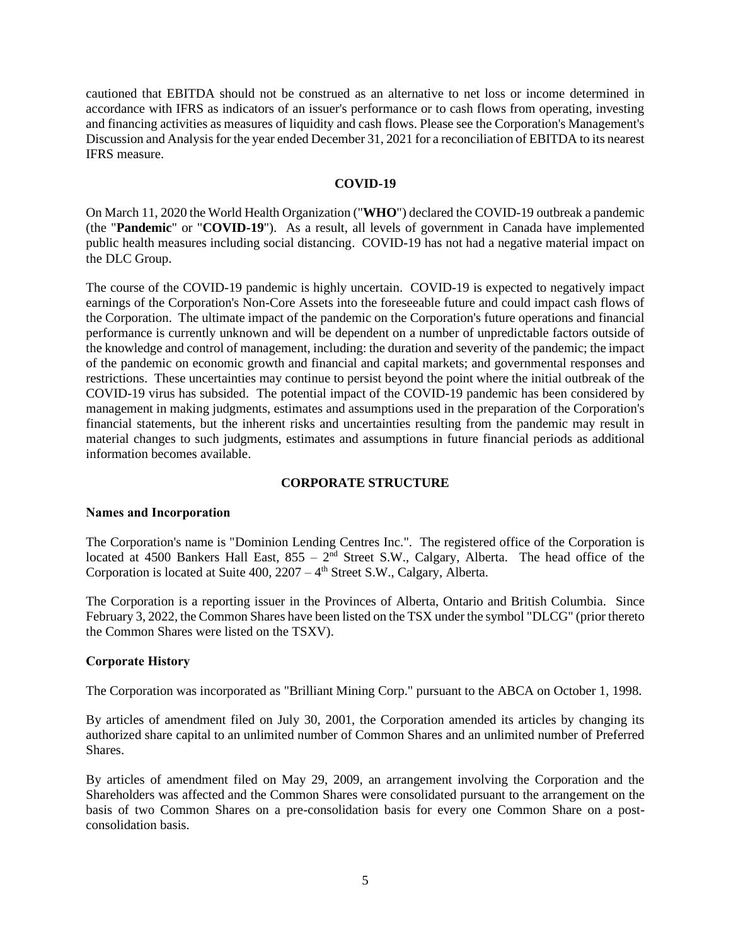cautioned that EBITDA should not be construed as an alternative to net loss or income determined in accordance with IFRS as indicators of an issuer's performance or to cash flows from operating, investing and financing activities as measures of liquidity and cash flows. Please see the Corporation's Management's Discussion and Analysis for the year ended December 31, 2021 for a reconciliation of EBITDA to its nearest IFRS measure.

### **COVID-19**

<span id="page-7-0"></span>On March 11, 2020 the World Health Organization ("**WHO**") declared the COVID-19 outbreak a pandemic (the "**Pandemic**" or "**COVID-19**"). As a result, all levels of government in Canada have implemented public health measures including social distancing. COVID-19 has not had a negative material impact on the DLC Group.

The course of the COVID-19 pandemic is highly uncertain. COVID-19 is expected to negatively impact earnings of the Corporation's Non-Core Assets into the foreseeable future and could impact cash flows of the Corporation. The ultimate impact of the pandemic on the Corporation's future operations and financial performance is currently unknown and will be dependent on a number of unpredictable factors outside of the knowledge and control of management, including: the duration and severity of the pandemic; the impact of the pandemic on economic growth and financial and capital markets; and governmental responses and restrictions. These uncertainties may continue to persist beyond the point where the initial outbreak of the COVID-19 virus has subsided. The potential impact of the COVID-19 pandemic has been considered by management in making judgments, estimates and assumptions used in the preparation of the Corporation's financial statements, but the inherent risks and uncertainties resulting from the pandemic may result in material changes to such judgments, estimates and assumptions in future financial periods as additional information becomes available.

## **CORPORATE STRUCTURE**

#### <span id="page-7-2"></span><span id="page-7-1"></span>**Names and Incorporation**

The Corporation's name is "Dominion Lending Centres Inc.". The registered office of the Corporation is located at 4500 Bankers Hall East,  $855 - 2<sup>nd</sup>$  Street S.W., Calgary, Alberta. The head office of the Corporation is located at Suite  $400$ ,  $2207 - 4$ <sup>th</sup> Street S.W., Calgary, Alberta.

The Corporation is a reporting issuer in the Provinces of Alberta, Ontario and British Columbia. Since February 3, 2022, the Common Shares have been listed on the TSX under the symbol "DLCG" (prior thereto the Common Shares were listed on the TSXV).

#### <span id="page-7-3"></span>**Corporate History**

The Corporation was incorporated as "Brilliant Mining Corp." pursuant to the ABCA on October 1, 1998.

By articles of amendment filed on July 30, 2001, the Corporation amended its articles by changing its authorized share capital to an unlimited number of Common Shares and an unlimited number of Preferred Shares.

By articles of amendment filed on May 29, 2009, an arrangement involving the Corporation and the Shareholders was affected and the Common Shares were consolidated pursuant to the arrangement on the basis of two Common Shares on a pre-consolidation basis for every one Common Share on a postconsolidation basis.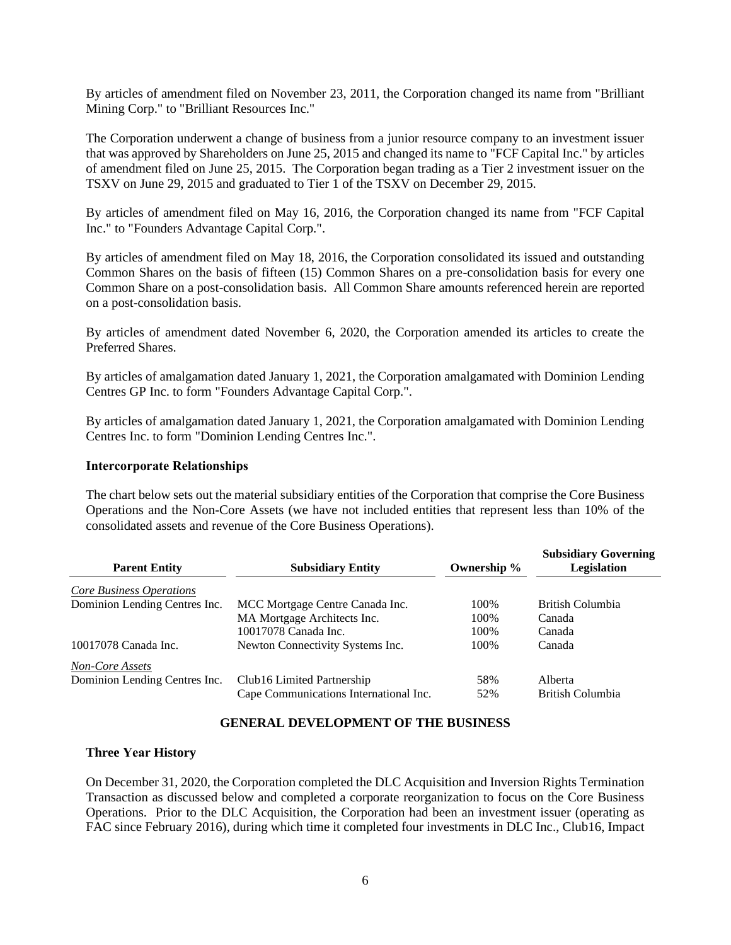By articles of amendment filed on November 23, 2011, the Corporation changed its name from "Brilliant Mining Corp." to "Brilliant Resources Inc."

The Corporation underwent a change of business from a junior resource company to an investment issuer that was approved by Shareholders on June 25, 2015 and changed its name to "FCF Capital Inc." by articles of amendment filed on June 25, 2015. The Corporation began trading as a Tier 2 investment issuer on the TSXV on June 29, 2015 and graduated to Tier 1 of the TSXV on December 29, 2015.

By articles of amendment filed on May 16, 2016, the Corporation changed its name from "FCF Capital Inc." to "Founders Advantage Capital Corp.".

By articles of amendment filed on May 18, 2016, the Corporation consolidated its issued and outstanding Common Shares on the basis of fifteen (15) Common Shares on a pre-consolidation basis for every one Common Share on a post-consolidation basis. All Common Share amounts referenced herein are reported on a post-consolidation basis.

By articles of amendment dated November 6, 2020, the Corporation amended its articles to create the Preferred Shares.

By articles of amalgamation dated January 1, 2021, the Corporation amalgamated with Dominion Lending Centres GP Inc. to form "Founders Advantage Capital Corp.".

By articles of amalgamation dated January 1, 2021, the Corporation amalgamated with Dominion Lending Centres Inc. to form "Dominion Lending Centres Inc.".

#### <span id="page-8-0"></span>**Intercorporate Relationships**

The chart below sets out the material subsidiary entities of the Corporation that comprise the Core Business Operations and the Non-Core Assets (we have not included entities that represent less than 10% of the consolidated assets and revenue of the Core Business Operations).

| <b>Parent Entity</b>            | <b>Subsidiary Entity</b>               | Ownership % | <b>Subsidiary Governing</b><br>Legislation |
|---------------------------------|----------------------------------------|-------------|--------------------------------------------|
| <b>Core Business Operations</b> |                                        |             |                                            |
| Dominion Lending Centres Inc.   | MCC Mortgage Centre Canada Inc.        | 100%        | British Columbia                           |
|                                 | MA Mortgage Architects Inc.            | 100%        | Canada                                     |
|                                 | 10017078 Canada Inc.                   | 100\%       | Canada                                     |
| 10017078 Canada Inc.            | Newton Connectivity Systems Inc.       | 100\%       | Canada                                     |
| <b>Non-Core Assets</b>          |                                        |             |                                            |
| Dominion Lending Centres Inc.   | Club16 Limited Partnership             | 58%         | Alberta                                    |
|                                 | Cape Communications International Inc. | 52%         | British Columbia                           |

#### **GENERAL DEVELOPMENT OF THE BUSINESS**

#### <span id="page-8-2"></span><span id="page-8-1"></span>**Three Year History**

On December 31, 2020, the Corporation completed the DLC Acquisition and Inversion Rights Termination Transaction as discussed below and completed a corporate reorganization to focus on the Core Business Operations. Prior to the DLC Acquisition, the Corporation had been an investment issuer (operating as FAC since February 2016), during which time it completed four investments in DLC Inc., Club16, Impact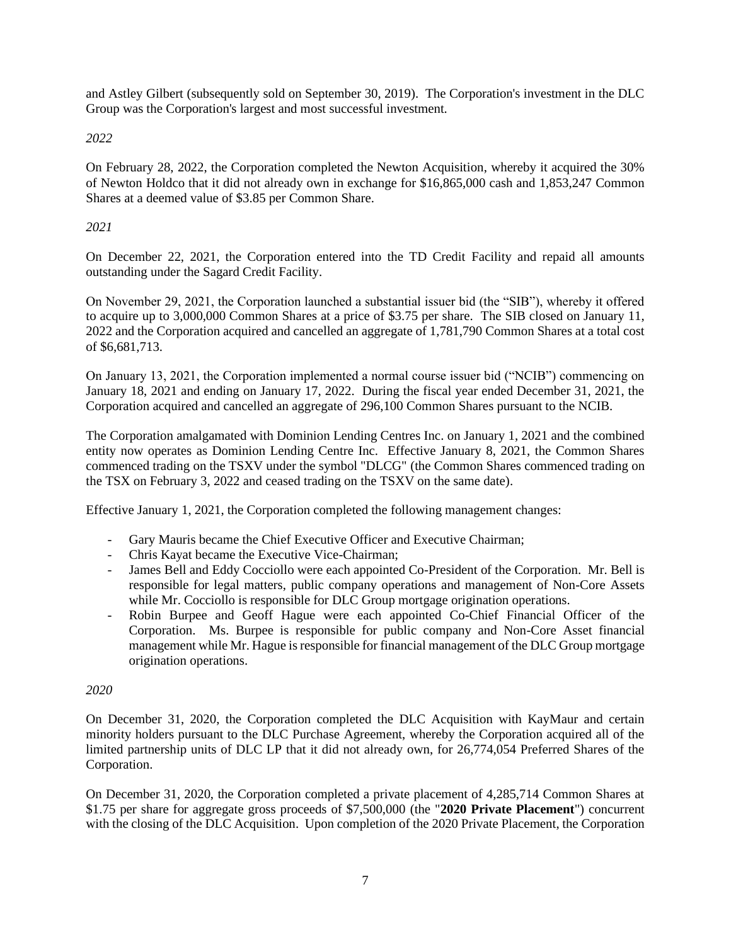and Astley Gilbert (subsequently sold on September 30, 2019). The Corporation's investment in the DLC Group was the Corporation's largest and most successful investment.

# *2022*

On February 28, 2022, the Corporation completed the Newton Acquisition, whereby it acquired the 30% of Newton Holdco that it did not already own in exchange for \$16,865,000 cash and 1,853,247 Common Shares at a deemed value of \$3.85 per Common Share.

# *2021*

On December 22, 2021, the Corporation entered into the TD Credit Facility and repaid all amounts outstanding under the Sagard Credit Facility.

On November 29, 2021, the Corporation launched a substantial issuer bid (the "SIB"), whereby it offered to acquire up to 3,000,000 Common Shares at a price of \$3.75 per share. The SIB closed on January 11, 2022 and the Corporation acquired and cancelled an aggregate of 1,781,790 Common Shares at a total cost of \$6,681,713.

On January 13, 2021, the Corporation implemented a normal course issuer bid ("NCIB") commencing on January 18, 2021 and ending on January 17, 2022. During the fiscal year ended December 31, 2021, the Corporation acquired and cancelled an aggregate of 296,100 Common Shares pursuant to the NCIB.

The Corporation amalgamated with Dominion Lending Centres Inc. on January 1, 2021 and the combined entity now operates as Dominion Lending Centre Inc. Effective January 8, 2021, the Common Shares commenced trading on the TSXV under the symbol "DLCG" (the Common Shares commenced trading on the TSX on February 3, 2022 and ceased trading on the TSXV on the same date).

Effective January 1, 2021, the Corporation completed the following management changes:

- Gary Mauris became the Chief Executive Officer and Executive Chairman;
- Chris Kayat became the Executive Vice-Chairman;
- James Bell and Eddy Cocciollo were each appointed Co-President of the Corporation. Mr. Bell is responsible for legal matters, public company operations and management of Non-Core Assets while Mr. Cocciollo is responsible for DLC Group mortgage origination operations.
- Robin Burpee and Geoff Hague were each appointed Co-Chief Financial Officer of the Corporation. Ms. Burpee is responsible for public company and Non-Core Asset financial management while Mr. Hague is responsible for financial management of the DLC Group mortgage origination operations.

# *2020*

On December 31, 2020, the Corporation completed the DLC Acquisition with KayMaur and certain minority holders pursuant to the DLC Purchase Agreement, whereby the Corporation acquired all of the limited partnership units of DLC LP that it did not already own, for 26,774,054 Preferred Shares of the Corporation.

On December 31, 2020, the Corporation completed a private placement of 4,285,714 Common Shares at \$1.75 per share for aggregate gross proceeds of \$7,500,000 (the "**2020 Private Placement**") concurrent with the closing of the DLC Acquisition. Upon completion of the 2020 Private Placement, the Corporation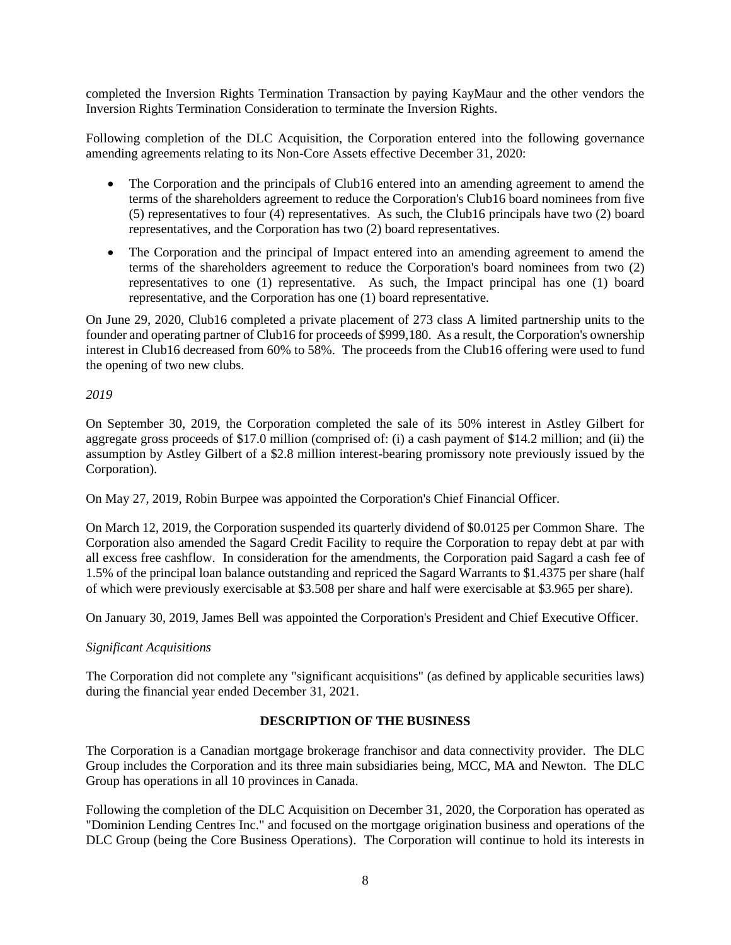completed the Inversion Rights Termination Transaction by paying KayMaur and the other vendors the Inversion Rights Termination Consideration to terminate the Inversion Rights.

Following completion of the DLC Acquisition, the Corporation entered into the following governance amending agreements relating to its Non-Core Assets effective December 31, 2020:

- The Corporation and the principals of Club16 entered into an amending agreement to amend the terms of the shareholders agreement to reduce the Corporation's Club16 board nominees from five (5) representatives to four (4) representatives. As such, the Club16 principals have two (2) board representatives, and the Corporation has two (2) board representatives.
- The Corporation and the principal of Impact entered into an amending agreement to amend the terms of the shareholders agreement to reduce the Corporation's board nominees from two (2) representatives to one (1) representative. As such, the Impact principal has one (1) board representative, and the Corporation has one (1) board representative.

On June 29, 2020, Club16 completed a private placement of 273 class A limited partnership units to the founder and operating partner of Club16 for proceeds of \$999,180. As a result, the Corporation's ownership interest in Club16 decreased from 60% to 58%. The proceeds from the Club16 offering were used to fund the opening of two new clubs.

## *2019*

On September 30, 2019, the Corporation completed the sale of its 50% interest in Astley Gilbert for aggregate gross proceeds of \$17.0 million (comprised of: (i) a cash payment of \$14.2 million; and (ii) the assumption by Astley Gilbert of a \$2.8 million interest-bearing promissory note previously issued by the Corporation).

On May 27, 2019, Robin Burpee was appointed the Corporation's Chief Financial Officer.

On March 12, 2019, the Corporation suspended its quarterly dividend of \$0.0125 per Common Share. The Corporation also amended the Sagard Credit Facility to require the Corporation to repay debt at par with all excess free cashflow. In consideration for the amendments, the Corporation paid Sagard a cash fee of 1.5% of the principal loan balance outstanding and repriced the Sagard Warrants to \$1.4375 per share (half of which were previously exercisable at \$3.508 per share and half were exercisable at \$3.965 per share).

On January 30, 2019, James Bell was appointed the Corporation's President and Chief Executive Officer.

## *Significant Acquisitions*

The Corporation did not complete any "significant acquisitions" (as defined by applicable securities laws) during the financial year ended December 31, 2021.

# **DESCRIPTION OF THE BUSINESS**

<span id="page-10-0"></span>The Corporation is a Canadian mortgage brokerage franchisor and data connectivity provider. The DLC Group includes the Corporation and its three main subsidiaries being, MCC, MA and Newton. The DLC Group has operations in all 10 provinces in Canada.

Following the completion of the DLC Acquisition on December 31, 2020, the Corporation has operated as "Dominion Lending Centres Inc." and focused on the mortgage origination business and operations of the DLC Group (being the Core Business Operations). The Corporation will continue to hold its interests in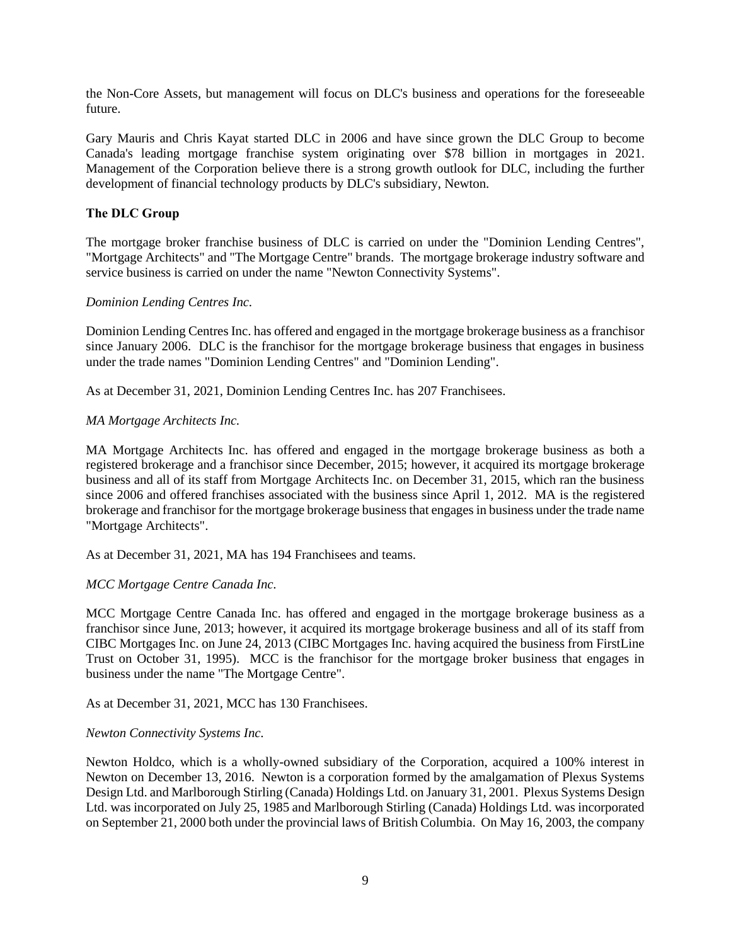the Non-Core Assets, but management will focus on DLC's business and operations for the foreseeable future.

Gary Mauris and Chris Kayat started DLC in 2006 and have since grown the DLC Group to become Canada's leading mortgage franchise system originating over \$78 billion in mortgages in 2021. Management of the Corporation believe there is a strong growth outlook for DLC, including the further development of financial technology products by DLC's subsidiary, Newton.

## <span id="page-11-0"></span>**The DLC Group**

The mortgage broker franchise business of DLC is carried on under the "Dominion Lending Centres", "Mortgage Architects" and "The Mortgage Centre" brands. The mortgage brokerage industry software and service business is carried on under the name "Newton Connectivity Systems".

## *Dominion Lending Centres Inc.*

Dominion Lending Centres Inc. has offered and engaged in the mortgage brokerage business as a franchisor since January 2006. DLC is the franchisor for the mortgage brokerage business that engages in business under the trade names "Dominion Lending Centres" and "Dominion Lending".

As at December 31, 2021, Dominion Lending Centres Inc. has 207 Franchisees.

### *MA Mortgage Architects Inc.*

MA Mortgage Architects Inc. has offered and engaged in the mortgage brokerage business as both a registered brokerage and a franchisor since December, 2015; however, it acquired its mortgage brokerage business and all of its staff from Mortgage Architects Inc. on December 31, 2015, which ran the business since 2006 and offered franchises associated with the business since April 1, 2012. MA is the registered brokerage and franchisor for the mortgage brokerage business that engages in business under the trade name "Mortgage Architects".

As at December 31, 2021, MA has 194 Franchisees and teams.

## *MCC Mortgage Centre Canada Inc.*

MCC Mortgage Centre Canada Inc. has offered and engaged in the mortgage brokerage business as a franchisor since June, 2013; however, it acquired its mortgage brokerage business and all of its staff from CIBC Mortgages Inc. on June 24, 2013 (CIBC Mortgages Inc. having acquired the business from FirstLine Trust on October 31, 1995). MCC is the franchisor for the mortgage broker business that engages in business under the name "The Mortgage Centre".

As at December 31, 2021, MCC has 130 Franchisees.

#### *Newton Connectivity Systems Inc.*

Newton Holdco, which is a wholly-owned subsidiary of the Corporation, acquired a 100% interest in Newton on December 13, 2016. Newton is a corporation formed by the amalgamation of Plexus Systems Design Ltd. and Marlborough Stirling (Canada) Holdings Ltd. on January 31, 2001. Plexus Systems Design Ltd. was incorporated on July 25, 1985 and Marlborough Stirling (Canada) Holdings Ltd. was incorporated on September 21, 2000 both under the provincial laws of British Columbia. On May 16, 2003, the company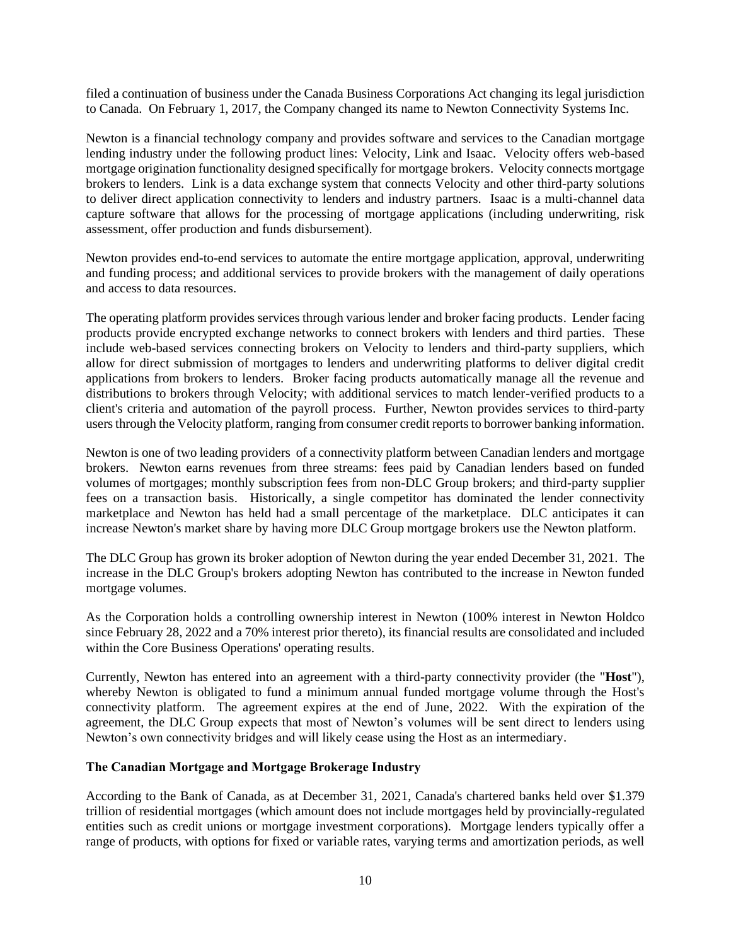filed a continuation of business under the Canada Business Corporations Act changing its legal jurisdiction to Canada. On February 1, 2017, the Company changed its name to Newton Connectivity Systems Inc.

Newton is a financial technology company and provides software and services to the Canadian mortgage lending industry under the following product lines: Velocity, Link and Isaac. Velocity offers web-based mortgage origination functionality designed specifically for mortgage brokers. Velocity connects mortgage brokers to lenders. Link is a data exchange system that connects Velocity and other third-party solutions to deliver direct application connectivity to lenders and industry partners. Isaac is a multi-channel data capture software that allows for the processing of mortgage applications (including underwriting, risk assessment, offer production and funds disbursement).

Newton provides end-to-end services to automate the entire mortgage application, approval, underwriting and funding process; and additional services to provide brokers with the management of daily operations and access to data resources.

The operating platform provides services through various lender and broker facing products. Lender facing products provide encrypted exchange networks to connect brokers with lenders and third parties. These include web-based services connecting brokers on Velocity to lenders and third-party suppliers, which allow for direct submission of mortgages to lenders and underwriting platforms to deliver digital credit applications from brokers to lenders. Broker facing products automatically manage all the revenue and distributions to brokers through Velocity; with additional services to match lender-verified products to a client's criteria and automation of the payroll process. Further, Newton provides services to third-party users through the Velocity platform, ranging from consumer credit reports to borrower banking information.

Newton is one of two leading providers of a connectivity platform between Canadian lenders and mortgage brokers. Newton earns revenues from three streams: fees paid by Canadian lenders based on funded volumes of mortgages; monthly subscription fees from non-DLC Group brokers; and third-party supplier fees on a transaction basis. Historically, a single competitor has dominated the lender connectivity marketplace and Newton has held had a small percentage of the marketplace. DLC anticipates it can increase Newton's market share by having more DLC Group mortgage brokers use the Newton platform.

The DLC Group has grown its broker adoption of Newton during the year ended December 31, 2021. The increase in the DLC Group's brokers adopting Newton has contributed to the increase in Newton funded mortgage volumes.

As the Corporation holds a controlling ownership interest in Newton (100% interest in Newton Holdco since February 28, 2022 and a 70% interest prior thereto), its financial results are consolidated and included within the Core Business Operations' operating results.

Currently, Newton has entered into an agreement with a third-party connectivity provider (the "**Host**"), whereby Newton is obligated to fund a minimum annual funded mortgage volume through the Host's connectivity platform. The agreement expires at the end of June, 2022. With the expiration of the agreement, the DLC Group expects that most of Newton's volumes will be sent direct to lenders using Newton's own connectivity bridges and will likely cease using the Host as an intermediary.

## <span id="page-12-0"></span>**The Canadian Mortgage and Mortgage Brokerage Industry**

According to the Bank of Canada, as at December 31, 2021, Canada's chartered banks held over \$1.379 trillion of residential mortgages (which amount does not include mortgages held by provincially-regulated entities such as credit unions or mortgage investment corporations). Mortgage lenders typically offer a range of products, with options for fixed or variable rates, varying terms and amortization periods, as well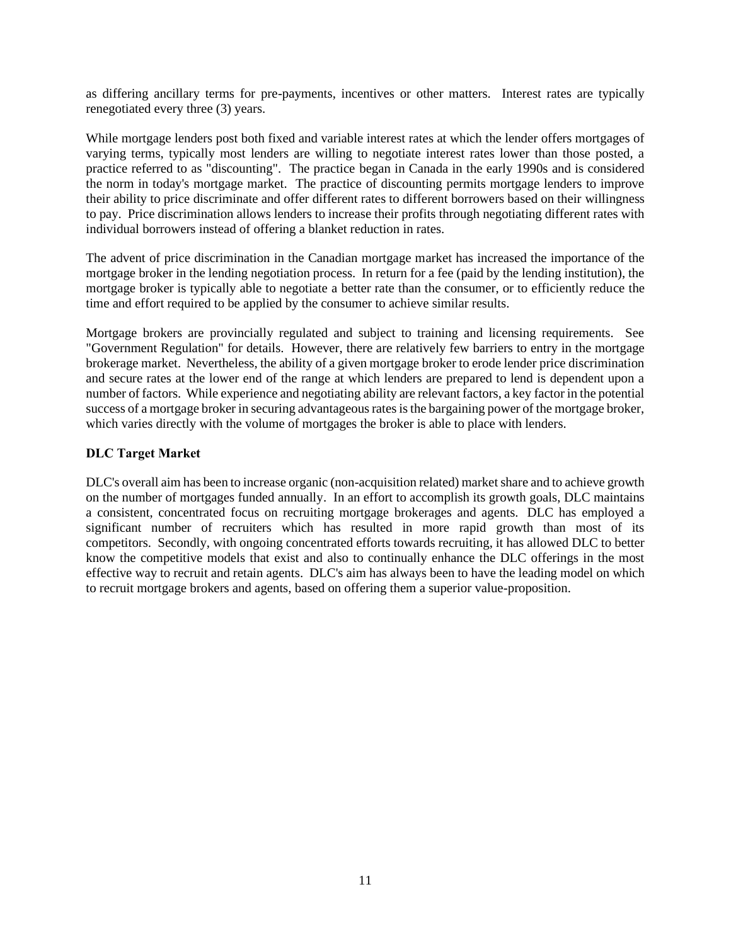as differing ancillary terms for pre-payments, incentives or other matters. Interest rates are typically renegotiated every three (3) years.

While mortgage lenders post both fixed and variable interest rates at which the lender offers mortgages of varying terms, typically most lenders are willing to negotiate interest rates lower than those posted, a practice referred to as "discounting". The practice began in Canada in the early 1990s and is considered the norm in today's mortgage market. The practice of discounting permits mortgage lenders to improve their ability to price discriminate and offer different rates to different borrowers based on their willingness to pay. Price discrimination allows lenders to increase their profits through negotiating different rates with individual borrowers instead of offering a blanket reduction in rates.

The advent of price discrimination in the Canadian mortgage market has increased the importance of the mortgage broker in the lending negotiation process. In return for a fee (paid by the lending institution), the mortgage broker is typically able to negotiate a better rate than the consumer, or to efficiently reduce the time and effort required to be applied by the consumer to achieve similar results.

Mortgage brokers are provincially regulated and subject to training and licensing requirements. See "Government Regulation" for details. However, there are relatively few barriers to entry in the mortgage brokerage market. Nevertheless, the ability of a given mortgage broker to erode lender price discrimination and secure rates at the lower end of the range at which lenders are prepared to lend is dependent upon a number of factors. While experience and negotiating ability are relevant factors, a key factor in the potential success of a mortgage broker in securing advantageous rates is the bargaining power of the mortgage broker, which varies directly with the volume of mortgages the broker is able to place with lenders.

## <span id="page-13-0"></span>**DLC Target Market**

DLC's overall aim has been to increase organic (non-acquisition related) market share and to achieve growth on the number of mortgages funded annually. In an effort to accomplish its growth goals, DLC maintains a consistent, concentrated focus on recruiting mortgage brokerages and agents. DLC has employed a significant number of recruiters which has resulted in more rapid growth than most of its competitors. Secondly, with ongoing concentrated efforts towards recruiting, it has allowed DLC to better know the competitive models that exist and also to continually enhance the DLC offerings in the most effective way to recruit and retain agents. DLC's aim has always been to have the leading model on which to recruit mortgage brokers and agents, based on offering them a superior value-proposition.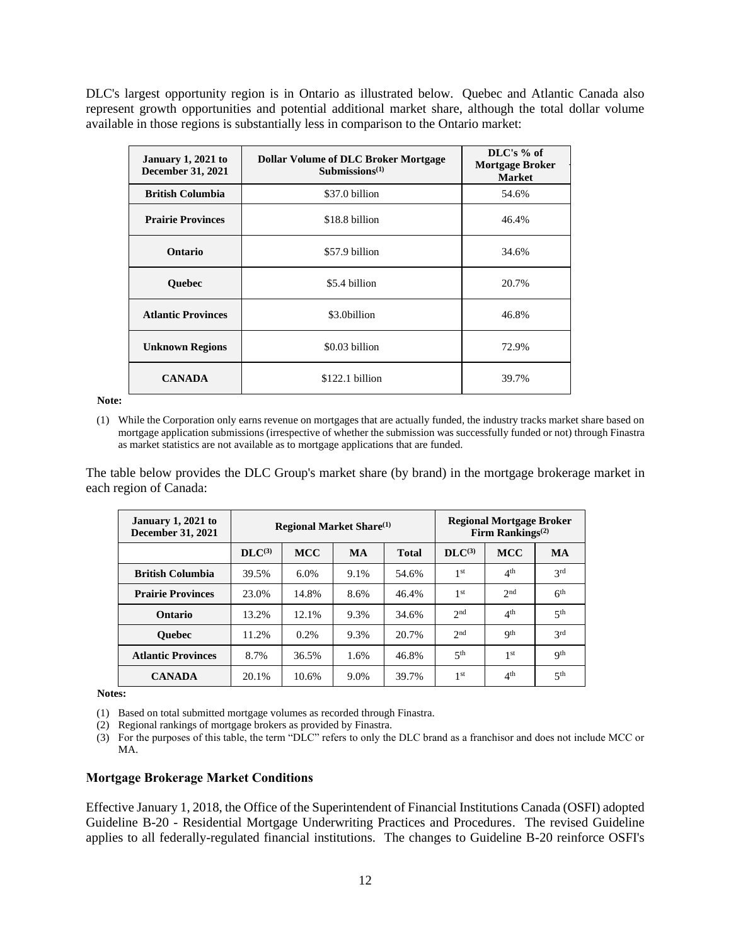DLC's largest opportunity region is in Ontario as illustrated below. Quebec and Atlantic Canada also represent growth opportunities and potential additional market share, although the total dollar volume available in those regions is substantially less in comparison to the Ontario market:

| January $1,2021$ to<br><b>December 31, 2021</b> | <b>Dollar Volume of DLC Broker Mortgage</b><br>Submissions $(1)$ | $\rm{DLC}$ 's % of<br><b>Mortgage Broker</b><br><b>Market</b> |
|-------------------------------------------------|------------------------------------------------------------------|---------------------------------------------------------------|
| <b>British Columbia</b>                         | \$37.0 billion                                                   | 54.6%                                                         |
| <b>Prairie Provinces</b>                        | \$18.8 billion                                                   | 46.4%                                                         |
| Ontario                                         | \$57.9 billion                                                   | 34.6%                                                         |
| <b>Ouebec</b>                                   | \$5.4 billion                                                    | 20.7%                                                         |
| <b>Atlantic Provinces</b>                       | \$3.0billion                                                     | 46.8%                                                         |
| <b>Unknown Regions</b>                          | \$0.03 billion                                                   | 72.9%                                                         |
| <b>CANADA</b>                                   | \$122.1 billion                                                  | 39.7%                                                         |

#### **Note:**

(1) While the Corporation only earns revenue on mortgages that are actually funded, the industry tracks market share based on mortgage application submissions (irrespective of whether the submission was successfully funded or not) through Finastra as market statistics are not available as to mortgage applications that are funded.

The table below provides the DLC Group's market share (by brand) in the mortgage brokerage market in each region of Canada:

| January 1, $2021$ to<br><b>December 31, 2021</b> | <b>Regional Market Share</b> <sup>(1)</sup> |            |           |              | <b>Regional Mortgage Broker</b><br>Firm Rankings <sup><math>(2)</math></sup> |                 |                 |
|--------------------------------------------------|---------------------------------------------|------------|-----------|--------------|------------------------------------------------------------------------------|-----------------|-----------------|
|                                                  | $\mathbf{DL}C^{(3)}$                        | <b>MCC</b> | <b>MA</b> | <b>Total</b> | $DLC^{(3)}$                                                                  | <b>MCC</b>      | <b>MA</b>       |
| <b>British Columbia</b>                          | 39.5%                                       | 6.0%       | 9.1%      | 54.6%        | 1 <sup>st</sup>                                                              | 4 <sup>th</sup> | 2rd             |
| <b>Prairie Provinces</b>                         | 23.0%                                       | 14.8%      | 8.6%      | 46.4%        | 1 <sup>st</sup>                                                              | 2 <sub>nd</sub> | 6 <sup>th</sup> |
| Ontario                                          | 13.2%                                       | 12.1%      | 9.3%      | 34.6%        | 2 <sub>nd</sub>                                                              | 4 <sup>th</sup> | 5 <sup>th</sup> |
| <b>Ouebec</b>                                    | 11.2%                                       | 0.2%       | 9.3%      | 20.7%        | 2 <sub>nd</sub>                                                              | Qth             | 2rd             |
| <b>Atlantic Provinces</b>                        | 8.7%                                        | 36.5%      | 1.6%      | 46.8%        | 5 <sup>th</sup>                                                              | 1 <sup>st</sup> | <b>Qth</b>      |
| <b>CANADA</b>                                    | 20.1%                                       | 10.6%      | 9.0%      | 39.7%        | 1 <sup>st</sup>                                                              | 4 <sup>th</sup> | 5 <sup>th</sup> |

**Notes:**

(1) Based on total submitted mortgage volumes as recorded through Finastra.

(2) Regional rankings of mortgage brokers as provided by Finastra.

(3) For the purposes of this table, the term "DLC" refers to only the DLC brand as a franchisor and does not include MCC or MA.

#### <span id="page-14-0"></span>**Mortgage Brokerage Market Conditions**

Effective January 1, 2018, the Office of the Superintendent of Financial Institutions Canada (OSFI) adopted Guideline B-20 - Residential Mortgage Underwriting Practices and Procedures. The revised Guideline applies to all federally-regulated financial institutions. The changes to Guideline B-20 reinforce OSFI's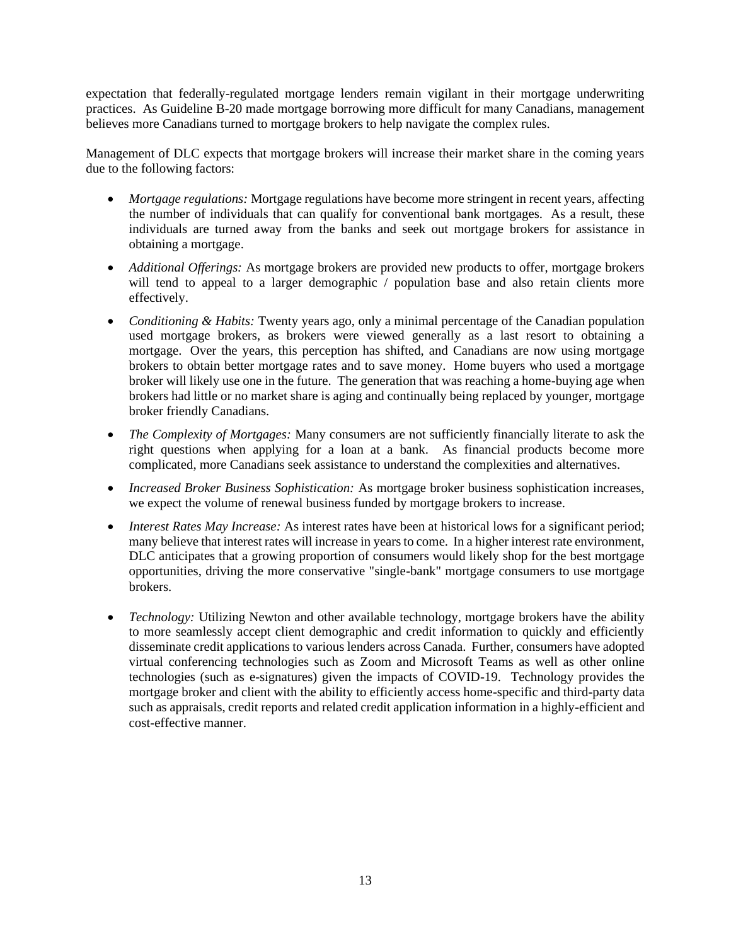expectation that federally-regulated mortgage lenders remain vigilant in their mortgage underwriting practices. As Guideline B-20 made mortgage borrowing more difficult for many Canadians, management believes more Canadians turned to mortgage brokers to help navigate the complex rules.

Management of DLC expects that mortgage brokers will increase their market share in the coming years due to the following factors:

- *Mortgage regulations:* Mortgage regulations have become more stringent in recent years, affecting the number of individuals that can qualify for conventional bank mortgages. As a result, these individuals are turned away from the banks and seek out mortgage brokers for assistance in obtaining a mortgage.
- *Additional Offerings:* As mortgage brokers are provided new products to offer, mortgage brokers will tend to appeal to a larger demographic / population base and also retain clients more effectively.
- *Conditioning & Habits:* Twenty years ago, only a minimal percentage of the Canadian population used mortgage brokers, as brokers were viewed generally as a last resort to obtaining a mortgage. Over the years, this perception has shifted, and Canadians are now using mortgage brokers to obtain better mortgage rates and to save money. Home buyers who used a mortgage broker will likely use one in the future. The generation that was reaching a home-buying age when brokers had little or no market share is aging and continually being replaced by younger, mortgage broker friendly Canadians.
- *The Complexity of Mortgages:* Many consumers are not sufficiently financially literate to ask the right questions when applying for a loan at a bank. As financial products become more complicated, more Canadians seek assistance to understand the complexities and alternatives.
- *Increased Broker Business Sophistication:* As mortgage broker business sophistication increases, we expect the volume of renewal business funded by mortgage brokers to increase.
- *Interest Rates May Increase:* As interest rates have been at historical lows for a significant period; many believe that interest rates will increase in years to come. In a higher interest rate environment, DLC anticipates that a growing proportion of consumers would likely shop for the best mortgage opportunities, driving the more conservative "single-bank" mortgage consumers to use mortgage brokers.
- *Technology:* Utilizing Newton and other available technology, mortgage brokers have the ability to more seamlessly accept client demographic and credit information to quickly and efficiently disseminate credit applications to various lenders across Canada. Further, consumers have adopted virtual conferencing technologies such as Zoom and Microsoft Teams as well as other online technologies (such as e-signatures) given the impacts of COVID-19. Technology provides the mortgage broker and client with the ability to efficiently access home-specific and third-party data such as appraisals, credit reports and related credit application information in a highly-efficient and cost-effective manner.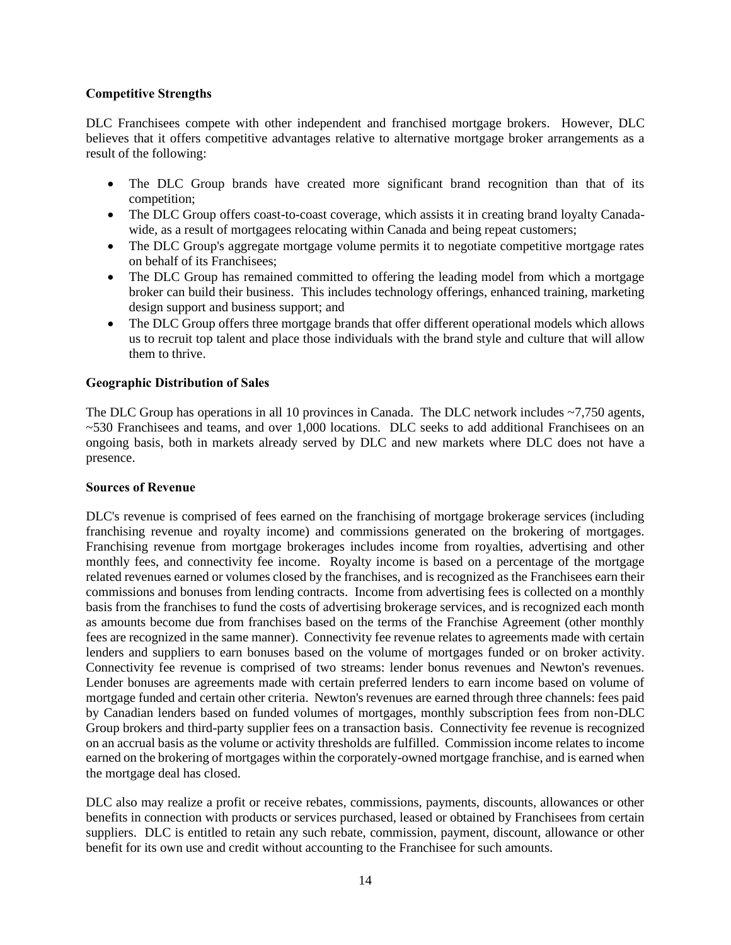## <span id="page-16-0"></span>**Competitive Strengths**

DLC Franchisees compete with other independent and franchised mortgage brokers. However, DLC believes that it offers competitive advantages relative to alternative mortgage broker arrangements as a result of the following:

- The DLC Group brands have created more significant brand recognition than that of its competition;
- The DLC Group offers coast-to-coast coverage, which assists it in creating brand loyalty Canadawide, as a result of mortgagees relocating within Canada and being repeat customers;
- The DLC Group's aggregate mortgage volume permits it to negotiate competitive mortgage rates on behalf of its Franchisees;
- The DLC Group has remained committed to offering the leading model from which a mortgage broker can build their business. This includes technology offerings, enhanced training, marketing design support and business support; and
- The DLC Group offers three mortgage brands that offer different operational models which allows us to recruit top talent and place those individuals with the brand style and culture that will allow them to thrive.

## <span id="page-16-1"></span>**Geographic Distribution of Sales**

The DLC Group has operations in all 10 provinces in Canada. The DLC network includes ~7,750 agents, ~530 Franchisees and teams, and over 1,000 locations. DLC seeks to add additional Franchisees on an ongoing basis, both in markets already served by DLC and new markets where DLC does not have a presence.

## <span id="page-16-2"></span>**Sources of Revenue**

DLC's revenue is comprised of fees earned on the franchising of mortgage brokerage services (including franchising revenue and royalty income) and commissions generated on the brokering of mortgages. Franchising revenue from mortgage brokerages includes income from royalties, advertising and other monthly fees, and connectivity fee income. Royalty income is based on a percentage of the mortgage related revenues earned or volumes closed by the franchises, and is recognized as the Franchisees earn their commissions and bonuses from lending contracts. Income from advertising fees is collected on a monthly basis from the franchises to fund the costs of advertising brokerage services, and is recognized each month as amounts become due from franchises based on the terms of the Franchise Agreement (other monthly fees are recognized in the same manner). Connectivity fee revenue relates to agreements made with certain lenders and suppliers to earn bonuses based on the volume of mortgages funded or on broker activity. Connectivity fee revenue is comprised of two streams: lender bonus revenues and Newton's revenues. Lender bonuses are agreements made with certain preferred lenders to earn income based on volume of mortgage funded and certain other criteria. Newton's revenues are earned through three channels: fees paid by Canadian lenders based on funded volumes of mortgages, monthly subscription fees from non-DLC Group brokers and third-party supplier fees on a transaction basis. Connectivity fee revenue is recognized on an accrual basis as the volume or activity thresholds are fulfilled. Commission income relates to income earned on the brokering of mortgages within the corporately-owned mortgage franchise, and is earned when the mortgage deal has closed.

DLC also may realize a profit or receive rebates, commissions, payments, discounts, allowances or other benefits in connection with products or services purchased, leased or obtained by Franchisees from certain suppliers. DLC is entitled to retain any such rebate, commission, payment, discount, allowance or other benefit for its own use and credit without accounting to the Franchisee for such amounts.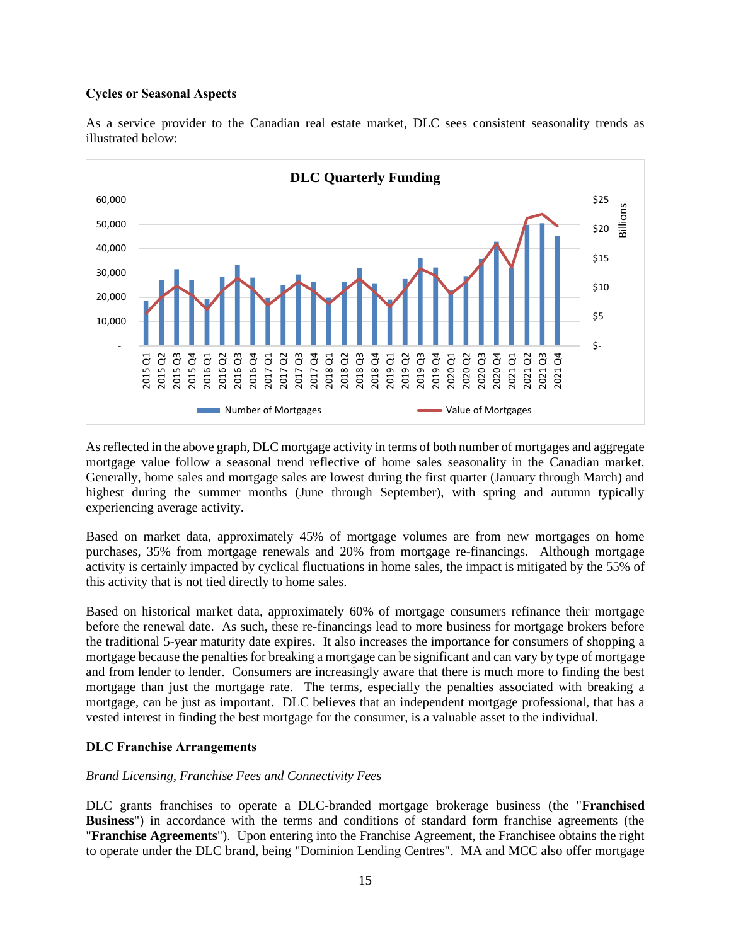### <span id="page-17-0"></span>**Cycles or Seasonal Aspects**



As a service provider to the Canadian real estate market, DLC sees consistent seasonality trends as illustrated below:

As reflected in the above graph, DLC mortgage activity in terms of both number of mortgages and aggregate mortgage value follow a seasonal trend reflective of home sales seasonality in the Canadian market. Generally, home sales and mortgage sales are lowest during the first quarter (January through March) and highest during the summer months (June through September), with spring and autumn typically experiencing average activity.

Based on market data, approximately 45% of mortgage volumes are from new mortgages on home purchases, 35% from mortgage renewals and 20% from mortgage re-financings. Although mortgage activity is certainly impacted by cyclical fluctuations in home sales, the impact is mitigated by the 55% of this activity that is not tied directly to home sales.

Based on historical market data, approximately 60% of mortgage consumers refinance their mortgage before the renewal date. As such, these re-financings lead to more business for mortgage brokers before the traditional 5-year maturity date expires. It also increases the importance for consumers of shopping a mortgage because the penalties for breaking a mortgage can be significant and can vary by type of mortgage and from lender to lender. Consumers are increasingly aware that there is much more to finding the best mortgage than just the mortgage rate. The terms, especially the penalties associated with breaking a mortgage, can be just as important. DLC believes that an independent mortgage professional, that has a vested interest in finding the best mortgage for the consumer, is a valuable asset to the individual.

## <span id="page-17-1"></span>**DLC Franchise Arrangements**

## *Brand Licensing, Franchise Fees and Connectivity Fees*

DLC grants franchises to operate a DLC-branded mortgage brokerage business (the "**Franchised Business**") in accordance with the terms and conditions of standard form franchise agreements (the "**Franchise Agreements**"). Upon entering into the Franchise Agreement, the Franchisee obtains the right to operate under the DLC brand, being "Dominion Lending Centres". MA and MCC also offer mortgage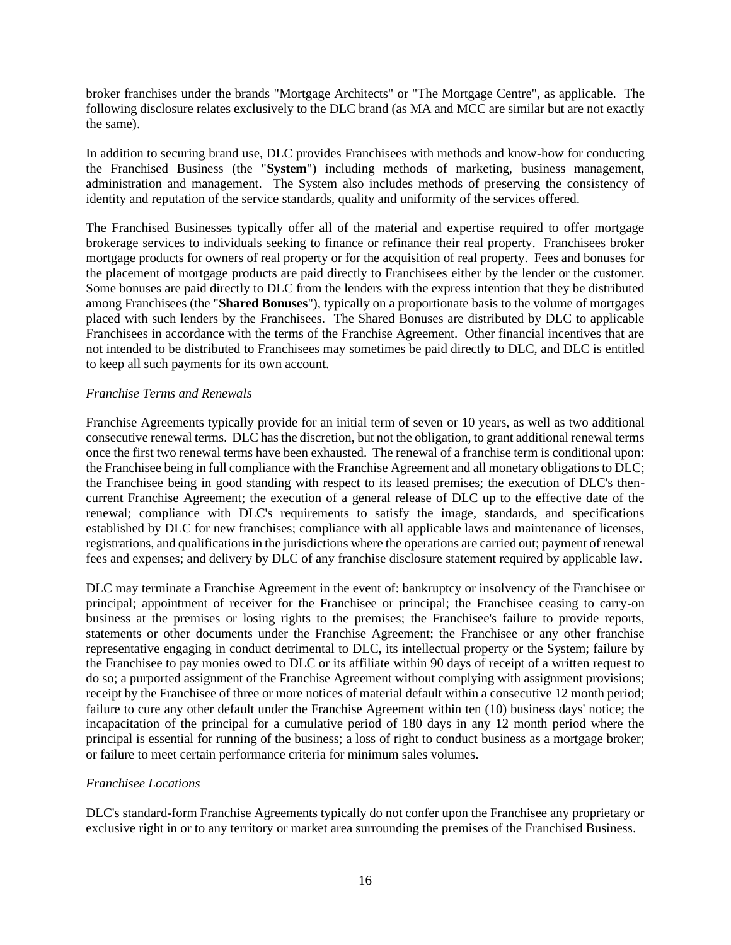broker franchises under the brands "Mortgage Architects" or "The Mortgage Centre", as applicable. The following disclosure relates exclusively to the DLC brand (as MA and MCC are similar but are not exactly the same).

In addition to securing brand use, DLC provides Franchisees with methods and know-how for conducting the Franchised Business (the "**System**") including methods of marketing, business management, administration and management. The System also includes methods of preserving the consistency of identity and reputation of the service standards, quality and uniformity of the services offered.

The Franchised Businesses typically offer all of the material and expertise required to offer mortgage brokerage services to individuals seeking to finance or refinance their real property. Franchisees broker mortgage products for owners of real property or for the acquisition of real property. Fees and bonuses for the placement of mortgage products are paid directly to Franchisees either by the lender or the customer. Some bonuses are paid directly to DLC from the lenders with the express intention that they be distributed among Franchisees (the "**Shared Bonuses**"), typically on a proportionate basis to the volume of mortgages placed with such lenders by the Franchisees. The Shared Bonuses are distributed by DLC to applicable Franchisees in accordance with the terms of the Franchise Agreement. Other financial incentives that are not intended to be distributed to Franchisees may sometimes be paid directly to DLC, and DLC is entitled to keep all such payments for its own account.

## *Franchise Terms and Renewals*

Franchise Agreements typically provide for an initial term of seven or 10 years, as well as two additional consecutive renewal terms. DLC has the discretion, but not the obligation, to grant additional renewal terms once the first two renewal terms have been exhausted. The renewal of a franchise term is conditional upon: the Franchisee being in full compliance with the Franchise Agreement and all monetary obligations to DLC; the Franchisee being in good standing with respect to its leased premises; the execution of DLC's thencurrent Franchise Agreement; the execution of a general release of DLC up to the effective date of the renewal; compliance with DLC's requirements to satisfy the image, standards, and specifications established by DLC for new franchises; compliance with all applicable laws and maintenance of licenses, registrations, and qualifications in the jurisdictions where the operations are carried out; payment of renewal fees and expenses; and delivery by DLC of any franchise disclosure statement required by applicable law.

DLC may terminate a Franchise Agreement in the event of: bankruptcy or insolvency of the Franchisee or principal; appointment of receiver for the Franchisee or principal; the Franchisee ceasing to carry-on business at the premises or losing rights to the premises; the Franchisee's failure to provide reports, statements or other documents under the Franchise Agreement; the Franchisee or any other franchise representative engaging in conduct detrimental to DLC, its intellectual property or the System; failure by the Franchisee to pay monies owed to DLC or its affiliate within 90 days of receipt of a written request to do so; a purported assignment of the Franchise Agreement without complying with assignment provisions; receipt by the Franchisee of three or more notices of material default within a consecutive 12 month period; failure to cure any other default under the Franchise Agreement within ten (10) business days' notice; the incapacitation of the principal for a cumulative period of 180 days in any 12 month period where the principal is essential for running of the business; a loss of right to conduct business as a mortgage broker; or failure to meet certain performance criteria for minimum sales volumes.

## *Franchisee Locations*

DLC's standard-form Franchise Agreements typically do not confer upon the Franchisee any proprietary or exclusive right in or to any territory or market area surrounding the premises of the Franchised Business.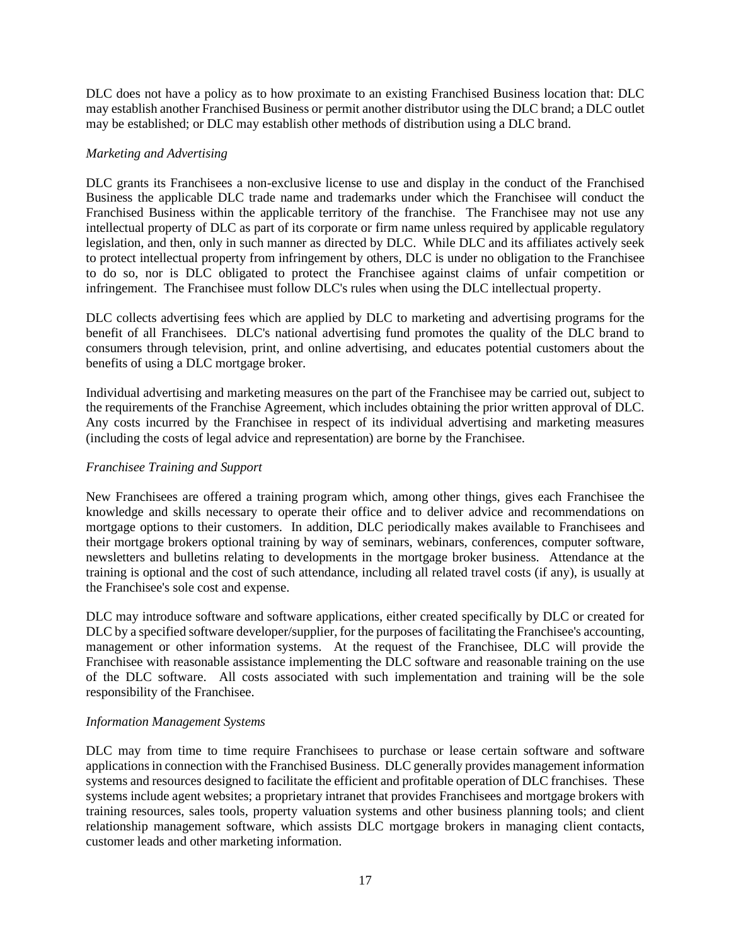DLC does not have a policy as to how proximate to an existing Franchised Business location that: DLC may establish another Franchised Business or permit another distributor using the DLC brand; a DLC outlet may be established; or DLC may establish other methods of distribution using a DLC brand.

## *Marketing and Advertising*

DLC grants its Franchisees a non-exclusive license to use and display in the conduct of the Franchised Business the applicable DLC trade name and trademarks under which the Franchisee will conduct the Franchised Business within the applicable territory of the franchise. The Franchisee may not use any intellectual property of DLC as part of its corporate or firm name unless required by applicable regulatory legislation, and then, only in such manner as directed by DLC. While DLC and its affiliates actively seek to protect intellectual property from infringement by others, DLC is under no obligation to the Franchisee to do so, nor is DLC obligated to protect the Franchisee against claims of unfair competition or infringement. The Franchisee must follow DLC's rules when using the DLC intellectual property.

DLC collects advertising fees which are applied by DLC to marketing and advertising programs for the benefit of all Franchisees. DLC's national advertising fund promotes the quality of the DLC brand to consumers through television, print, and online advertising, and educates potential customers about the benefits of using a DLC mortgage broker.

Individual advertising and marketing measures on the part of the Franchisee may be carried out, subject to the requirements of the Franchise Agreement, which includes obtaining the prior written approval of DLC. Any costs incurred by the Franchisee in respect of its individual advertising and marketing measures (including the costs of legal advice and representation) are borne by the Franchisee.

## *Franchisee Training and Support*

New Franchisees are offered a training program which, among other things, gives each Franchisee the knowledge and skills necessary to operate their office and to deliver advice and recommendations on mortgage options to their customers. In addition, DLC periodically makes available to Franchisees and their mortgage brokers optional training by way of seminars, webinars, conferences, computer software, newsletters and bulletins relating to developments in the mortgage broker business. Attendance at the training is optional and the cost of such attendance, including all related travel costs (if any), is usually at the Franchisee's sole cost and expense.

DLC may introduce software and software applications, either created specifically by DLC or created for DLC by a specified software developer/supplier, for the purposes of facilitating the Franchisee's accounting, management or other information systems. At the request of the Franchisee, DLC will provide the Franchisee with reasonable assistance implementing the DLC software and reasonable training on the use of the DLC software. All costs associated with such implementation and training will be the sole responsibility of the Franchisee.

## *Information Management Systems*

DLC may from time to time require Franchisees to purchase or lease certain software and software applications in connection with the Franchised Business. DLC generally provides management information systems and resources designed to facilitate the efficient and profitable operation of DLC franchises. These systems include agent websites; a proprietary intranet that provides Franchisees and mortgage brokers with training resources, sales tools, property valuation systems and other business planning tools; and client relationship management software, which assists DLC mortgage brokers in managing client contacts, customer leads and other marketing information.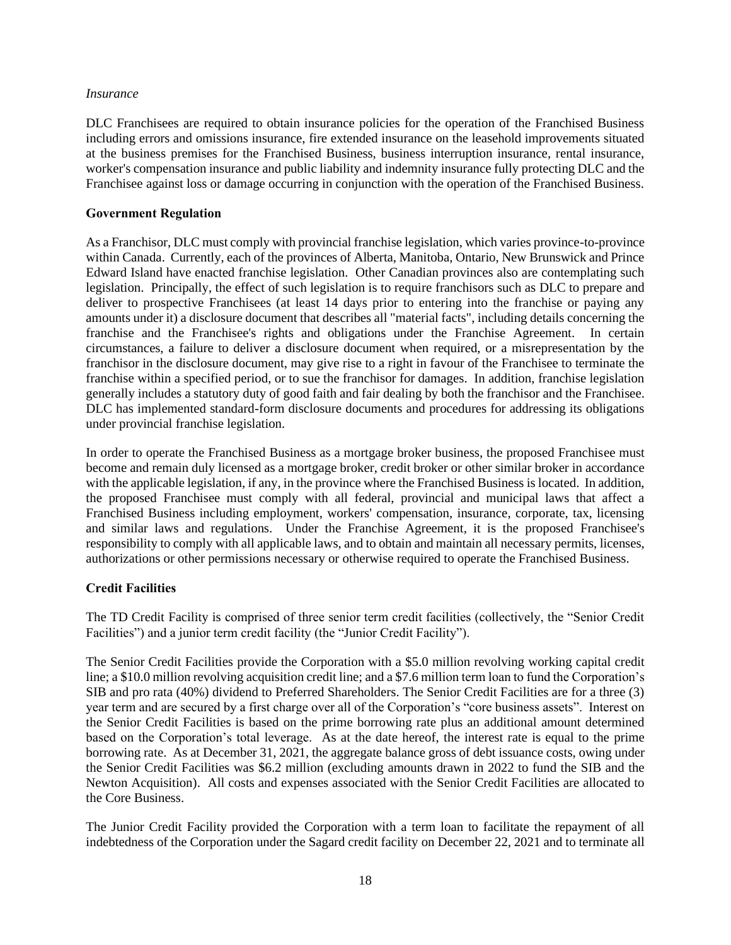### *Insurance*

DLC Franchisees are required to obtain insurance policies for the operation of the Franchised Business including errors and omissions insurance, fire extended insurance on the leasehold improvements situated at the business premises for the Franchised Business, business interruption insurance, rental insurance, worker's compensation insurance and public liability and indemnity insurance fully protecting DLC and the Franchisee against loss or damage occurring in conjunction with the operation of the Franchised Business.

## <span id="page-20-0"></span>**Government Regulation**

As a Franchisor, DLC must comply with provincial franchise legislation, which varies province-to-province within Canada. Currently, each of the provinces of Alberta, Manitoba, Ontario, New Brunswick and Prince Edward Island have enacted franchise legislation. Other Canadian provinces also are contemplating such legislation. Principally, the effect of such legislation is to require franchisors such as DLC to prepare and deliver to prospective Franchisees (at least 14 days prior to entering into the franchise or paying any amounts under it) a disclosure document that describes all "material facts", including details concerning the franchise and the Franchisee's rights and obligations under the Franchise Agreement. In certain circumstances, a failure to deliver a disclosure document when required, or a misrepresentation by the franchisor in the disclosure document, may give rise to a right in favour of the Franchisee to terminate the franchise within a specified period, or to sue the franchisor for damages. In addition, franchise legislation generally includes a statutory duty of good faith and fair dealing by both the franchisor and the Franchisee. DLC has implemented standard-form disclosure documents and procedures for addressing its obligations under provincial franchise legislation.

In order to operate the Franchised Business as a mortgage broker business, the proposed Franchisee must become and remain duly licensed as a mortgage broker, credit broker or other similar broker in accordance with the applicable legislation, if any, in the province where the Franchised Business is located. In addition, the proposed Franchisee must comply with all federal, provincial and municipal laws that affect a Franchised Business including employment, workers' compensation, insurance, corporate, tax, licensing and similar laws and regulations. Under the Franchise Agreement, it is the proposed Franchisee's responsibility to comply with all applicable laws, and to obtain and maintain all necessary permits, licenses, authorizations or other permissions necessary or otherwise required to operate the Franchised Business.

# <span id="page-20-1"></span>**Credit Facilities**

The TD Credit Facility is comprised of three senior term credit facilities (collectively, the "Senior Credit Facilities") and a junior term credit facility (the "Junior Credit Facility").

The Senior Credit Facilities provide the Corporation with a \$5.0 million revolving working capital credit line; a \$10.0 million revolving acquisition credit line; and a \$7.6 million term loan to fund the Corporation's SIB and pro rata (40%) dividend to Preferred Shareholders. The Senior Credit Facilities are for a three (3) year term and are secured by a first charge over all of the Corporation's "core business assets". Interest on the Senior Credit Facilities is based on the prime borrowing rate plus an additional amount determined based on the Corporation's total leverage. As at the date hereof, the interest rate is equal to the prime borrowing rate. As at December 31, 2021, the aggregate balance gross of debt issuance costs, owing under the Senior Credit Facilities was \$6.2 million (excluding amounts drawn in 2022 to fund the SIB and the Newton Acquisition). All costs and expenses associated with the Senior Credit Facilities are allocated to the Core Business.

The Junior Credit Facility provided the Corporation with a term loan to facilitate the repayment of all indebtedness of the Corporation under the Sagard credit facility on December 22, 2021 and to terminate all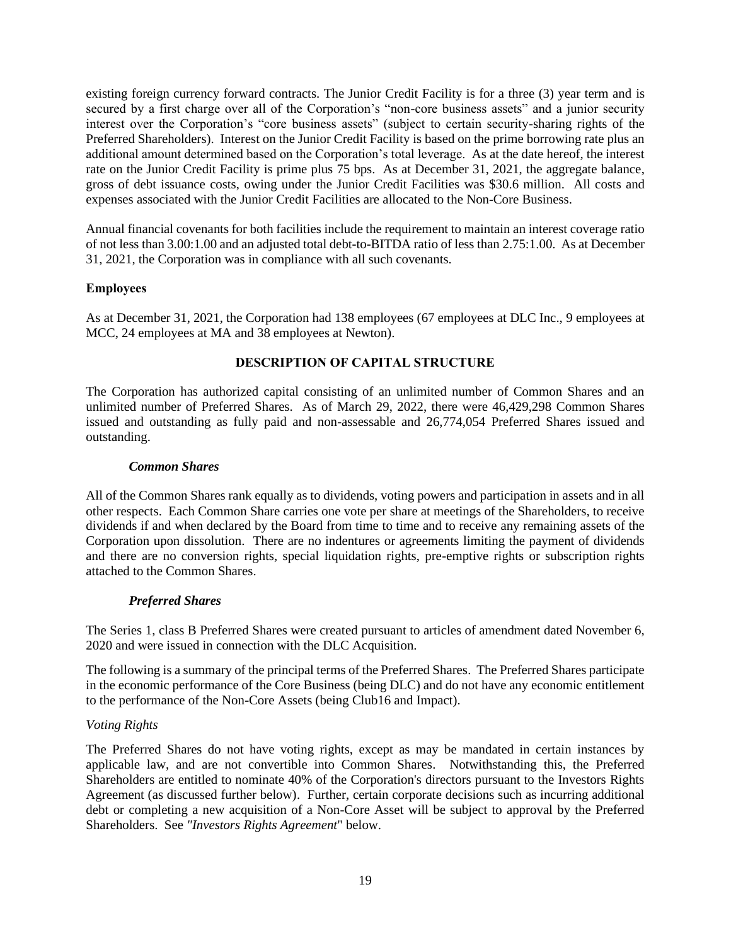existing foreign currency forward contracts. The Junior Credit Facility is for a three (3) year term and is secured by a first charge over all of the Corporation's "non-core business assets" and a junior security interest over the Corporation's "core business assets" (subject to certain security-sharing rights of the Preferred Shareholders). Interest on the Junior Credit Facility is based on the prime borrowing rate plus an additional amount determined based on the Corporation's total leverage. As at the date hereof, the interest rate on the Junior Credit Facility is prime plus 75 bps. As at December 31, 2021, the aggregate balance, gross of debt issuance costs, owing under the Junior Credit Facilities was \$30.6 million. All costs and expenses associated with the Junior Credit Facilities are allocated to the Non-Core Business.

Annual financial covenants for both facilities include the requirement to maintain an interest coverage ratio of not less than 3.00:1.00 and an adjusted total debt-to-BITDA ratio of less than 2.75:1.00. As at December 31, 2021, the Corporation was in compliance with all such covenants.

## <span id="page-21-0"></span>**Employees**

As at December 31, 2021, the Corporation had 138 employees (67 employees at DLC Inc., 9 employees at MCC, 24 employees at MA and 38 employees at Newton).

## **DESCRIPTION OF CAPITAL STRUCTURE**

<span id="page-21-1"></span>The Corporation has authorized capital consisting of an unlimited number of Common Shares and an unlimited number of Preferred Shares. As of March 29, 2022, there were 46,429,298 Common Shares issued and outstanding as fully paid and non-assessable and 26,774,054 Preferred Shares issued and outstanding.

### *Common Shares*

All of the Common Shares rank equally as to dividends, voting powers and participation in assets and in all other respects. Each Common Share carries one vote per share at meetings of the Shareholders, to receive dividends if and when declared by the Board from time to time and to receive any remaining assets of the Corporation upon dissolution. There are no indentures or agreements limiting the payment of dividends and there are no conversion rights, special liquidation rights, pre-emptive rights or subscription rights attached to the Common Shares.

## *Preferred Shares*

The Series 1, class B Preferred Shares were created pursuant to articles of amendment dated November 6, 2020 and were issued in connection with the DLC Acquisition.

The following is a summary of the principal terms of the Preferred Shares. The Preferred Shares participate in the economic performance of the Core Business (being DLC) and do not have any economic entitlement to the performance of the Non-Core Assets (being Club16 and Impact).

## *Voting Rights*

The Preferred Shares do not have voting rights, except as may be mandated in certain instances by applicable law, and are not convertible into Common Shares. Notwithstanding this, the Preferred Shareholders are entitled to nominate 40% of the Corporation's directors pursuant to the Investors Rights Agreement (as discussed further below). Further, certain corporate decisions such as incurring additional debt or completing a new acquisition of a Non-Core Asset will be subject to approval by the Preferred Shareholders. See *"Investors Rights Agreement*" below.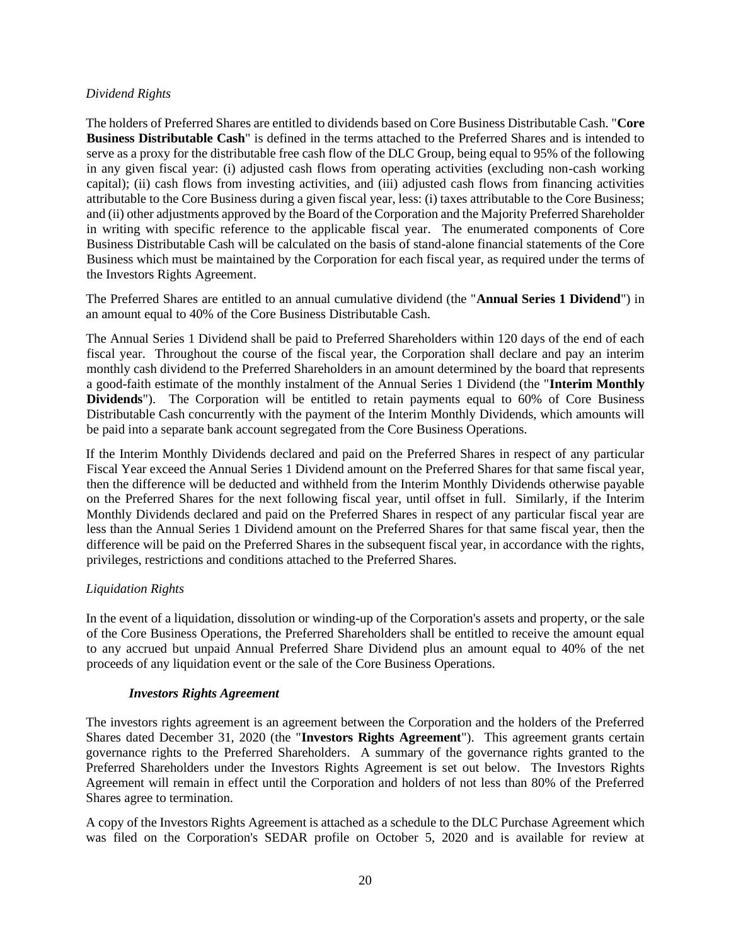## *Dividend Rights*

The holders of Preferred Shares are entitled to dividends based on Core Business Distributable Cash. "**Core Business Distributable Cash**" is defined in the terms attached to the Preferred Shares and is intended to serve as a proxy for the distributable free cash flow of the DLC Group, being equal to 95% of the following in any given fiscal year: (i) adjusted cash flows from operating activities (excluding non-cash working capital); (ii) cash flows from investing activities, and (iii) adjusted cash flows from financing activities attributable to the Core Business during a given fiscal year, less: (i) taxes attributable to the Core Business; and (ii) other adjustments approved by the Board of the Corporation and the Majority Preferred Shareholder in writing with specific reference to the applicable fiscal year. The enumerated components of Core Business Distributable Cash will be calculated on the basis of stand-alone financial statements of the Core Business which must be maintained by the Corporation for each fiscal year, as required under the terms of the Investors Rights Agreement.

The Preferred Shares are entitled to an annual cumulative dividend (the "**Annual Series 1 Dividend**") in an amount equal to 40% of the Core Business Distributable Cash.

The Annual Series 1 Dividend shall be paid to Preferred Shareholders within 120 days of the end of each fiscal year. Throughout the course of the fiscal year, the Corporation shall declare and pay an interim monthly cash dividend to the Preferred Shareholders in an amount determined by the board that represents a good-faith estimate of the monthly instalment of the Annual Series 1 Dividend (the "**Interim Monthly Dividends**"). The Corporation will be entitled to retain payments equal to 60% of Core Business Distributable Cash concurrently with the payment of the Interim Monthly Dividends, which amounts will be paid into a separate bank account segregated from the Core Business Operations.

If the Interim Monthly Dividends declared and paid on the Preferred Shares in respect of any particular Fiscal Year exceed the Annual Series 1 Dividend amount on the Preferred Shares for that same fiscal year, then the difference will be deducted and withheld from the Interim Monthly Dividends otherwise payable on the Preferred Shares for the next following fiscal year, until offset in full. Similarly, if the Interim Monthly Dividends declared and paid on the Preferred Shares in respect of any particular fiscal year are less than the Annual Series 1 Dividend amount on the Preferred Shares for that same fiscal year, then the difference will be paid on the Preferred Shares in the subsequent fiscal year, in accordance with the rights, privileges, restrictions and conditions attached to the Preferred Shares.

## *Liquidation Rights*

In the event of a liquidation, dissolution or winding-up of the Corporation's assets and property, or the sale of the Core Business Operations, the Preferred Shareholders shall be entitled to receive the amount equal to any accrued but unpaid Annual Preferred Share Dividend plus an amount equal to 40% of the net proceeds of any liquidation event or the sale of the Core Business Operations.

## *Investors Rights Agreement*

The investors rights agreement is an agreement between the Corporation and the holders of the Preferred Shares dated December 31, 2020 (the "**Investors Rights Agreement**"). This agreement grants certain governance rights to the Preferred Shareholders. A summary of the governance rights granted to the Preferred Shareholders under the Investors Rights Agreement is set out below. The Investors Rights Agreement will remain in effect until the Corporation and holders of not less than 80% of the Preferred Shares agree to termination.

A copy of the Investors Rights Agreement is attached as a schedule to the DLC Purchase Agreement which was filed on the Corporation's SEDAR profile on October 5, 2020 and is available for review at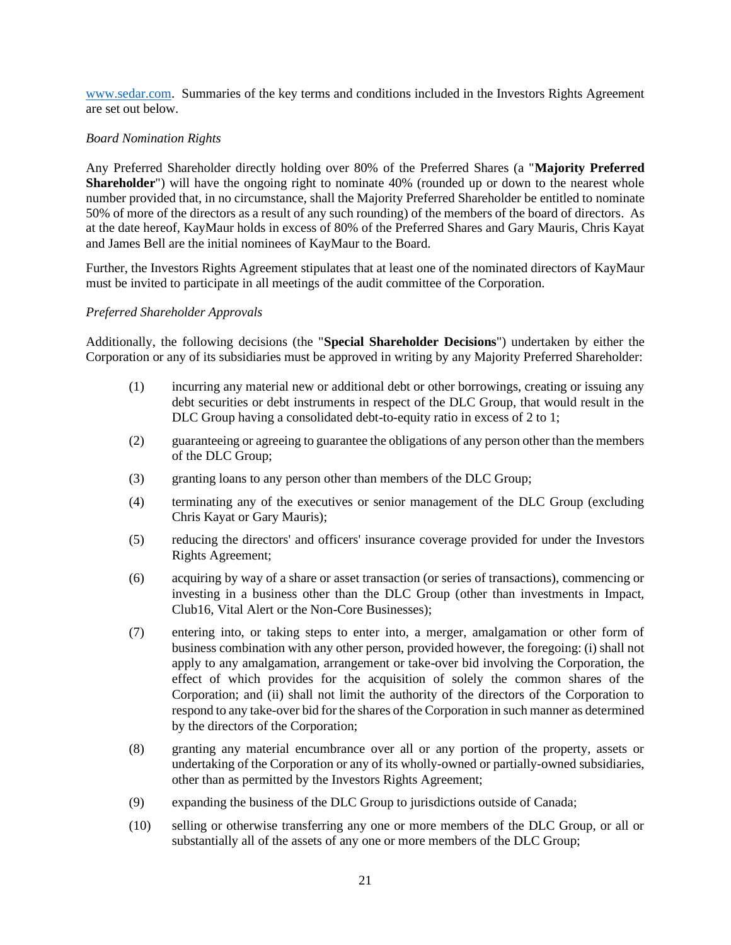[www.sedar.com.](http://www.sedar.com/) Summaries of the key terms and conditions included in the Investors Rights Agreement are set out below.

## *Board Nomination Rights*

Any Preferred Shareholder directly holding over 80% of the Preferred Shares (a "**Majority Preferred Shareholder**") will have the ongoing right to nominate 40% (rounded up or down to the nearest whole number provided that, in no circumstance, shall the Majority Preferred Shareholder be entitled to nominate 50% of more of the directors as a result of any such rounding) of the members of the board of directors. As at the date hereof, KayMaur holds in excess of 80% of the Preferred Shares and Gary Mauris, Chris Kayat and James Bell are the initial nominees of KayMaur to the Board.

Further, the Investors Rights Agreement stipulates that at least one of the nominated directors of KayMaur must be invited to participate in all meetings of the audit committee of the Corporation.

## *Preferred Shareholder Approvals*

Additionally, the following decisions (the "**Special Shareholder Decisions**") undertaken by either the Corporation or any of its subsidiaries must be approved in writing by any Majority Preferred Shareholder:

- (1) incurring any material new or additional debt or other borrowings, creating or issuing any debt securities or debt instruments in respect of the DLC Group, that would result in the DLC Group having a consolidated debt-to-equity ratio in excess of 2 to 1;
- (2) guaranteeing or agreeing to guarantee the obligations of any person other than the members of the DLC Group;
- (3) granting loans to any person other than members of the DLC Group;
- (4) terminating any of the executives or senior management of the DLC Group (excluding Chris Kayat or Gary Mauris);
- (5) reducing the directors' and officers' insurance coverage provided for under the Investors Rights Agreement;
- (6) acquiring by way of a share or asset transaction (or series of transactions), commencing or investing in a business other than the DLC Group (other than investments in Impact, Club16, Vital Alert or the Non-Core Businesses);
- (7) entering into, or taking steps to enter into, a merger, amalgamation or other form of business combination with any other person, provided however, the foregoing: (i) shall not apply to any amalgamation, arrangement or take-over bid involving the Corporation, the effect of which provides for the acquisition of solely the common shares of the Corporation; and (ii) shall not limit the authority of the directors of the Corporation to respond to any take-over bid for the shares of the Corporation in such manner as determined by the directors of the Corporation;
- (8) granting any material encumbrance over all or any portion of the property, assets or undertaking of the Corporation or any of its wholly-owned or partially-owned subsidiaries, other than as permitted by the Investors Rights Agreement;
- (9) expanding the business of the DLC Group to jurisdictions outside of Canada;
- (10) selling or otherwise transferring any one or more members of the DLC Group, or all or substantially all of the assets of any one or more members of the DLC Group;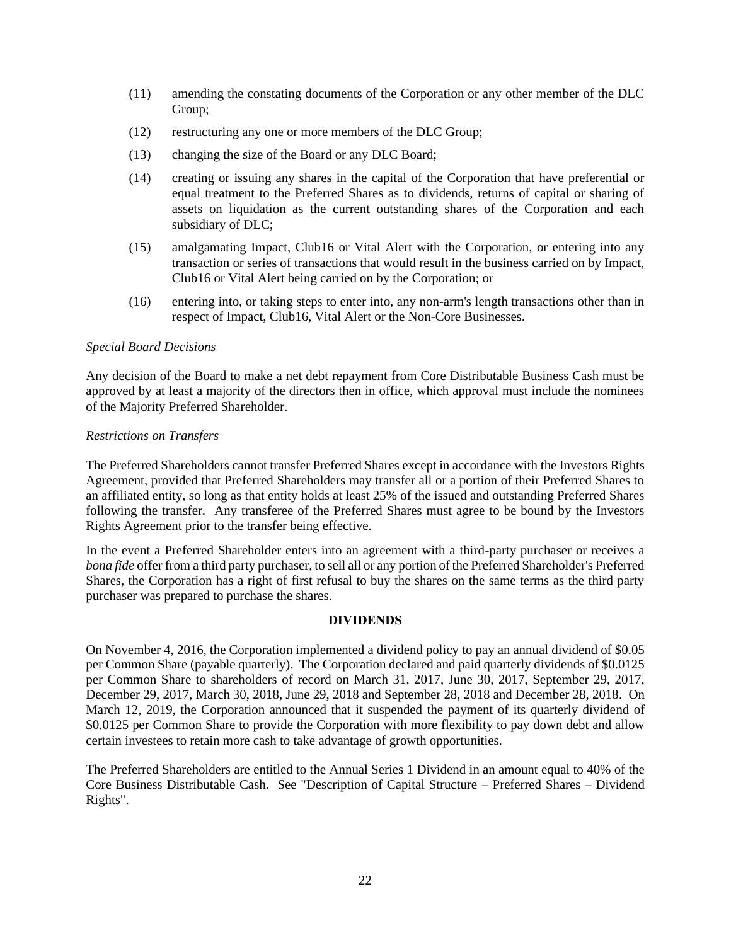- (11) amending the constating documents of the Corporation or any other member of the DLC Group;
- (12) restructuring any one or more members of the DLC Group;
- (13) changing the size of the Board or any DLC Board;
- (14) creating or issuing any shares in the capital of the Corporation that have preferential or equal treatment to the Preferred Shares as to dividends, returns of capital or sharing of assets on liquidation as the current outstanding shares of the Corporation and each subsidiary of DLC;
- (15) amalgamating Impact, Club16 or Vital Alert with the Corporation, or entering into any transaction or series of transactions that would result in the business carried on by Impact, Club16 or Vital Alert being carried on by the Corporation; or
- (16) entering into, or taking steps to enter into, any non-arm's length transactions other than in respect of Impact, Club16, Vital Alert or the Non-Core Businesses.

### *Special Board Decisions*

Any decision of the Board to make a net debt repayment from Core Distributable Business Cash must be approved by at least a majority of the directors then in office, which approval must include the nominees of the Majority Preferred Shareholder.

### *Restrictions on Transfers*

The Preferred Shareholders cannot transfer Preferred Shares except in accordance with the Investors Rights Agreement, provided that Preferred Shareholders may transfer all or a portion of their Preferred Shares to an affiliated entity, so long as that entity holds at least 25% of the issued and outstanding Preferred Shares following the transfer. Any transferee of the Preferred Shares must agree to be bound by the Investors Rights Agreement prior to the transfer being effective.

In the event a Preferred Shareholder enters into an agreement with a third-party purchaser or receives a *bona fide* offer from a third party purchaser, to sell all or any portion of the Preferred Shareholder's Preferred Shares, the Corporation has a right of first refusal to buy the shares on the same terms as the third party purchaser was prepared to purchase the shares.

#### **DIVIDENDS**

<span id="page-24-0"></span>On November 4, 2016, the Corporation implemented a dividend policy to pay an annual dividend of \$0.05 per Common Share (payable quarterly). The Corporation declared and paid quarterly dividends of \$0.0125 per Common Share to shareholders of record on March 31, 2017, June 30, 2017, September 29, 2017, December 29, 2017, March 30, 2018, June 29, 2018 and September 28, 2018 and December 28, 2018. On March 12, 2019, the Corporation announced that it suspended the payment of its quarterly dividend of \$0.0125 per Common Share to provide the Corporation with more flexibility to pay down debt and allow certain investees to retain more cash to take advantage of growth opportunities.

The Preferred Shareholders are entitled to the Annual Series 1 Dividend in an amount equal to 40% of the Core Business Distributable Cash. See "Description of Capital Structure – Preferred Shares – Dividend Rights".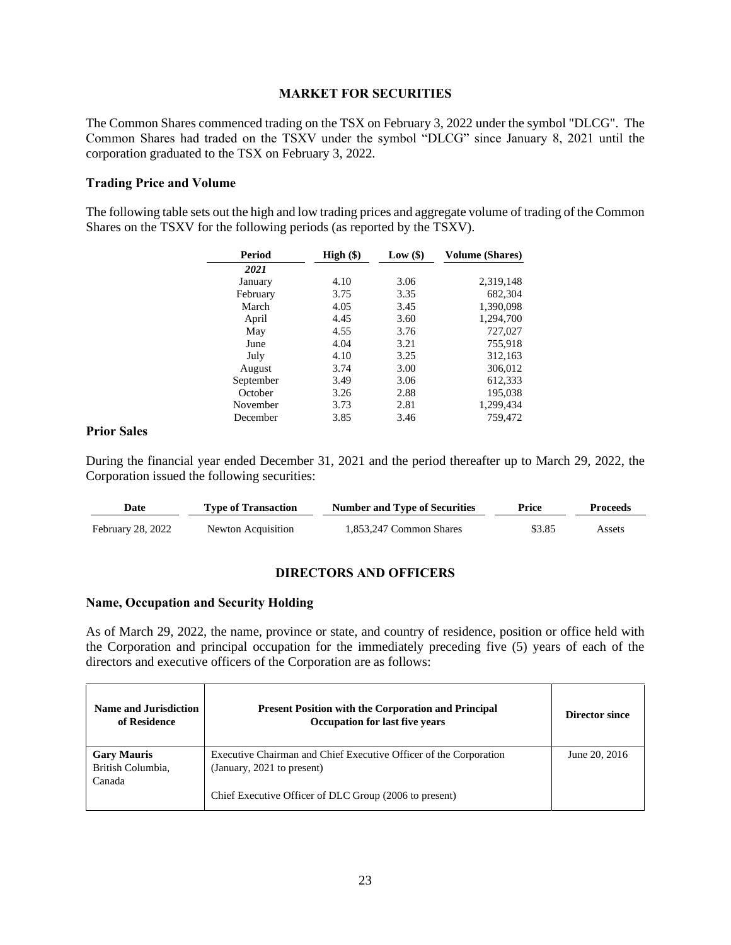### **MARKET FOR SECURITIES**

<span id="page-25-0"></span>The Common Shares commenced trading on the TSX on February 3, 2022 under the symbol "DLCG". The Common Shares had traded on the TSXV under the symbol "DLCG" since January 8, 2021 until the corporation graduated to the TSX on February 3, 2022.

### <span id="page-25-1"></span>**Trading Price and Volume**

The following table sets out the high and low trading prices and aggregate volume of trading of the Common Shares on the TSXV for the following periods (as reported by the TSXV).

| Period    | $High (\$)$ | Low(\$) | <b>Volume (Shares)</b> |
|-----------|-------------|---------|------------------------|
| 2021      |             |         |                        |
| January   | 4.10        | 3.06    | 2,319,148              |
| February  | 3.75        | 3.35    | 682,304                |
| March     | 4.05        | 3.45    | 1.390.098              |
| April     | 4.45        | 3.60    | 1,294,700              |
| May       | 4.55        | 3.76    | 727,027                |
| June      | 4.04        | 3.21    | 755,918                |
| July      | 4.10        | 3.25    | 312,163                |
| August    | 3.74        | 3.00    | 306.012                |
| September | 3.49        | 3.06    | 612,333                |
| October   | 3.26        | 2.88    | 195,038                |
| November  | 3.73        | 2.81    | 1,299,434              |
| December  | 3.85        | 3.46    | 759.472                |

#### <span id="page-25-2"></span>**Prior Sales**

During the financial year ended December 31, 2021 and the period thereafter up to March 29, 2022, the Corporation issued the following securities:

| Date              | <b>Type of Transaction</b> | <b>Number and Type of Securities</b> | Price  | Proceeds |
|-------------------|----------------------------|--------------------------------------|--------|----------|
| February 28, 2022 | Newton Acquisition         | 1.853.247 Common Shares              | \$3.85 | Assets   |

## **DIRECTORS AND OFFICERS**

#### <span id="page-25-3"></span>**Name, Occupation and Security Holding**

As of March 29, 2022, the name, province or state, and country of residence, position or office held with the Corporation and principal occupation for the immediately preceding five (5) years of each of the directors and executive officers of the Corporation are as follows:

| Name and Jurisdiction<br>of Residence | <b>Present Position with the Corporation and Principal</b><br><b>Occupation for last five years</b> | Director since |
|---------------------------------------|-----------------------------------------------------------------------------------------------------|----------------|
| <b>Gary Mauris</b>                    | Executive Chairman and Chief Executive Officer of the Corporation                                   | June 20, 2016  |
| British Columbia,                     | (January, 2021 to present)                                                                          |                |
| Canada                                |                                                                                                     |                |
|                                       | Chief Executive Officer of DLC Group (2006 to present)                                              |                |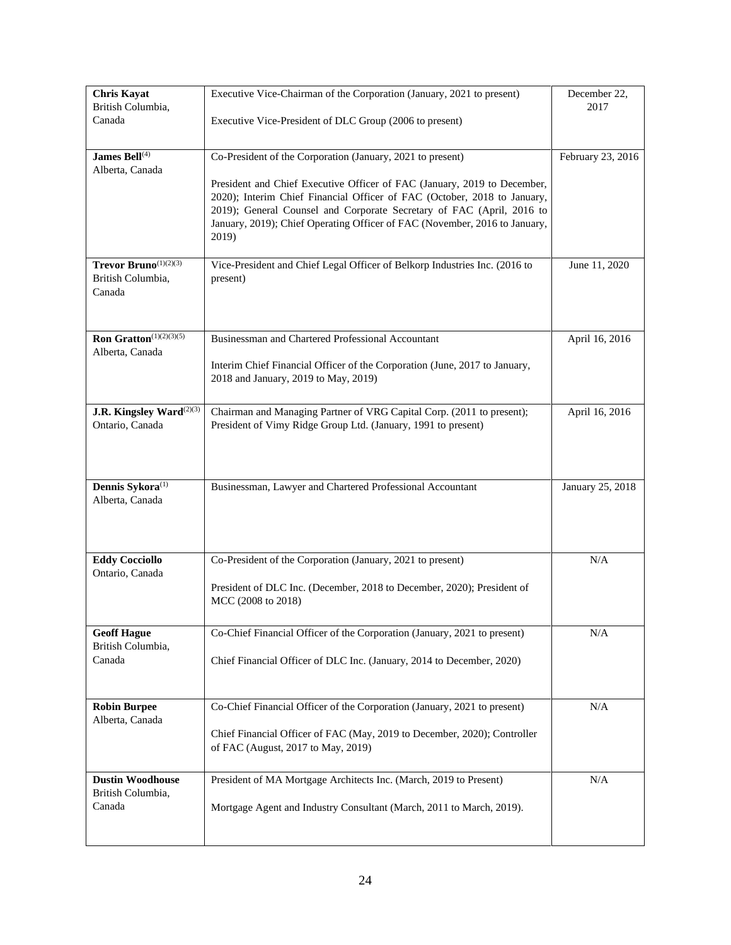| <b>Chris Kayat</b><br>British Columbia,      | Executive Vice-Chairman of the Corporation (January, 2021 to present)                                                                             | December 22,<br>2017 |
|----------------------------------------------|---------------------------------------------------------------------------------------------------------------------------------------------------|----------------------|
| Canada                                       | Executive Vice-President of DLC Group (2006 to present)                                                                                           |                      |
|                                              |                                                                                                                                                   |                      |
| James Bell <sup>(4)</sup><br>Alberta, Canada | Co-President of the Corporation (January, 2021 to present)                                                                                        | February 23, 2016    |
|                                              | President and Chief Executive Officer of FAC (January, 2019 to December,                                                                          |                      |
|                                              | 2020); Interim Chief Financial Officer of FAC (October, 2018 to January,<br>2019); General Counsel and Corporate Secretary of FAC (April, 2016 to |                      |
|                                              | January, 2019); Chief Operating Officer of FAC (November, 2016 to January,                                                                        |                      |
|                                              | 2019)                                                                                                                                             |                      |
| Trevor Bruno $(1)(2)(3)$                     | Vice-President and Chief Legal Officer of Belkorp Industries Inc. (2016 to                                                                        | June 11, 2020        |
| British Columbia,<br>Canada                  | present)                                                                                                                                          |                      |
|                                              |                                                                                                                                                   |                      |
| Ron Gratton(1)(2)(3)(5)                      | Businessman and Chartered Professional Accountant                                                                                                 | April 16, 2016       |
| Alberta, Canada                              |                                                                                                                                                   |                      |
|                                              | Interim Chief Financial Officer of the Corporation (June, 2017 to January,<br>2018 and January, 2019 to May, 2019)                                |                      |
|                                              |                                                                                                                                                   |                      |
| J.R. Kingsley Ward <sup>(2)(3)</sup>         | Chairman and Managing Partner of VRG Capital Corp. (2011 to present);                                                                             | April 16, 2016       |
| Ontario, Canada                              | President of Vimy Ridge Group Ltd. (January, 1991 to present)                                                                                     |                      |
|                                              |                                                                                                                                                   |                      |
| Dennis Sykora $^{(1)}$                       |                                                                                                                                                   |                      |
| Alberta, Canada                              | Businessman, Lawyer and Chartered Professional Accountant                                                                                         | January 25, 2018     |
|                                              |                                                                                                                                                   |                      |
|                                              |                                                                                                                                                   |                      |
| <b>Eddy Cocciollo</b>                        | Co-President of the Corporation (January, 2021 to present)                                                                                        | N/A                  |
| Ontario, Canada                              | President of DLC Inc. (December, 2018 to December, 2020); President of                                                                            |                      |
|                                              | MCC (2008 to 2018)                                                                                                                                |                      |
| <b>Geoff Hague</b>                           | Co-Chief Financial Officer of the Corporation (January, 2021 to present)                                                                          | N/A                  |
| British Columbia,                            |                                                                                                                                                   |                      |
| Canada                                       | Chief Financial Officer of DLC Inc. (January, 2014 to December, 2020)                                                                             |                      |
|                                              |                                                                                                                                                   |                      |
| <b>Robin Burpee</b><br>Alberta, Canada       | Co-Chief Financial Officer of the Corporation (January, 2021 to present)                                                                          | N/A                  |
|                                              | Chief Financial Officer of FAC (May, 2019 to December, 2020); Controller                                                                          |                      |
|                                              | of FAC (August, 2017 to May, 2019)                                                                                                                |                      |
| <b>Dustin Woodhouse</b>                      | President of MA Mortgage Architects Inc. (March, 2019 to Present)                                                                                 | $\rm N/A$            |
| British Columbia,<br>Canada                  | Mortgage Agent and Industry Consultant (March, 2011 to March, 2019).                                                                              |                      |
|                                              |                                                                                                                                                   |                      |
|                                              |                                                                                                                                                   |                      |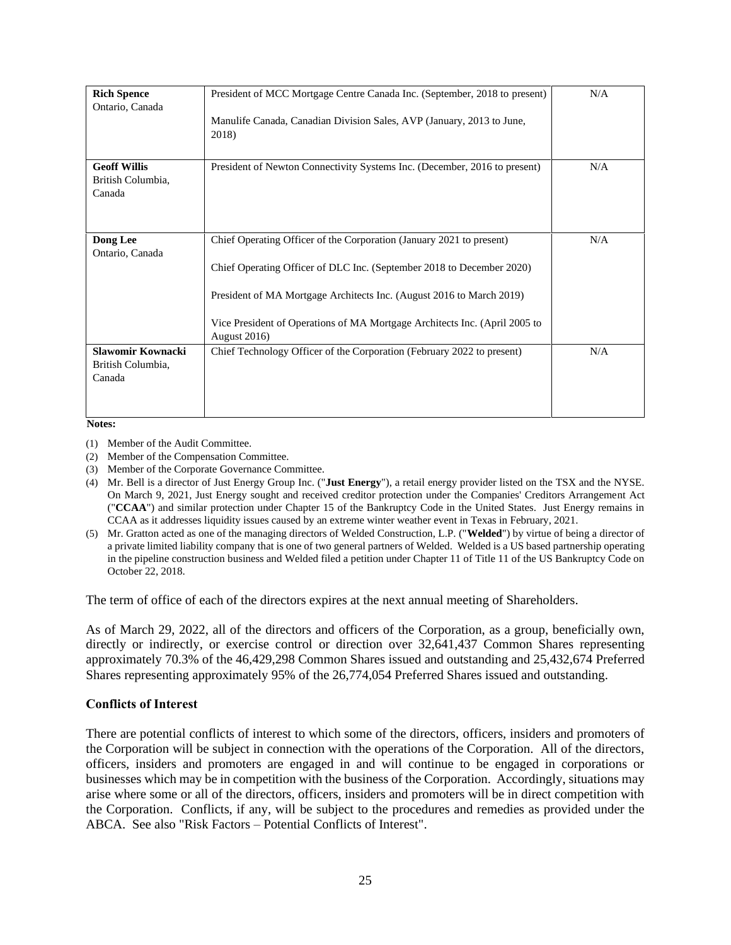| <b>Rich Spence</b><br>Ontario, Canada              | President of MCC Mortgage Centre Canada Inc. (September, 2018 to present)                                                                                                                                                                                                                                                   | N/A |
|----------------------------------------------------|-----------------------------------------------------------------------------------------------------------------------------------------------------------------------------------------------------------------------------------------------------------------------------------------------------------------------------|-----|
|                                                    | Manulife Canada, Canadian Division Sales, AVP (January, 2013 to June,<br>2018)                                                                                                                                                                                                                                              |     |
| <b>Geoff Willis</b><br>British Columbia,<br>Canada | President of Newton Connectivity Systems Inc. (December, 2016 to present)                                                                                                                                                                                                                                                   | N/A |
| <b>Dong Lee</b><br>Ontario, Canada                 | Chief Operating Officer of the Corporation (January 2021 to present)<br>Chief Operating Officer of DLC Inc. (September 2018 to December 2020)<br>President of MA Mortgage Architects Inc. (August 2016 to March 2019)<br>Vice President of Operations of MA Mortgage Architects Inc. (April 2005 to<br><b>August 2016</b> ) | N/A |
| Slawomir Kownacki<br>British Columbia,<br>Canada   | Chief Technology Officer of the Corporation (February 2022 to present)                                                                                                                                                                                                                                                      | N/A |

**Notes:**

- (1) Member of the Audit Committee.
- (2) Member of the Compensation Committee.
- (3) Member of the Corporate Governance Committee.
- (4) Mr. Bell is a director of Just Energy Group Inc. ("**Just Energy**"), a retail energy provider listed on the TSX and the NYSE. On March 9, 2021, Just Energy sought and received creditor protection under the Companies' Creditors Arrangement Act ("**CCAA**") and similar protection under Chapter 15 of the Bankruptcy Code in the United States. Just Energy remains in CCAA as it addresses liquidity issues caused by an extreme winter weather event in Texas in February, 2021.
- (5) Mr. Gratton acted as one of the managing directors of Welded Construction, L.P. ("**Welded**") by virtue of being a director of a private limited liability company that is one of two general partners of Welded. Welded is a US based partnership operating in the pipeline construction business and Welded filed a petition under Chapter 11 of Title 11 of the US Bankruptcy Code on October 22, 2018.

The term of office of each of the directors expires at the next annual meeting of Shareholders.

As of March 29, 2022, all of the directors and officers of the Corporation, as a group, beneficially own, directly or indirectly, or exercise control or direction over 32,641,437 Common Shares representing approximately 70.3% of the 46,429,298 Common Shares issued and outstanding and 25,432,674 Preferred Shares representing approximately 95% of the 26,774,054 Preferred Shares issued and outstanding.

#### <span id="page-27-0"></span>**Conflicts of Interest**

There are potential conflicts of interest to which some of the directors, officers, insiders and promoters of the Corporation will be subject in connection with the operations of the Corporation. All of the directors, officers, insiders and promoters are engaged in and will continue to be engaged in corporations or businesses which may be in competition with the business of the Corporation. Accordingly, situations may arise where some or all of the directors, officers, insiders and promoters will be in direct competition with the Corporation. Conflicts, if any, will be subject to the procedures and remedies as provided under the ABCA. See also "Risk Factors – Potential Conflicts of Interest".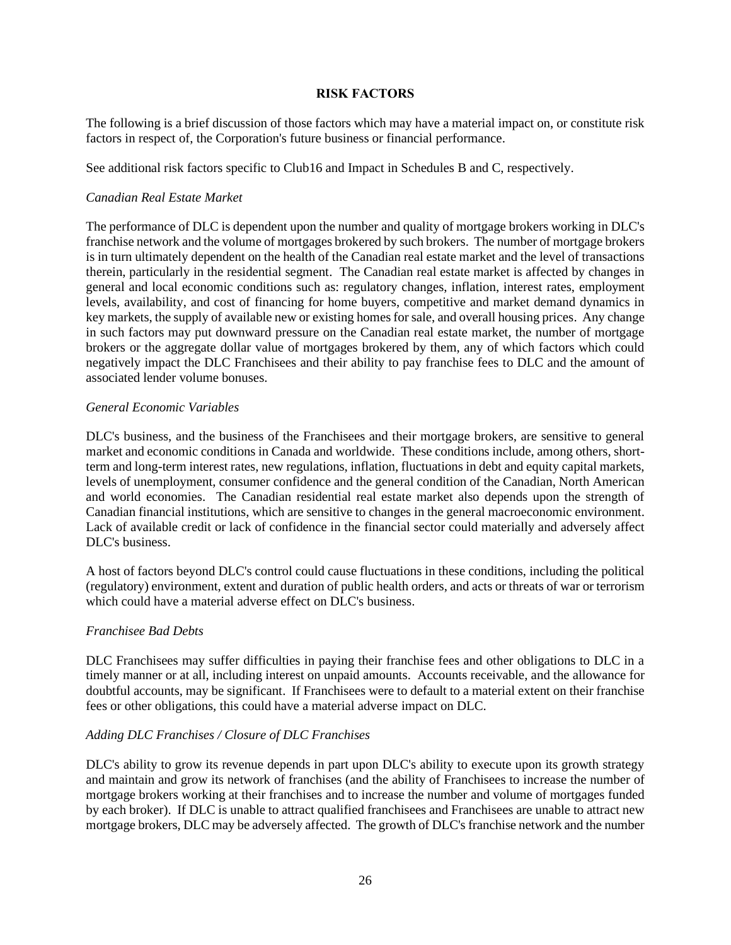## **RISK FACTORS**

<span id="page-28-0"></span>The following is a brief discussion of those factors which may have a material impact on, or constitute risk factors in respect of, the Corporation's future business or financial performance.

See additional risk factors specific to Club16 and Impact in Schedules B and C, respectively.

### *Canadian Real Estate Market*

The performance of DLC is dependent upon the number and quality of mortgage brokers working in DLC's franchise network and the volume of mortgages brokered by such brokers. The number of mortgage brokers is in turn ultimately dependent on the health of the Canadian real estate market and the level of transactions therein, particularly in the residential segment. The Canadian real estate market is affected by changes in general and local economic conditions such as: regulatory changes, inflation, interest rates, employment levels, availability, and cost of financing for home buyers, competitive and market demand dynamics in key markets, the supply of available new or existing homes for sale, and overall housing prices. Any change in such factors may put downward pressure on the Canadian real estate market, the number of mortgage brokers or the aggregate dollar value of mortgages brokered by them, any of which factors which could negatively impact the DLC Franchisees and their ability to pay franchise fees to DLC and the amount of associated lender volume bonuses.

### *General Economic Variables*

DLC's business, and the business of the Franchisees and their mortgage brokers, are sensitive to general market and economic conditions in Canada and worldwide. These conditions include, among others, shortterm and long-term interest rates, new regulations, inflation, fluctuations in debt and equity capital markets, levels of unemployment, consumer confidence and the general condition of the Canadian, North American and world economies. The Canadian residential real estate market also depends upon the strength of Canadian financial institutions, which are sensitive to changes in the general macroeconomic environment. Lack of available credit or lack of confidence in the financial sector could materially and adversely affect DLC's business.

A host of factors beyond DLC's control could cause fluctuations in these conditions, including the political (regulatory) environment, extent and duration of public health orders, and acts or threats of war or terrorism which could have a material adverse effect on DLC's business.

## *Franchisee Bad Debts*

DLC Franchisees may suffer difficulties in paying their franchise fees and other obligations to DLC in a timely manner or at all, including interest on unpaid amounts. Accounts receivable, and the allowance for doubtful accounts, may be significant. If Franchisees were to default to a material extent on their franchise fees or other obligations, this could have a material adverse impact on DLC.

## *Adding DLC Franchises / Closure of DLC Franchises*

DLC's ability to grow its revenue depends in part upon DLC's ability to execute upon its growth strategy and maintain and grow its network of franchises (and the ability of Franchisees to increase the number of mortgage brokers working at their franchises and to increase the number and volume of mortgages funded by each broker). If DLC is unable to attract qualified franchisees and Franchisees are unable to attract new mortgage brokers, DLC may be adversely affected. The growth of DLC's franchise network and the number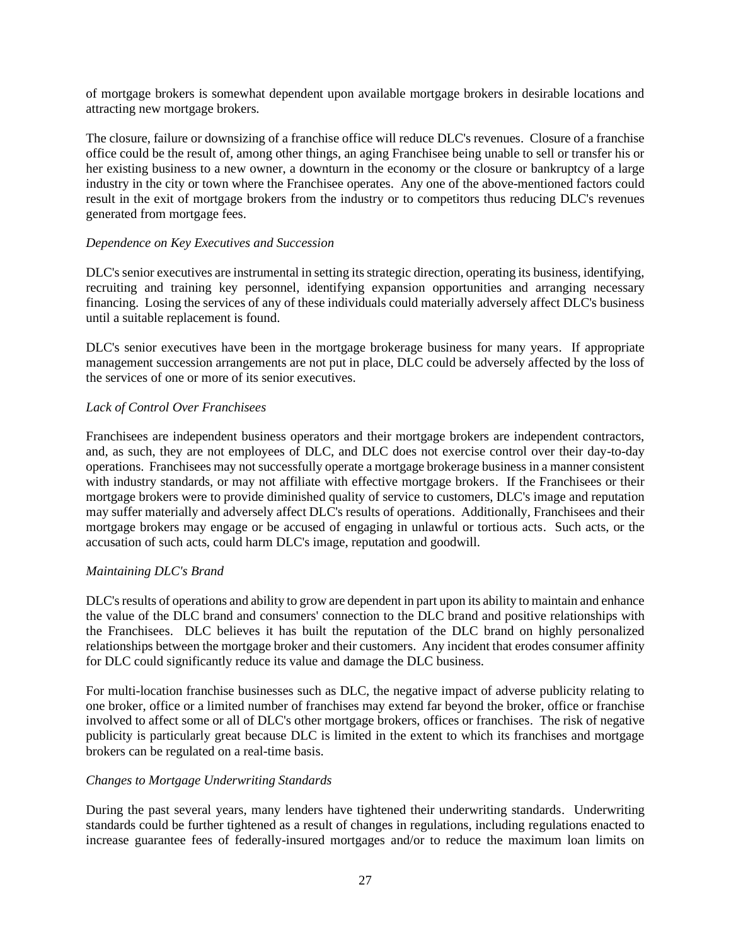of mortgage brokers is somewhat dependent upon available mortgage brokers in desirable locations and attracting new mortgage brokers.

The closure, failure or downsizing of a franchise office will reduce DLC's revenues. Closure of a franchise office could be the result of, among other things, an aging Franchisee being unable to sell or transfer his or her existing business to a new owner, a downturn in the economy or the closure or bankruptcy of a large industry in the city or town where the Franchisee operates. Any one of the above-mentioned factors could result in the exit of mortgage brokers from the industry or to competitors thus reducing DLC's revenues generated from mortgage fees.

## *Dependence on Key Executives and Succession*

DLC's senior executives are instrumental in setting its strategic direction, operating its business, identifying, recruiting and training key personnel, identifying expansion opportunities and arranging necessary financing. Losing the services of any of these individuals could materially adversely affect DLC's business until a suitable replacement is found.

DLC's senior executives have been in the mortgage brokerage business for many years. If appropriate management succession arrangements are not put in place, DLC could be adversely affected by the loss of the services of one or more of its senior executives.

## *Lack of Control Over Franchisees*

Franchisees are independent business operators and their mortgage brokers are independent contractors, and, as such, they are not employees of DLC, and DLC does not exercise control over their day-to-day operations. Franchisees may not successfully operate a mortgage brokerage business in a manner consistent with industry standards, or may not affiliate with effective mortgage brokers. If the Franchisees or their mortgage brokers were to provide diminished quality of service to customers, DLC's image and reputation may suffer materially and adversely affect DLC's results of operations. Additionally, Franchisees and their mortgage brokers may engage or be accused of engaging in unlawful or tortious acts. Such acts, or the accusation of such acts, could harm DLC's image, reputation and goodwill.

## *Maintaining DLC's Brand*

DLC's results of operations and ability to grow are dependent in part upon its ability to maintain and enhance the value of the DLC brand and consumers' connection to the DLC brand and positive relationships with the Franchisees. DLC believes it has built the reputation of the DLC brand on highly personalized relationships between the mortgage broker and their customers. Any incident that erodes consumer affinity for DLC could significantly reduce its value and damage the DLC business.

For multi-location franchise businesses such as DLC, the negative impact of adverse publicity relating to one broker, office or a limited number of franchises may extend far beyond the broker, office or franchise involved to affect some or all of DLC's other mortgage brokers, offices or franchises. The risk of negative publicity is particularly great because DLC is limited in the extent to which its franchises and mortgage brokers can be regulated on a real-time basis.

## *Changes to Mortgage Underwriting Standards*

During the past several years, many lenders have tightened their underwriting standards. Underwriting standards could be further tightened as a result of changes in regulations, including regulations enacted to increase guarantee fees of federally-insured mortgages and/or to reduce the maximum loan limits on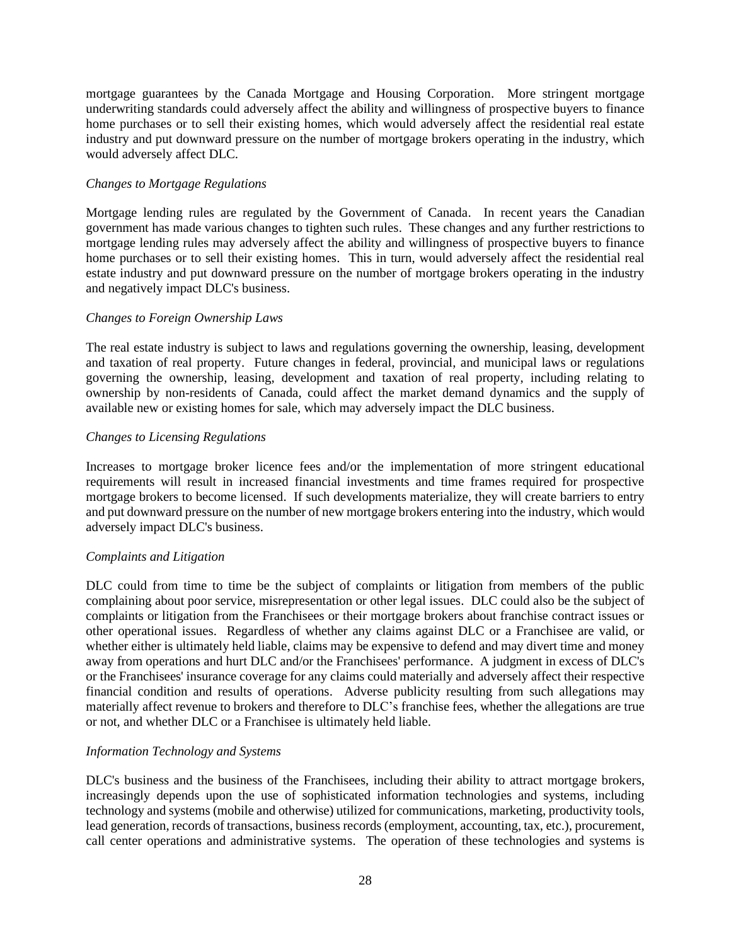mortgage guarantees by the Canada Mortgage and Housing Corporation. More stringent mortgage underwriting standards could adversely affect the ability and willingness of prospective buyers to finance home purchases or to sell their existing homes, which would adversely affect the residential real estate industry and put downward pressure on the number of mortgage brokers operating in the industry, which would adversely affect DLC.

## *Changes to Mortgage Regulations*

Mortgage lending rules are regulated by the Government of Canada. In recent years the Canadian government has made various changes to tighten such rules. These changes and any further restrictions to mortgage lending rules may adversely affect the ability and willingness of prospective buyers to finance home purchases or to sell their existing homes. This in turn, would adversely affect the residential real estate industry and put downward pressure on the number of mortgage brokers operating in the industry and negatively impact DLC's business.

## *Changes to Foreign Ownership Laws*

The real estate industry is subject to laws and regulations governing the ownership, leasing, development and taxation of real property. Future changes in federal, provincial, and municipal laws or regulations governing the ownership, leasing, development and taxation of real property, including relating to ownership by non-residents of Canada, could affect the market demand dynamics and the supply of available new or existing homes for sale, which may adversely impact the DLC business.

## *Changes to Licensing Regulations*

Increases to mortgage broker licence fees and/or the implementation of more stringent educational requirements will result in increased financial investments and time frames required for prospective mortgage brokers to become licensed. If such developments materialize, they will create barriers to entry and put downward pressure on the number of new mortgage brokers entering into the industry, which would adversely impact DLC's business.

## *Complaints and Litigation*

DLC could from time to time be the subject of complaints or litigation from members of the public complaining about poor service, misrepresentation or other legal issues. DLC could also be the subject of complaints or litigation from the Franchisees or their mortgage brokers about franchise contract issues or other operational issues. Regardless of whether any claims against DLC or a Franchisee are valid, or whether either is ultimately held liable, claims may be expensive to defend and may divert time and money away from operations and hurt DLC and/or the Franchisees' performance. A judgment in excess of DLC's or the Franchisees' insurance coverage for any claims could materially and adversely affect their respective financial condition and results of operations. Adverse publicity resulting from such allegations may materially affect revenue to brokers and therefore to DLC's franchise fees, whether the allegations are true or not, and whether DLC or a Franchisee is ultimately held liable.

## *Information Technology and Systems*

DLC's business and the business of the Franchisees, including their ability to attract mortgage brokers, increasingly depends upon the use of sophisticated information technologies and systems, including technology and systems (mobile and otherwise) utilized for communications, marketing, productivity tools, lead generation, records of transactions, business records (employment, accounting, tax, etc.), procurement, call center operations and administrative systems. The operation of these technologies and systems is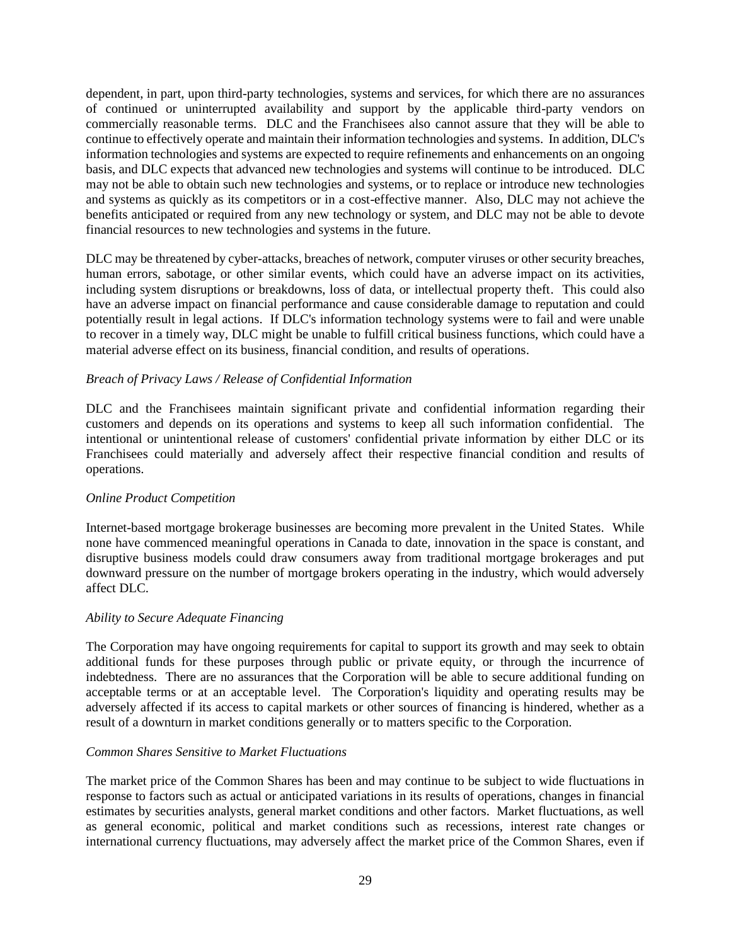dependent, in part, upon third-party technologies, systems and services, for which there are no assurances of continued or uninterrupted availability and support by the applicable third-party vendors on commercially reasonable terms. DLC and the Franchisees also cannot assure that they will be able to continue to effectively operate and maintain their information technologies and systems. In addition, DLC's information technologies and systems are expected to require refinements and enhancements on an ongoing basis, and DLC expects that advanced new technologies and systems will continue to be introduced. DLC may not be able to obtain such new technologies and systems, or to replace or introduce new technologies and systems as quickly as its competitors or in a cost-effective manner. Also, DLC may not achieve the benefits anticipated or required from any new technology or system, and DLC may not be able to devote financial resources to new technologies and systems in the future.

DLC may be threatened by cyber-attacks, breaches of network, computer viruses or other security breaches, human errors, sabotage, or other similar events, which could have an adverse impact on its activities, including system disruptions or breakdowns, loss of data, or intellectual property theft. This could also have an adverse impact on financial performance and cause considerable damage to reputation and could potentially result in legal actions. If DLC's information technology systems were to fail and were unable to recover in a timely way, DLC might be unable to fulfill critical business functions, which could have a material adverse effect on its business, financial condition, and results of operations.

## *Breach of Privacy Laws / Release of Confidential Information*

DLC and the Franchisees maintain significant private and confidential information regarding their customers and depends on its operations and systems to keep all such information confidential. The intentional or unintentional release of customers' confidential private information by either DLC or its Franchisees could materially and adversely affect their respective financial condition and results of operations.

#### *Online Product Competition*

Internet-based mortgage brokerage businesses are becoming more prevalent in the United States. While none have commenced meaningful operations in Canada to date, innovation in the space is constant, and disruptive business models could draw consumers away from traditional mortgage brokerages and put downward pressure on the number of mortgage brokers operating in the industry, which would adversely affect DLC.

#### *Ability to Secure Adequate Financing*

The Corporation may have ongoing requirements for capital to support its growth and may seek to obtain additional funds for these purposes through public or private equity, or through the incurrence of indebtedness. There are no assurances that the Corporation will be able to secure additional funding on acceptable terms or at an acceptable level. The Corporation's liquidity and operating results may be adversely affected if its access to capital markets or other sources of financing is hindered, whether as a result of a downturn in market conditions generally or to matters specific to the Corporation.

#### *Common Shares Sensitive to Market Fluctuations*

The market price of the Common Shares has been and may continue to be subject to wide fluctuations in response to factors such as actual or anticipated variations in its results of operations, changes in financial estimates by securities analysts, general market conditions and other factors. Market fluctuations, as well as general economic, political and market conditions such as recessions, interest rate changes or international currency fluctuations, may adversely affect the market price of the Common Shares, even if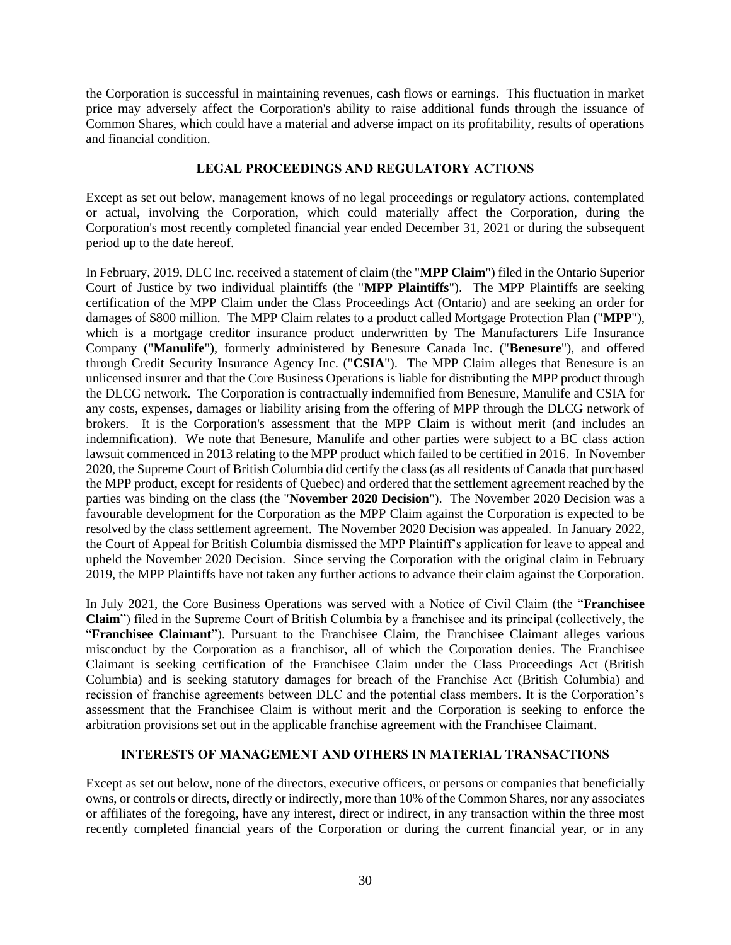the Corporation is successful in maintaining revenues, cash flows or earnings. This fluctuation in market price may adversely affect the Corporation's ability to raise additional funds through the issuance of Common Shares, which could have a material and adverse impact on its profitability, results of operations and financial condition.

## **LEGAL PROCEEDINGS AND REGULATORY ACTIONS**

<span id="page-32-0"></span>Except as set out below, management knows of no legal proceedings or regulatory actions, contemplated or actual, involving the Corporation, which could materially affect the Corporation, during the Corporation's most recently completed financial year ended December 31, 2021 or during the subsequent period up to the date hereof.

In February, 2019, DLC Inc. received a statement of claim (the "**MPP Claim**") filed in the Ontario Superior Court of Justice by two individual plaintiffs (the "**MPP Plaintiffs**"). The MPP Plaintiffs are seeking certification of the MPP Claim under the Class Proceedings Act (Ontario) and are seeking an order for damages of \$800 million. The MPP Claim relates to a product called Mortgage Protection Plan ("**MPP**"), which is a mortgage creditor insurance product underwritten by The Manufacturers Life Insurance Company ("**Manulife**"), formerly administered by Benesure Canada Inc. ("**Benesure**"), and offered through Credit Security Insurance Agency Inc. ("**CSIA**"). The MPP Claim alleges that Benesure is an unlicensed insurer and that the Core Business Operations is liable for distributing the MPP product through the DLCG network. The Corporation is contractually indemnified from Benesure, Manulife and CSIA for any costs, expenses, damages or liability arising from the offering of MPP through the DLCG network of brokers. It is the Corporation's assessment that the MPP Claim is without merit (and includes an indemnification). We note that Benesure, Manulife and other parties were subject to a BC class action lawsuit commenced in 2013 relating to the MPP product which failed to be certified in 2016. In November 2020, the Supreme Court of British Columbia did certify the class (as all residents of Canada that purchased the MPP product, except for residents of Quebec) and ordered that the settlement agreement reached by the parties was binding on the class (the "**November 2020 Decision**"). The November 2020 Decision was a favourable development for the Corporation as the MPP Claim against the Corporation is expected to be resolved by the class settlement agreement. The November 2020 Decision was appealed. In January 2022, the Court of Appeal for British Columbia dismissed the MPP Plaintiff's application for leave to appeal and upheld the November 2020 Decision. Since serving the Corporation with the original claim in February 2019, the MPP Plaintiffs have not taken any further actions to advance their claim against the Corporation.

In July 2021, the Core Business Operations was served with a Notice of Civil Claim (the "**Franchisee Claim**") filed in the Supreme Court of British Columbia by a franchisee and its principal (collectively, the "**Franchisee Claimant**"). Pursuant to the Franchisee Claim, the Franchisee Claimant alleges various misconduct by the Corporation as a franchisor, all of which the Corporation denies. The Franchisee Claimant is seeking certification of the Franchisee Claim under the Class Proceedings Act (British Columbia) and is seeking statutory damages for breach of the Franchise Act (British Columbia) and recission of franchise agreements between DLC and the potential class members. It is the Corporation's assessment that the Franchisee Claim is without merit and the Corporation is seeking to enforce the arbitration provisions set out in the applicable franchise agreement with the Franchisee Claimant.

# **INTERESTS OF MANAGEMENT AND OTHERS IN MATERIAL TRANSACTIONS**

<span id="page-32-1"></span>Except as set out below, none of the directors, executive officers, or persons or companies that beneficially owns, or controls or directs, directly or indirectly, more than 10% of the Common Shares, nor any associates or affiliates of the foregoing, have any interest, direct or indirect, in any transaction within the three most recently completed financial years of the Corporation or during the current financial year, or in any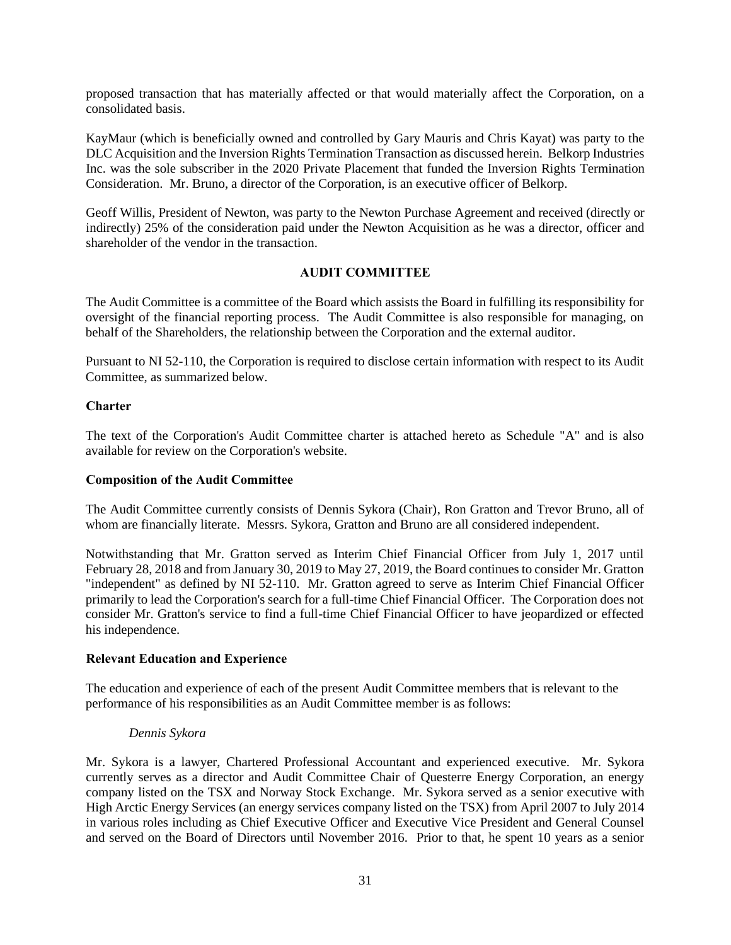proposed transaction that has materially affected or that would materially affect the Corporation, on a consolidated basis.

KayMaur (which is beneficially owned and controlled by Gary Mauris and Chris Kayat) was party to the DLC Acquisition and the Inversion Rights Termination Transaction as discussed herein. Belkorp Industries Inc. was the sole subscriber in the 2020 Private Placement that funded the Inversion Rights Termination Consideration. Mr. Bruno, a director of the Corporation, is an executive officer of Belkorp.

Geoff Willis, President of Newton, was party to the Newton Purchase Agreement and received (directly or indirectly) 25% of the consideration paid under the Newton Acquisition as he was a director, officer and shareholder of the vendor in the transaction.

# **AUDIT COMMITTEE**

<span id="page-33-0"></span>The Audit Committee is a committee of the Board which assists the Board in fulfilling its responsibility for oversight of the financial reporting process. The Audit Committee is also responsible for managing, on behalf of the Shareholders, the relationship between the Corporation and the external auditor.

Pursuant to NI 52-110, the Corporation is required to disclose certain information with respect to its Audit Committee, as summarized below.

## <span id="page-33-1"></span>**Charter**

The text of the Corporation's Audit Committee charter is attached hereto as Schedule "A" and is also available for review on the Corporation's website.

### <span id="page-33-2"></span>**Composition of the Audit Committee**

The Audit Committee currently consists of Dennis Sykora (Chair), Ron Gratton and Trevor Bruno, all of whom are financially literate. Messrs. Sykora, Gratton and Bruno are all considered independent.

Notwithstanding that Mr. Gratton served as Interim Chief Financial Officer from July 1, 2017 until February 28, 2018 and from January 30, 2019 to May 27, 2019, the Board continues to consider Mr. Gratton "independent" as defined by NI 52-110. Mr. Gratton agreed to serve as Interim Chief Financial Officer primarily to lead the Corporation's search for a full-time Chief Financial Officer. The Corporation does not consider Mr. Gratton's service to find a full-time Chief Financial Officer to have jeopardized or effected his independence.

#### <span id="page-33-3"></span>**Relevant Education and Experience**

The education and experience of each of the present Audit Committee members that is relevant to the performance of his responsibilities as an Audit Committee member is as follows:

#### *Dennis Sykora*

Mr. Sykora is a lawyer, Chartered Professional Accountant and experienced executive. Mr. Sykora currently serves as a director and Audit Committee Chair of Questerre Energy Corporation, an energy company listed on the TSX and Norway Stock Exchange. Mr. Sykora served as a senior executive with High Arctic Energy Services (an energy services company listed on the TSX) from April 2007 to July 2014 in various roles including as Chief Executive Officer and Executive Vice President and General Counsel and served on the Board of Directors until November 2016. Prior to that, he spent 10 years as a senior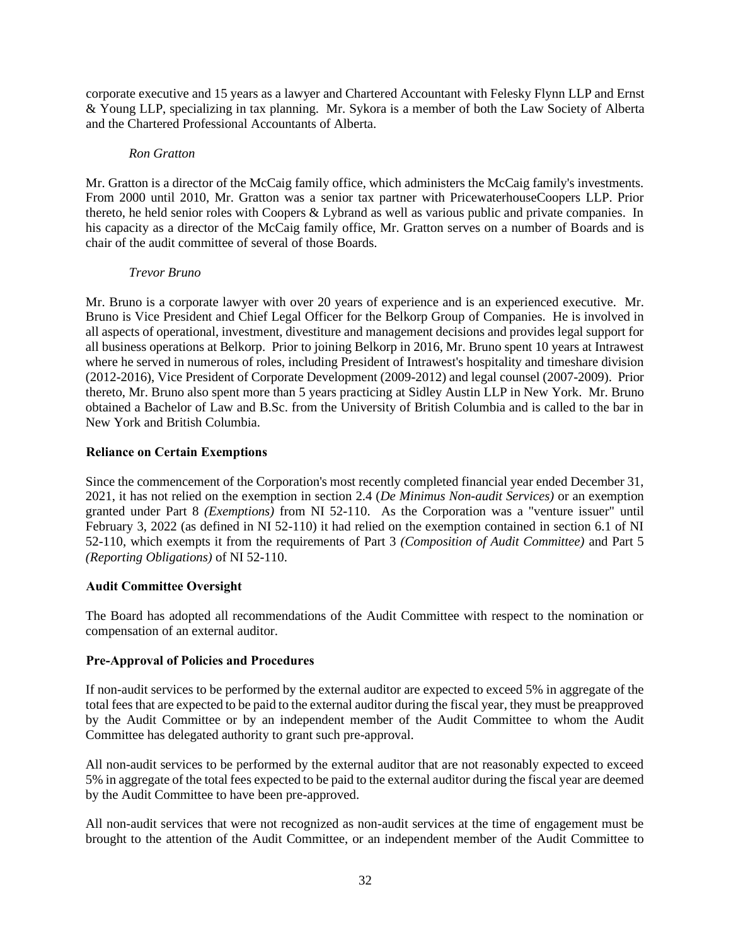corporate executive and 15 years as a lawyer and Chartered Accountant with Felesky Flynn LLP and Ernst & Young LLP, specializing in tax planning. Mr. Sykora is a member of both the Law Society of Alberta and the Chartered Professional Accountants of Alberta.

### *Ron Gratton*

Mr. Gratton is a director of the McCaig family office, which administers the McCaig family's investments. From 2000 until 2010, Mr. Gratton was a senior tax partner with PricewaterhouseCoopers LLP. Prior thereto, he held senior roles with Coopers & Lybrand as well as various public and private companies. In his capacity as a director of the McCaig family office, Mr. Gratton serves on a number of Boards and is chair of the audit committee of several of those Boards.

## *Trevor Bruno*

Mr. Bruno is a corporate lawyer with over 20 years of experience and is an experienced executive. Mr. Bruno is Vice President and Chief Legal Officer for the Belkorp Group of Companies. He is involved in all aspects of operational, investment, divestiture and management decisions and provides legal support for all business operations at Belkorp. Prior to joining Belkorp in 2016, Mr. Bruno spent 10 years at Intrawest where he served in numerous of roles, including President of Intrawest's hospitality and timeshare division (2012-2016), Vice President of Corporate Development (2009-2012) and legal counsel (2007-2009). Prior thereto, Mr. Bruno also spent more than 5 years practicing at Sidley Austin LLP in New York. Mr. Bruno obtained a Bachelor of Law and B.Sc. from the University of British Columbia and is called to the bar in New York and British Columbia.

## <span id="page-34-0"></span>**Reliance on Certain Exemptions**

Since the commencement of the Corporation's most recently completed financial year ended December 31, 2021, it has not relied on the exemption in section 2.4 (*De Minimus Non-audit Services)* or an exemption granted under Part 8 *(Exemptions)* from NI 52-110. As the Corporation was a "venture issuer" until February 3, 2022 (as defined in NI 52-110) it had relied on the exemption contained in section 6.1 of NI 52-110, which exempts it from the requirements of Part 3 *(Composition of Audit Committee)* and Part 5 *(Reporting Obligations)* of NI 52-110.

## <span id="page-34-1"></span>**Audit Committee Oversight**

The Board has adopted all recommendations of the Audit Committee with respect to the nomination or compensation of an external auditor.

# <span id="page-34-2"></span>**Pre-Approval of Policies and Procedures**

If non-audit services to be performed by the external auditor are expected to exceed 5% in aggregate of the total fees that are expected to be paid to the external auditor during the fiscal year, they must be preapproved by the Audit Committee or by an independent member of the Audit Committee to whom the Audit Committee has delegated authority to grant such pre-approval.

All non-audit services to be performed by the external auditor that are not reasonably expected to exceed 5% in aggregate of the total fees expected to be paid to the external auditor during the fiscal year are deemed by the Audit Committee to have been pre-approved.

All non-audit services that were not recognized as non-audit services at the time of engagement must be brought to the attention of the Audit Committee, or an independent member of the Audit Committee to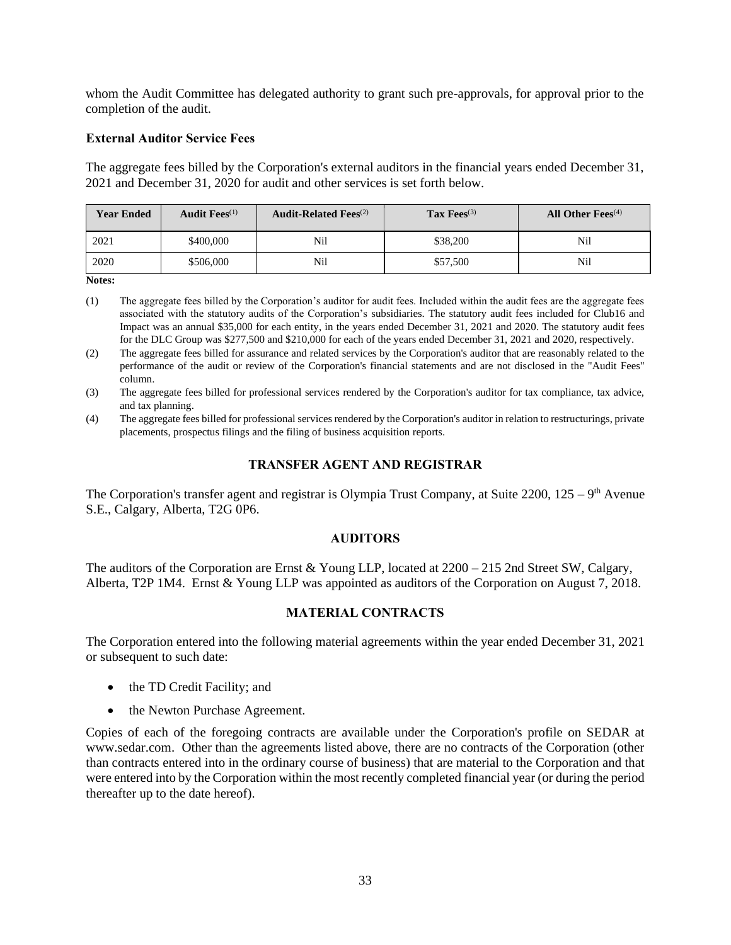whom the Audit Committee has delegated authority to grant such pre-approvals, for approval prior to the completion of the audit.

## <span id="page-35-0"></span>**External Auditor Service Fees**

The aggregate fees billed by the Corporation's external auditors in the financial years ended December 31, 2021 and December 31, 2020 for audit and other services is set forth below.

| <b>Year Ended</b> | Audit $\text{Fees}^{(1)}$ | <b>Audit-Related Fees</b> <sup>(2)</sup> | Tax $\text{Fees}^{(3)}$ | All Other $\text{Fees}^{(4)}$ |
|-------------------|---------------------------|------------------------------------------|-------------------------|-------------------------------|
| 2021              | \$400,000                 | Nil                                      | \$38,200                | Nil                           |
| 2020              | \$506,000                 | Nï                                       | \$57,500                | Nil                           |

**Notes:**

- (1) The aggregate fees billed by the Corporation's auditor for audit fees. Included within the audit fees are the aggregate fees associated with the statutory audits of the Corporation's subsidiaries. The statutory audit fees included for Club16 and Impact was an annual \$35,000 for each entity, in the years ended December 31, 2021 and 2020. The statutory audit fees for the DLC Group was \$277,500 and \$210,000 for each of the years ended December 31, 2021 and 2020, respectively.
- (2) The aggregate fees billed for assurance and related services by the Corporation's auditor that are reasonably related to the performance of the audit or review of the Corporation's financial statements and are not disclosed in the "Audit Fees" column.
- (3) The aggregate fees billed for professional services rendered by the Corporation's auditor for tax compliance, tax advice, and tax planning.
- (4) The aggregate fees billed for professional services rendered by the Corporation's auditor in relation to restructurings, private placements, prospectus filings and the filing of business acquisition reports.

## **TRANSFER AGENT AND REGISTRAR**

<span id="page-35-1"></span>The Corporation's transfer agent and registrar is Olympia Trust Company, at Suite  $2200$ ,  $125 - 9<sup>th</sup>$  Avenue S.E., Calgary, Alberta, T2G 0P6.

## **AUDITORS**

<span id="page-35-2"></span>The auditors of the Corporation are Ernst & Young LLP, located at 2200 – 215 2nd Street SW, Calgary, Alberta, T2P 1M4. Ernst & Young LLP was appointed as auditors of the Corporation on August 7, 2018.

## **MATERIAL CONTRACTS**

<span id="page-35-3"></span>The Corporation entered into the following material agreements within the year ended December 31, 2021 or subsequent to such date:

- the TD Credit Facility; and
- the Newton Purchase Agreement.

Copies of each of the foregoing contracts are available under the Corporation's profile on SEDAR at www.sedar.com. Other than the agreements listed above, there are no contracts of the Corporation (other than contracts entered into in the ordinary course of business) that are material to the Corporation and that were entered into by the Corporation within the most recently completed financial year (or during the period thereafter up to the date hereof).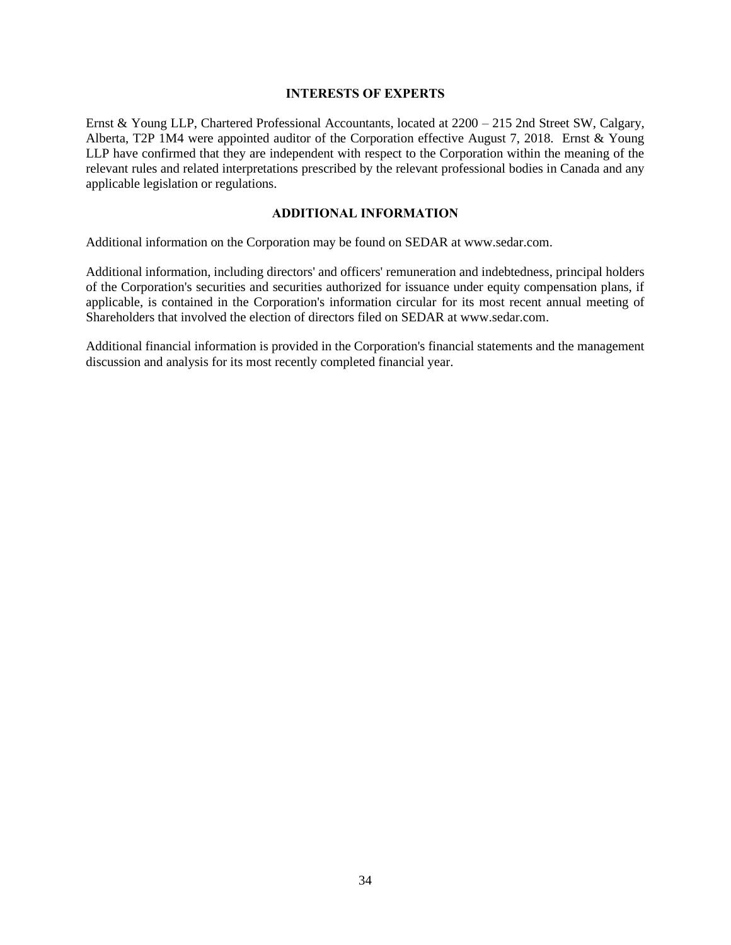### **INTERESTS OF EXPERTS**

<span id="page-36-0"></span>Ernst & Young LLP, Chartered Professional Accountants, located at 2200 – 215 2nd Street SW, Calgary, Alberta, T2P 1M4 were appointed auditor of the Corporation effective August 7, 2018. Ernst & Young LLP have confirmed that they are independent with respect to the Corporation within the meaning of the relevant rules and related interpretations prescribed by the relevant professional bodies in Canada and any applicable legislation or regulations.

## **ADDITIONAL INFORMATION**

<span id="page-36-1"></span>Additional information on the Corporation may be found on SEDAR at www.sedar.com.

Additional information, including directors' and officers' remuneration and indebtedness, principal holders of the Corporation's securities and securities authorized for issuance under equity compensation plans, if applicable, is contained in the Corporation's information circular for its most recent annual meeting of Shareholders that involved the election of directors filed on SEDAR at www.sedar.com.

Additional financial information is provided in the Corporation's financial statements and the management discussion and analysis for its most recently completed financial year.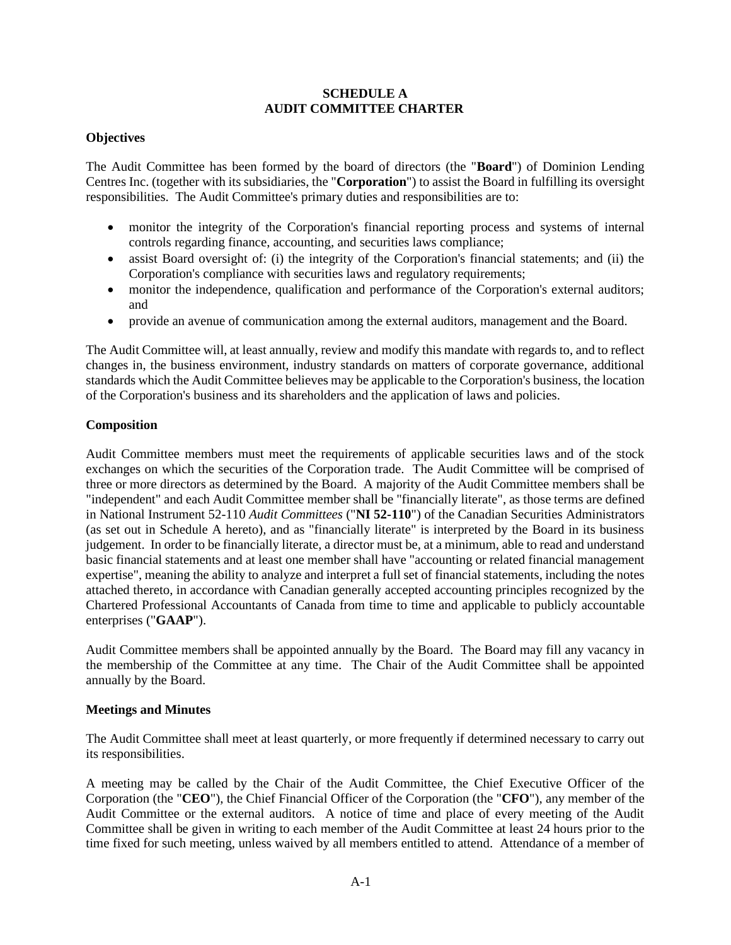## **SCHEDULE A AUDIT COMMITTEE CHARTER**

## **Objectives**

The Audit Committee has been formed by the board of directors (the "**Board**") of Dominion Lending Centres Inc. (together with its subsidiaries, the "**Corporation**") to assist the Board in fulfilling its oversight responsibilities. The Audit Committee's primary duties and responsibilities are to:

- monitor the integrity of the Corporation's financial reporting process and systems of internal controls regarding finance, accounting, and securities laws compliance;
- assist Board oversight of: (i) the integrity of the Corporation's financial statements; and (ii) the Corporation's compliance with securities laws and regulatory requirements;
- monitor the independence, qualification and performance of the Corporation's external auditors; and
- provide an avenue of communication among the external auditors, management and the Board.

The Audit Committee will, at least annually, review and modify this mandate with regards to, and to reflect changes in, the business environment, industry standards on matters of corporate governance, additional standards which the Audit Committee believes may be applicable to the Corporation's business, the location of the Corporation's business and its shareholders and the application of laws and policies.

## **Composition**

Audit Committee members must meet the requirements of applicable securities laws and of the stock exchanges on which the securities of the Corporation trade. The Audit Committee will be comprised of three or more directors as determined by the Board. A majority of the Audit Committee members shall be "independent" and each Audit Committee member shall be "financially literate", as those terms are defined in National Instrument 52-110 *Audit Committees* ("**NI 52-110**") of the Canadian Securities Administrators (as set out in Schedule A hereto), and as "financially literate" is interpreted by the Board in its business judgement. In order to be financially literate, a director must be, at a minimum, able to read and understand basic financial statements and at least one member shall have "accounting or related financial management expertise", meaning the ability to analyze and interpret a full set of financial statements, including the notes attached thereto, in accordance with Canadian generally accepted accounting principles recognized by the Chartered Professional Accountants of Canada from time to time and applicable to publicly accountable enterprises ("**GAAP**").

Audit Committee members shall be appointed annually by the Board. The Board may fill any vacancy in the membership of the Committee at any time. The Chair of the Audit Committee shall be appointed annually by the Board.

## **Meetings and Minutes**

The Audit Committee shall meet at least quarterly, or more frequently if determined necessary to carry out its responsibilities.

A meeting may be called by the Chair of the Audit Committee, the Chief Executive Officer of the Corporation (the "**CEO**"), the Chief Financial Officer of the Corporation (the "**CFO**"), any member of the Audit Committee or the external auditors. A notice of time and place of every meeting of the Audit Committee shall be given in writing to each member of the Audit Committee at least 24 hours prior to the time fixed for such meeting, unless waived by all members entitled to attend. Attendance of a member of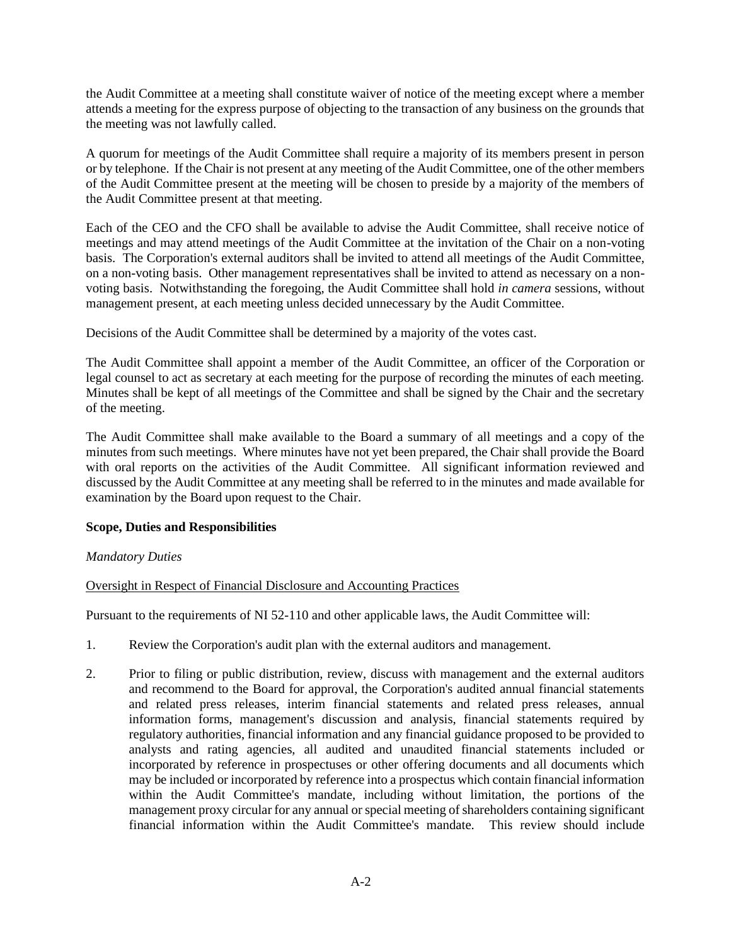the Audit Committee at a meeting shall constitute waiver of notice of the meeting except where a member attends a meeting for the express purpose of objecting to the transaction of any business on the grounds that the meeting was not lawfully called.

A quorum for meetings of the Audit Committee shall require a majority of its members present in person or by telephone. If the Chair is not present at any meeting of the Audit Committee, one of the other members of the Audit Committee present at the meeting will be chosen to preside by a majority of the members of the Audit Committee present at that meeting.

Each of the CEO and the CFO shall be available to advise the Audit Committee, shall receive notice of meetings and may attend meetings of the Audit Committee at the invitation of the Chair on a non-voting basis. The Corporation's external auditors shall be invited to attend all meetings of the Audit Committee, on a non-voting basis. Other management representatives shall be invited to attend as necessary on a nonvoting basis. Notwithstanding the foregoing, the Audit Committee shall hold *in camera* sessions, without management present, at each meeting unless decided unnecessary by the Audit Committee.

Decisions of the Audit Committee shall be determined by a majority of the votes cast.

The Audit Committee shall appoint a member of the Audit Committee, an officer of the Corporation or legal counsel to act as secretary at each meeting for the purpose of recording the minutes of each meeting. Minutes shall be kept of all meetings of the Committee and shall be signed by the Chair and the secretary of the meeting.

The Audit Committee shall make available to the Board a summary of all meetings and a copy of the minutes from such meetings. Where minutes have not yet been prepared, the Chair shall provide the Board with oral reports on the activities of the Audit Committee. All significant information reviewed and discussed by the Audit Committee at any meeting shall be referred to in the minutes and made available for examination by the Board upon request to the Chair.

# **Scope, Duties and Responsibilities**

# *Mandatory Duties*

# Oversight in Respect of Financial Disclosure and Accounting Practices

Pursuant to the requirements of NI 52-110 and other applicable laws, the Audit Committee will:

- 1. Review the Corporation's audit plan with the external auditors and management.
- 2. Prior to filing or public distribution, review, discuss with management and the external auditors and recommend to the Board for approval, the Corporation's audited annual financial statements and related press releases, interim financial statements and related press releases, annual information forms, management's discussion and analysis, financial statements required by regulatory authorities, financial information and any financial guidance proposed to be provided to analysts and rating agencies, all audited and unaudited financial statements included or incorporated by reference in prospectuses or other offering documents and all documents which may be included or incorporated by reference into a prospectus which contain financial information within the Audit Committee's mandate, including without limitation, the portions of the management proxy circular for any annual or special meeting of shareholders containing significant financial information within the Audit Committee's mandate. This review should include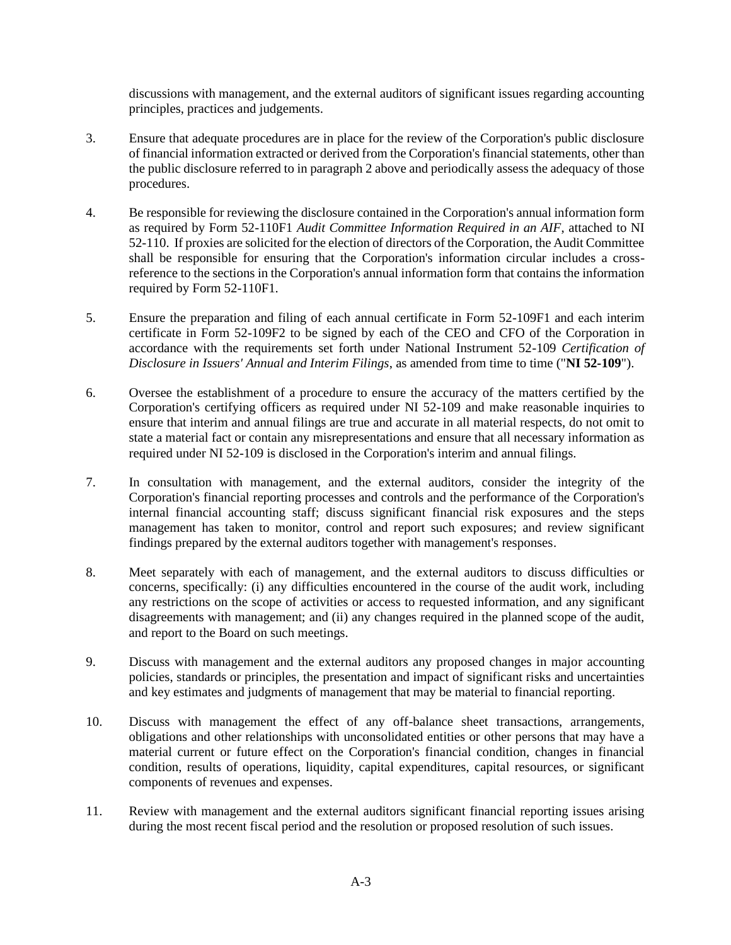discussions with management, and the external auditors of significant issues regarding accounting principles, practices and judgements.

- 3. Ensure that adequate procedures are in place for the review of the Corporation's public disclosure of financial information extracted or derived from the Corporation's financial statements, other than the public disclosure referred to in paragraph 2 above and periodically assess the adequacy of those procedures.
- 4. Be responsible for reviewing the disclosure contained in the Corporation's annual information form as required by Form 52-110F1 *Audit Committee Information Required in an AIF*, attached to NI 52-110. If proxies are solicited for the election of directors of the Corporation, the Audit Committee shall be responsible for ensuring that the Corporation's information circular includes a crossreference to the sections in the Corporation's annual information form that contains the information required by Form 52-110F1.
- 5. Ensure the preparation and filing of each annual certificate in Form 52-109F1 and each interim certificate in Form 52-109F2 to be signed by each of the CEO and CFO of the Corporation in accordance with the requirements set forth under National Instrument 52-109 *Certification of Disclosure in Issuers' Annual and Interim Filings*, as amended from time to time ("**NI 52-109**").
- 6. Oversee the establishment of a procedure to ensure the accuracy of the matters certified by the Corporation's certifying officers as required under NI 52-109 and make reasonable inquiries to ensure that interim and annual filings are true and accurate in all material respects, do not omit to state a material fact or contain any misrepresentations and ensure that all necessary information as required under NI 52-109 is disclosed in the Corporation's interim and annual filings.
- 7. In consultation with management, and the external auditors, consider the integrity of the Corporation's financial reporting processes and controls and the performance of the Corporation's internal financial accounting staff; discuss significant financial risk exposures and the steps management has taken to monitor, control and report such exposures; and review significant findings prepared by the external auditors together with management's responses.
- 8. Meet separately with each of management, and the external auditors to discuss difficulties or concerns, specifically: (i) any difficulties encountered in the course of the audit work, including any restrictions on the scope of activities or access to requested information, and any significant disagreements with management; and (ii) any changes required in the planned scope of the audit, and report to the Board on such meetings.
- 9. Discuss with management and the external auditors any proposed changes in major accounting policies, standards or principles, the presentation and impact of significant risks and uncertainties and key estimates and judgments of management that may be material to financial reporting.
- 10. Discuss with management the effect of any off-balance sheet transactions, arrangements, obligations and other relationships with unconsolidated entities or other persons that may have a material current or future effect on the Corporation's financial condition, changes in financial condition, results of operations, liquidity, capital expenditures, capital resources, or significant components of revenues and expenses.
- 11. Review with management and the external auditors significant financial reporting issues arising during the most recent fiscal period and the resolution or proposed resolution of such issues.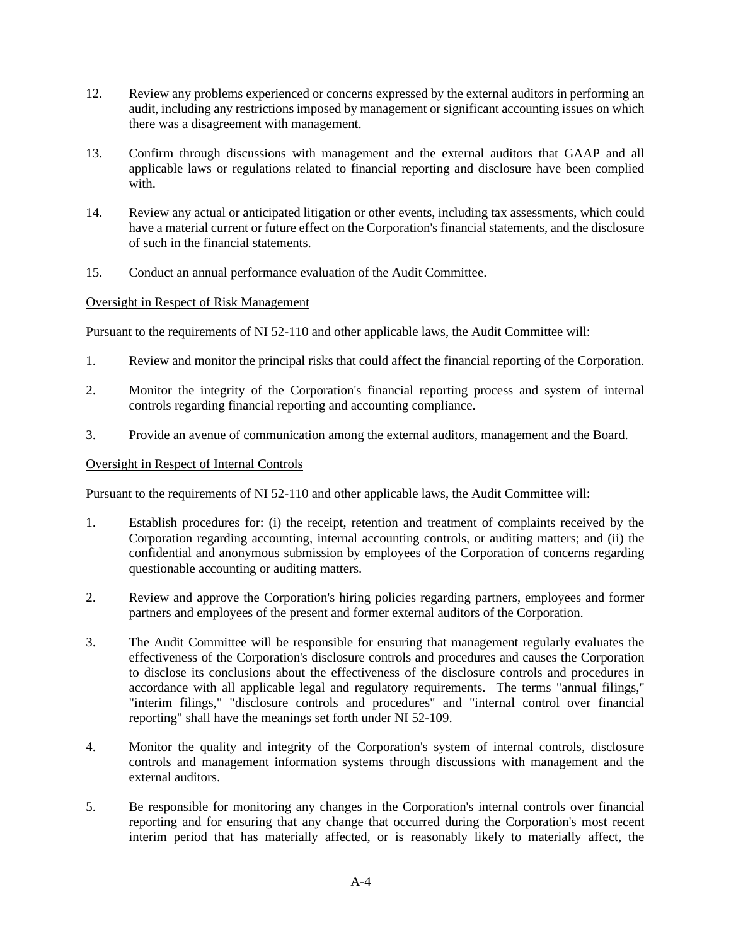- 12. Review any problems experienced or concerns expressed by the external auditors in performing an audit, including any restrictions imposed by management or significant accounting issues on which there was a disagreement with management.
- 13. Confirm through discussions with management and the external auditors that GAAP and all applicable laws or regulations related to financial reporting and disclosure have been complied with.
- 14. Review any actual or anticipated litigation or other events, including tax assessments, which could have a material current or future effect on the Corporation's financial statements, and the disclosure of such in the financial statements.
- 15. Conduct an annual performance evaluation of the Audit Committee.

## Oversight in Respect of Risk Management

Pursuant to the requirements of NI 52-110 and other applicable laws, the Audit Committee will:

- 1. Review and monitor the principal risks that could affect the financial reporting of the Corporation.
- 2. Monitor the integrity of the Corporation's financial reporting process and system of internal controls regarding financial reporting and accounting compliance.
- 3. Provide an avenue of communication among the external auditors, management and the Board.

## Oversight in Respect of Internal Controls

Pursuant to the requirements of NI 52-110 and other applicable laws, the Audit Committee will:

- 1. Establish procedures for: (i) the receipt, retention and treatment of complaints received by the Corporation regarding accounting, internal accounting controls, or auditing matters; and (ii) the confidential and anonymous submission by employees of the Corporation of concerns regarding questionable accounting or auditing matters.
- 2. Review and approve the Corporation's hiring policies regarding partners, employees and former partners and employees of the present and former external auditors of the Corporation.
- 3. The Audit Committee will be responsible for ensuring that management regularly evaluates the effectiveness of the Corporation's disclosure controls and procedures and causes the Corporation to disclose its conclusions about the effectiveness of the disclosure controls and procedures in accordance with all applicable legal and regulatory requirements. The terms "annual filings," "interim filings," "disclosure controls and procedures" and "internal control over financial reporting" shall have the meanings set forth under NI 52-109.
- 4. Monitor the quality and integrity of the Corporation's system of internal controls, disclosure controls and management information systems through discussions with management and the external auditors.
- 5. Be responsible for monitoring any changes in the Corporation's internal controls over financial reporting and for ensuring that any change that occurred during the Corporation's most recent interim period that has materially affected, or is reasonably likely to materially affect, the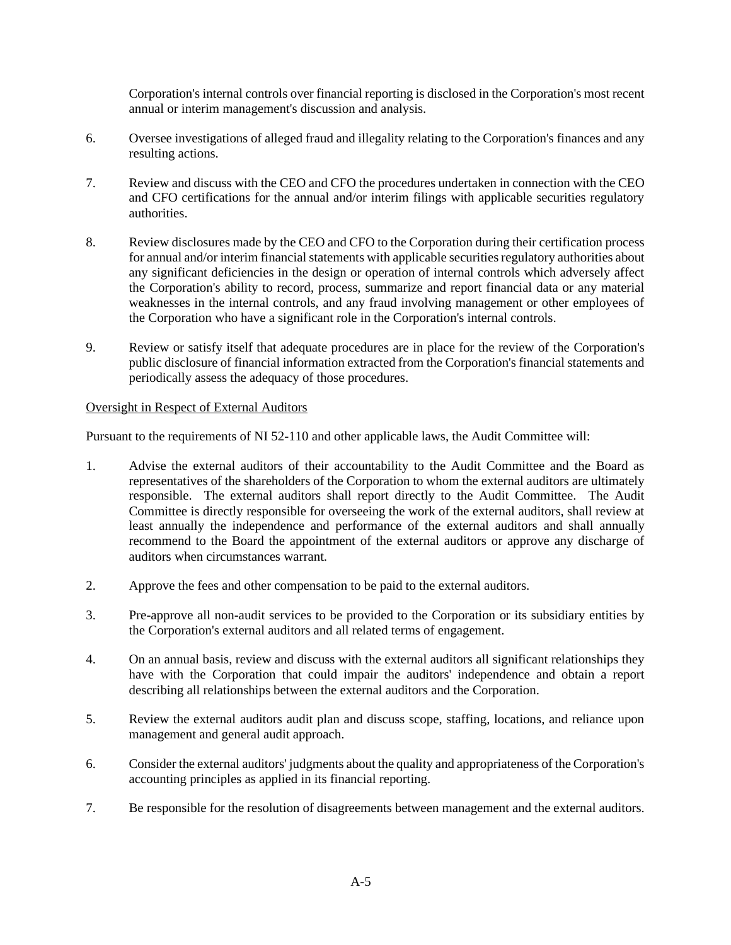Corporation's internal controls over financial reporting is disclosed in the Corporation's most recent annual or interim management's discussion and analysis.

- 6. Oversee investigations of alleged fraud and illegality relating to the Corporation's finances and any resulting actions.
- 7. Review and discuss with the CEO and CFO the procedures undertaken in connection with the CEO and CFO certifications for the annual and/or interim filings with applicable securities regulatory authorities.
- 8. Review disclosures made by the CEO and CFO to the Corporation during their certification process for annual and/or interim financial statements with applicable securities regulatory authorities about any significant deficiencies in the design or operation of internal controls which adversely affect the Corporation's ability to record, process, summarize and report financial data or any material weaknesses in the internal controls, and any fraud involving management or other employees of the Corporation who have a significant role in the Corporation's internal controls.
- 9. Review or satisfy itself that adequate procedures are in place for the review of the Corporation's public disclosure of financial information extracted from the Corporation's financial statements and periodically assess the adequacy of those procedures.

## Oversight in Respect of External Auditors

Pursuant to the requirements of NI 52-110 and other applicable laws, the Audit Committee will:

- 1. Advise the external auditors of their accountability to the Audit Committee and the Board as representatives of the shareholders of the Corporation to whom the external auditors are ultimately responsible. The external auditors shall report directly to the Audit Committee. The Audit Committee is directly responsible for overseeing the work of the external auditors, shall review at least annually the independence and performance of the external auditors and shall annually recommend to the Board the appointment of the external auditors or approve any discharge of auditors when circumstances warrant.
- 2. Approve the fees and other compensation to be paid to the external auditors.
- 3. Pre-approve all non-audit services to be provided to the Corporation or its subsidiary entities by the Corporation's external auditors and all related terms of engagement.
- 4. On an annual basis, review and discuss with the external auditors all significant relationships they have with the Corporation that could impair the auditors' independence and obtain a report describing all relationships between the external auditors and the Corporation.
- 5. Review the external auditors audit plan and discuss scope, staffing, locations, and reliance upon management and general audit approach.
- 6. Consider the external auditors' judgments about the quality and appropriateness of the Corporation's accounting principles as applied in its financial reporting.
- 7. Be responsible for the resolution of disagreements between management and the external auditors.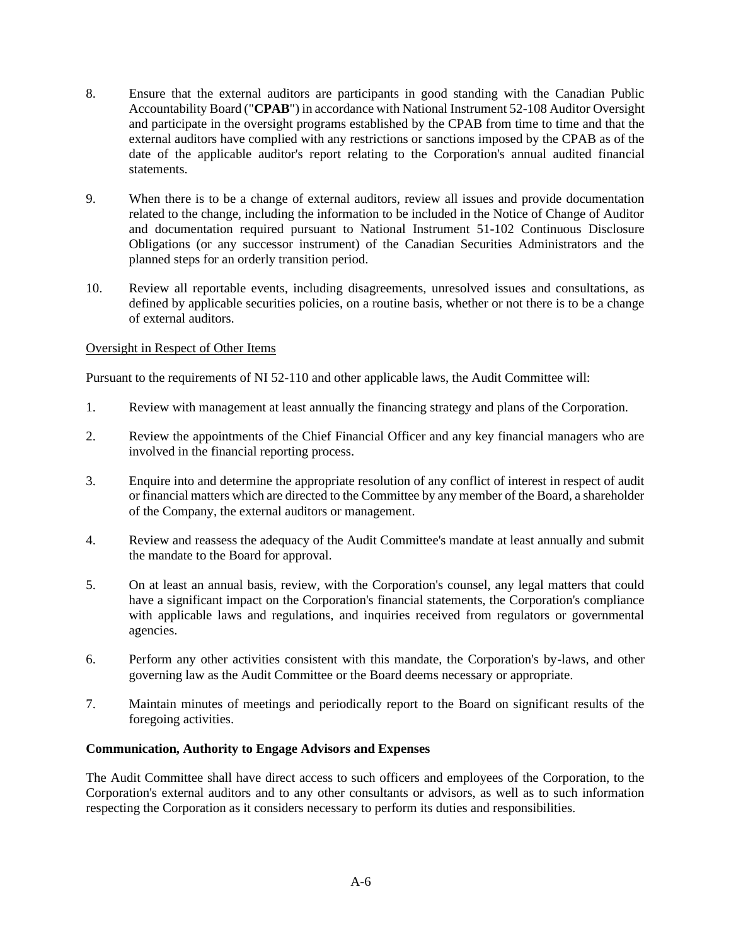- 8. Ensure that the external auditors are participants in good standing with the Canadian Public Accountability Board ("**CPAB**") in accordance with National Instrument 52-108 Auditor Oversight and participate in the oversight programs established by the CPAB from time to time and that the external auditors have complied with any restrictions or sanctions imposed by the CPAB as of the date of the applicable auditor's report relating to the Corporation's annual audited financial statements.
- 9. When there is to be a change of external auditors, review all issues and provide documentation related to the change, including the information to be included in the Notice of Change of Auditor and documentation required pursuant to National Instrument 51-102 Continuous Disclosure Obligations (or any successor instrument) of the Canadian Securities Administrators and the planned steps for an orderly transition period.
- 10. Review all reportable events, including disagreements, unresolved issues and consultations, as defined by applicable securities policies, on a routine basis, whether or not there is to be a change of external auditors.

## Oversight in Respect of Other Items

Pursuant to the requirements of NI 52-110 and other applicable laws, the Audit Committee will:

- 1. Review with management at least annually the financing strategy and plans of the Corporation.
- 2. Review the appointments of the Chief Financial Officer and any key financial managers who are involved in the financial reporting process.
- 3. Enquire into and determine the appropriate resolution of any conflict of interest in respect of audit or financial matters which are directed to the Committee by any member of the Board, a shareholder of the Company, the external auditors or management.
- 4. Review and reassess the adequacy of the Audit Committee's mandate at least annually and submit the mandate to the Board for approval.
- 5. On at least an annual basis, review, with the Corporation's counsel, any legal matters that could have a significant impact on the Corporation's financial statements, the Corporation's compliance with applicable laws and regulations, and inquiries received from regulators or governmental agencies.
- 6. Perform any other activities consistent with this mandate, the Corporation's by-laws, and other governing law as the Audit Committee or the Board deems necessary or appropriate.
- 7. Maintain minutes of meetings and periodically report to the Board on significant results of the foregoing activities.

## **Communication, Authority to Engage Advisors and Expenses**

The Audit Committee shall have direct access to such officers and employees of the Corporation, to the Corporation's external auditors and to any other consultants or advisors, as well as to such information respecting the Corporation as it considers necessary to perform its duties and responsibilities.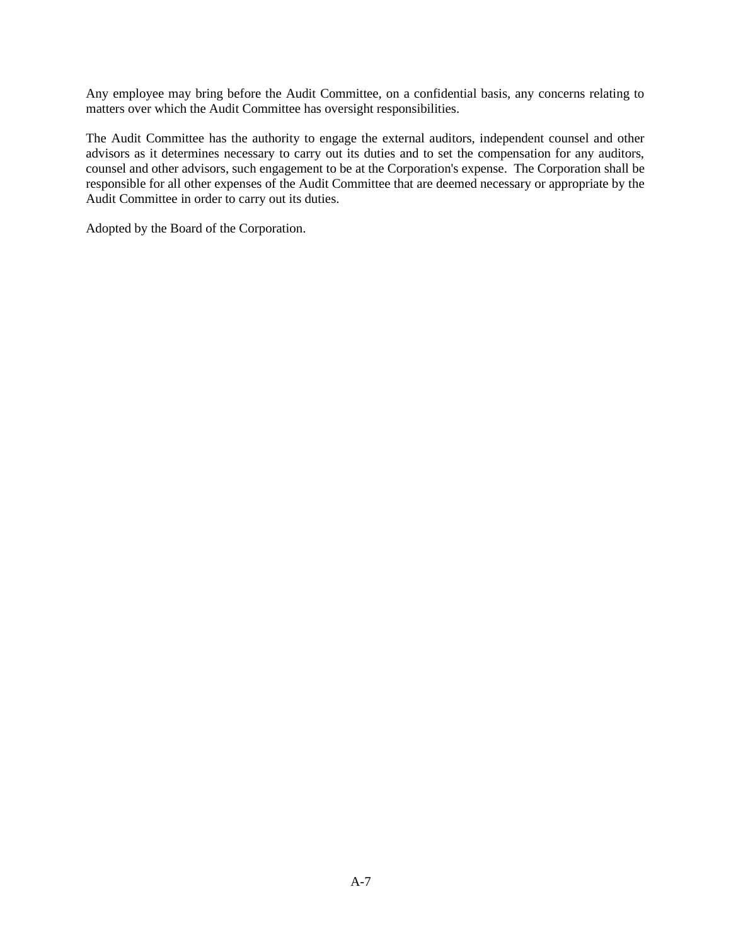Any employee may bring before the Audit Committee, on a confidential basis, any concerns relating to matters over which the Audit Committee has oversight responsibilities.

The Audit Committee has the authority to engage the external auditors, independent counsel and other advisors as it determines necessary to carry out its duties and to set the compensation for any auditors, counsel and other advisors, such engagement to be at the Corporation's expense. The Corporation shall be responsible for all other expenses of the Audit Committee that are deemed necessary or appropriate by the Audit Committee in order to carry out its duties.

Adopted by the Board of the Corporation.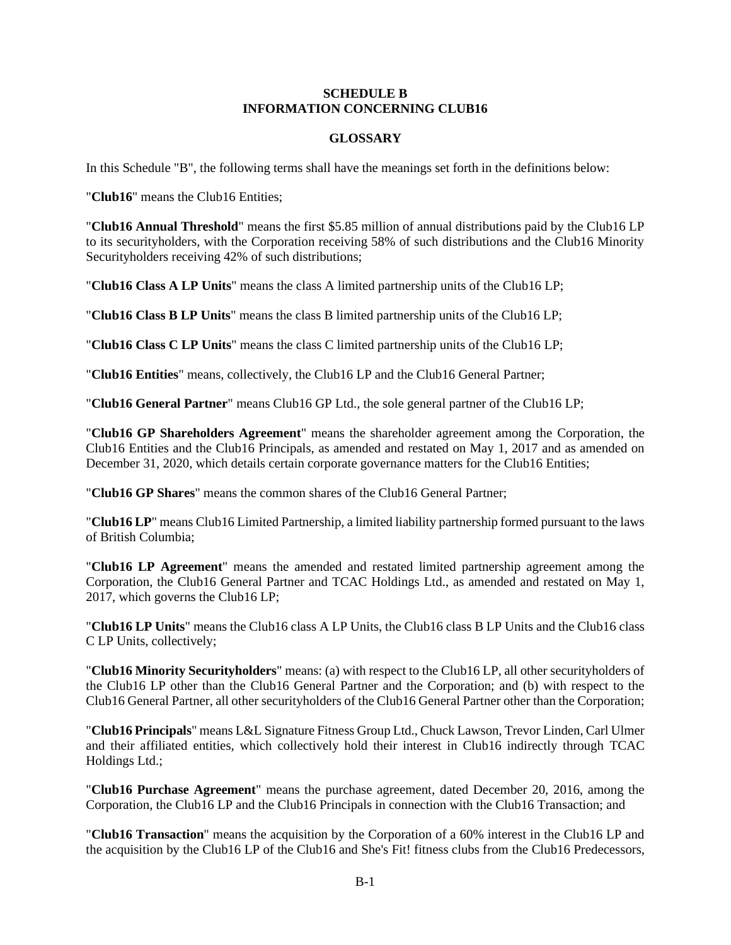## **SCHEDULE B INFORMATION CONCERNING CLUB16**

## **GLOSSARY**

In this Schedule "B", the following terms shall have the meanings set forth in the definitions below:

"**Club16**" means the Club16 Entities;

"**Club16 Annual Threshold**" means the first \$5.85 million of annual distributions paid by the Club16 LP to its securityholders, with the Corporation receiving 58% of such distributions and the Club16 Minority Securityholders receiving 42% of such distributions;

"**Club16 Class A LP Units**" means the class A limited partnership units of the Club16 LP;

"**Club16 Class B LP Units**" means the class B limited partnership units of the Club16 LP;

"**Club16 Class C LP Units**" means the class C limited partnership units of the Club16 LP;

"**Club16 Entities**" means, collectively, the Club16 LP and the Club16 General Partner;

"**Club16 General Partner**" means Club16 GP Ltd., the sole general partner of the Club16 LP;

"**Club16 GP Shareholders Agreement**" means the shareholder agreement among the Corporation, the Club16 Entities and the Club16 Principals, as amended and restated on May 1, 2017 and as amended on December 31, 2020, which details certain corporate governance matters for the Club16 Entities;

"**Club16 GP Shares**" means the common shares of the Club16 General Partner;

"**Club16 LP**" means Club16 Limited Partnership, a limited liability partnership formed pursuant to the laws of British Columbia;

"**Club16 LP Agreement**" means the amended and restated limited partnership agreement among the Corporation, the Club16 General Partner and TCAC Holdings Ltd., as amended and restated on May 1, 2017, which governs the Club16 LP;

"**Club16 LP Units**" means the Club16 class A LP Units, the Club16 class B LP Units and the Club16 class C LP Units, collectively;

"**Club16 Minority Securityholders**" means: (a) with respect to the Club16 LP, all other securityholders of the Club16 LP other than the Club16 General Partner and the Corporation; and (b) with respect to the Club16 General Partner, all other securityholders of the Club16 General Partner other than the Corporation;

"**Club16 Principals**" means L&L Signature Fitness Group Ltd., Chuck Lawson, Trevor Linden, Carl Ulmer and their affiliated entities, which collectively hold their interest in Club16 indirectly through TCAC Holdings Ltd.;

"**Club16 Purchase Agreement**" means the purchase agreement, dated December 20, 2016, among the Corporation, the Club16 LP and the Club16 Principals in connection with the Club16 Transaction; and

"**Club16 Transaction**" means the acquisition by the Corporation of a 60% interest in the Club16 LP and the acquisition by the Club16 LP of the Club16 and She's Fit! fitness clubs from the Club16 Predecessors,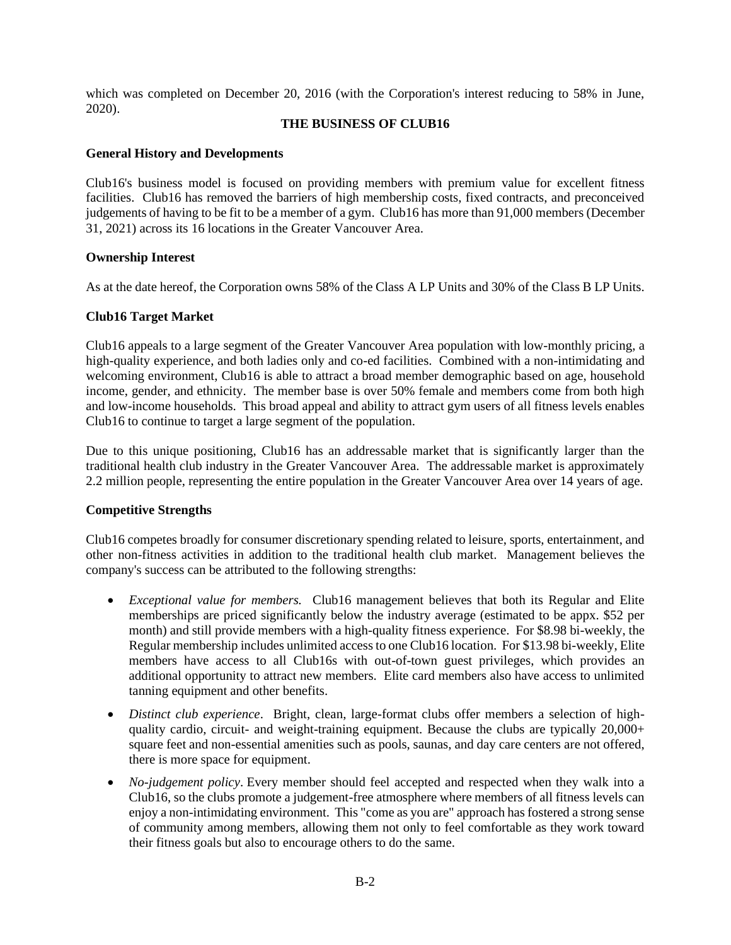which was completed on December 20, 2016 (with the Corporation's interest reducing to 58% in June, 2020).

### **THE BUSINESS OF CLUB16**

### **General History and Developments**

Club16's business model is focused on providing members with premium value for excellent fitness facilities. Club16 has removed the barriers of high membership costs, fixed contracts, and preconceived judgements of having to be fit to be a member of a gym. Club16 has more than 91,000 members (December 31, 2021) across its 16 locations in the Greater Vancouver Area.

### **Ownership Interest**

As at the date hereof, the Corporation owns 58% of the Class A LP Units and 30% of the Class B LP Units.

### **Club16 Target Market**

Club16 appeals to a large segment of the Greater Vancouver Area population with low-monthly pricing, a high-quality experience, and both ladies only and co-ed facilities. Combined with a non-intimidating and welcoming environment, Club16 is able to attract a broad member demographic based on age, household income, gender, and ethnicity. The member base is over 50% female and members come from both high and low-income households. This broad appeal and ability to attract gym users of all fitness levels enables Club16 to continue to target a large segment of the population.

Due to this unique positioning, Club16 has an addressable market that is significantly larger than the traditional health club industry in the Greater Vancouver Area. The addressable market is approximately 2.2 million people, representing the entire population in the Greater Vancouver Area over 14 years of age.

## **Competitive Strengths**

Club16 competes broadly for consumer discretionary spending related to leisure, sports, entertainment, and other non-fitness activities in addition to the traditional health club market. Management believes the company's success can be attributed to the following strengths:

- *Exceptional value for members.* Club16 management believes that both its Regular and Elite memberships are priced significantly below the industry average (estimated to be appx. \$52 per month) and still provide members with a high-quality fitness experience. For \$8.98 bi-weekly, the Regular membership includes unlimited access to one Club16 location. For \$13.98 bi-weekly, Elite members have access to all Club16s with out-of-town guest privileges, which provides an additional opportunity to attract new members. Elite card members also have access to unlimited tanning equipment and other benefits.
- *Distinct club experience*. Bright, clean, large-format clubs offer members a selection of highquality cardio, circuit- and weight-training equipment. Because the clubs are typically 20,000+ square feet and non-essential amenities such as pools, saunas, and day care centers are not offered, there is more space for equipment.
- *No-judgement policy*. Every member should feel accepted and respected when they walk into a Club16, so the clubs promote a judgement-free atmosphere where members of all fitness levels can enjoy a non-intimidating environment. This "come as you are" approach has fostered a strong sense of community among members, allowing them not only to feel comfortable as they work toward their fitness goals but also to encourage others to do the same.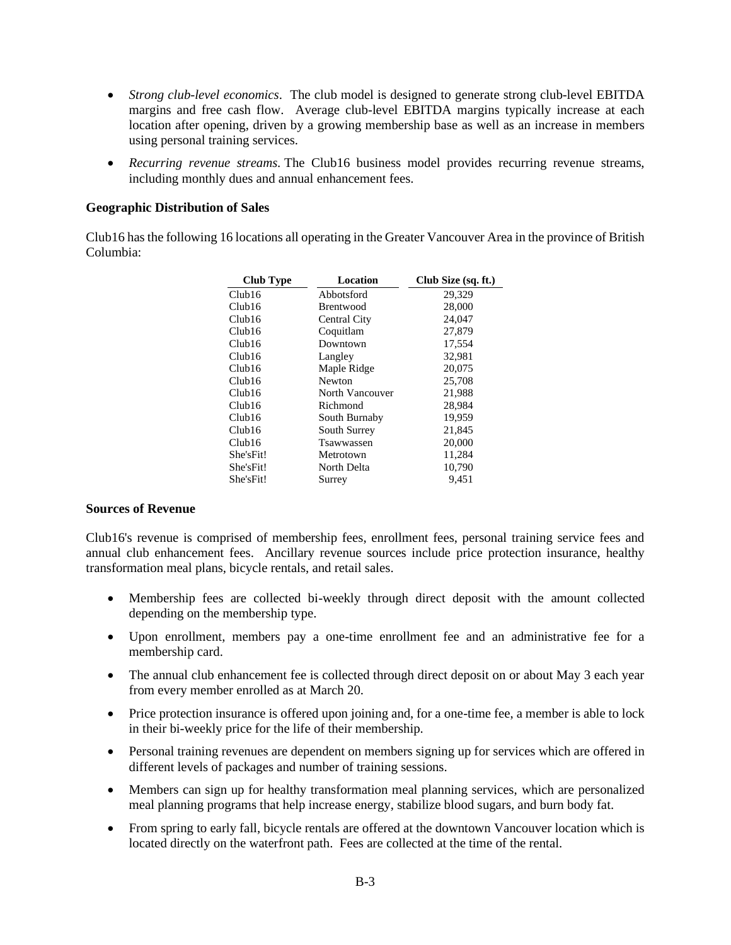- *Strong club-level economics*. The club model is designed to generate strong club-level EBITDA margins and free cash flow. Average club-level EBITDA margins typically increase at each location after opening, driven by a growing membership base as well as an increase in members using personal training services.
- *Recurring revenue streams.* The Club16 business model provides recurring revenue streams, including monthly dues and annual enhancement fees.

## **Geographic Distribution of Sales**

Club16 has the following 16 locations all operating in the Greater Vancouver Area in the province of British Columbia:

| <b>Club Type</b> | <b>Location</b>  | Club Size (sq. ft.) |
|------------------|------------------|---------------------|
| Club16           | Abbotsford       | 29,329              |
| Club16           | <b>Brentwood</b> | 28,000              |
| Club16           | Central City     | 24,047              |
| Club16           | Coquitlam        | 27,879              |
| Club16           | Downtown         | 17,554              |
| Club16           | Langley          | 32,981              |
| Club16           | Maple Ridge      | 20,075              |
| Club16           | Newton           | 25,708              |
| Club16           | North Vancouver  | 21,988              |
| Club16           | Richmond         | 28,984              |
| Club16           | South Burnaby    | 19,959              |
| Club16           | South Surrey     | 21,845              |
| Club16           | Tsawwassen       | 20,000              |
| She'sFit!        | Metrotown        | 11,284              |
| She'sFit!        | North Delta      | 10,790              |
| She'sFit!        | Surrey           | 9,451               |
|                  |                  |                     |

## **Sources of Revenue**

Club16's revenue is comprised of membership fees, enrollment fees, personal training service fees and annual club enhancement fees. Ancillary revenue sources include price protection insurance, healthy transformation meal plans, bicycle rentals, and retail sales.

- Membership fees are collected bi-weekly through direct deposit with the amount collected depending on the membership type.
- Upon enrollment, members pay a one-time enrollment fee and an administrative fee for a membership card.
- The annual club enhancement fee is collected through direct deposit on or about May 3 each year from every member enrolled as at March 20.
- Price protection insurance is offered upon joining and, for a one-time fee, a member is able to lock in their bi-weekly price for the life of their membership.
- Personal training revenues are dependent on members signing up for services which are offered in different levels of packages and number of training sessions.
- Members can sign up for healthy transformation meal planning services, which are personalized meal planning programs that help increase energy, stabilize blood sugars, and burn body fat.
- From spring to early fall, bicycle rentals are offered at the downtown Vancouver location which is located directly on the waterfront path. Fees are collected at the time of the rental.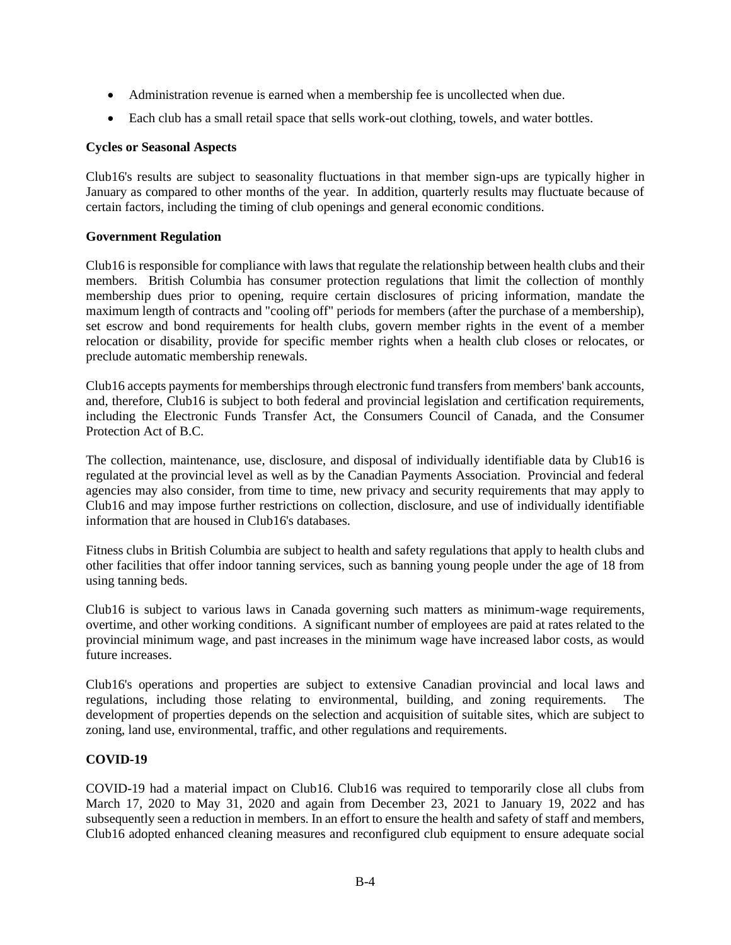- Administration revenue is earned when a membership fee is uncollected when due.
- Each club has a small retail space that sells work-out clothing, towels, and water bottles.

## **Cycles or Seasonal Aspects**

Club16's results are subject to seasonality fluctuations in that member sign-ups are typically higher in January as compared to other months of the year. In addition, quarterly results may fluctuate because of certain factors, including the timing of club openings and general economic conditions.

## **Government Regulation**

Club16 is responsible for compliance with laws that regulate the relationship between health clubs and their members. British Columbia has consumer protection regulations that limit the collection of monthly membership dues prior to opening, require certain disclosures of pricing information, mandate the maximum length of contracts and "cooling off" periods for members (after the purchase of a membership), set escrow and bond requirements for health clubs, govern member rights in the event of a member relocation or disability, provide for specific member rights when a health club closes or relocates, or preclude automatic membership renewals.

Club16 accepts payments for memberships through electronic fund transfers from members' bank accounts, and, therefore, Club16 is subject to both federal and provincial legislation and certification requirements, including the Electronic Funds Transfer Act, the Consumers Council of Canada, and the Consumer Protection Act of B.C.

The collection, maintenance, use, disclosure, and disposal of individually identifiable data by Club16 is regulated at the provincial level as well as by the Canadian Payments Association. Provincial and federal agencies may also consider, from time to time, new privacy and security requirements that may apply to Club16 and may impose further restrictions on collection, disclosure, and use of individually identifiable information that are housed in Club16's databases.

Fitness clubs in British Columbia are subject to health and safety regulations that apply to health clubs and other facilities that offer indoor tanning services, such as banning young people under the age of 18 from using tanning beds.

Club16 is subject to various laws in Canada governing such matters as minimum-wage requirements, overtime, and other working conditions. A significant number of employees are paid at rates related to the provincial minimum wage, and past increases in the minimum wage have increased labor costs, as would future increases.

Club16's operations and properties are subject to extensive Canadian provincial and local laws and regulations, including those relating to environmental, building, and zoning requirements. The development of properties depends on the selection and acquisition of suitable sites, which are subject to zoning, land use, environmental, traffic, and other regulations and requirements.

# **COVID-19**

COVID-19 had a material impact on Club16. Club16 was required to temporarily close all clubs from March 17, 2020 to May 31, 2020 and again from December 23, 2021 to January 19, 2022 and has subsequently seen a reduction in members. In an effort to ensure the health and safety of staff and members, Club16 adopted enhanced cleaning measures and reconfigured club equipment to ensure adequate social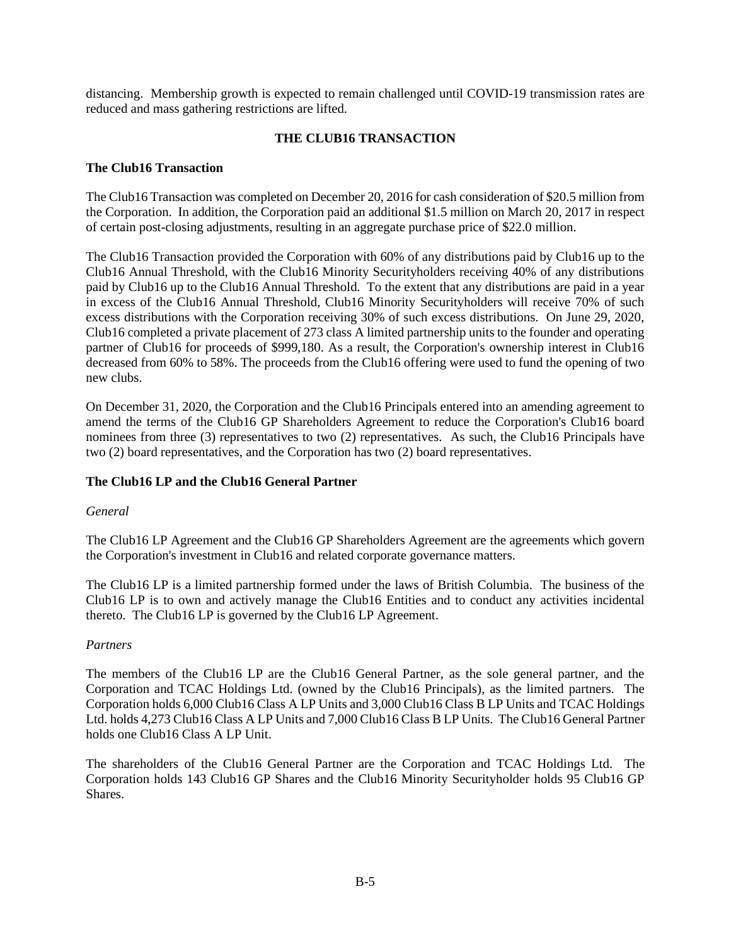distancing. Membership growth is expected to remain challenged until COVID-19 transmission rates are reduced and mass gathering restrictions are lifted.

# **THE CLUB16 TRANSACTION**

## **The Club16 Transaction**

The Club16 Transaction was completed on December 20, 2016 for cash consideration of \$20.5 million from the Corporation. In addition, the Corporation paid an additional \$1.5 million on March 20, 2017 in respect of certain post-closing adjustments, resulting in an aggregate purchase price of \$22.0 million.

The Club16 Transaction provided the Corporation with 60% of any distributions paid by Club16 up to the Club16 Annual Threshold, with the Club16 Minority Securityholders receiving 40% of any distributions paid by Club16 up to the Club16 Annual Threshold. To the extent that any distributions are paid in a year in excess of the Club16 Annual Threshold, Club16 Minority Securityholders will receive 70% of such excess distributions with the Corporation receiving 30% of such excess distributions. On June 29, 2020, Club16 completed a private placement of 273 class A limited partnership units to the founder and operating partner of Club16 for proceeds of \$999,180. As a result, the Corporation's ownership interest in Club16 decreased from 60% to 58%. The proceeds from the Club16 offering were used to fund the opening of two new clubs.

On December 31, 2020, the Corporation and the Club16 Principals entered into an amending agreement to amend the terms of the Club16 GP Shareholders Agreement to reduce the Corporation's Club16 board nominees from three (3) representatives to two (2) representatives. As such, the Club16 Principals have two (2) board representatives, and the Corporation has two (2) board representatives.

## **The Club16 LP and the Club16 General Partner**

## *General*

The Club16 LP Agreement and the Club16 GP Shareholders Agreement are the agreements which govern the Corporation's investment in Club16 and related corporate governance matters.

The Club16 LP is a limited partnership formed under the laws of British Columbia. The business of the Club16 LP is to own and actively manage the Club16 Entities and to conduct any activities incidental thereto. The Club16 LP is governed by the Club16 LP Agreement.

## *Partners*

The members of the Club16 LP are the Club16 General Partner, as the sole general partner, and the Corporation and TCAC Holdings Ltd. (owned by the Club16 Principals), as the limited partners. The Corporation holds 6,000 Club16 Class A LP Units and 3,000 Club16 Class B LP Units and TCAC Holdings Ltd. holds 4,273 Club16 Class A LP Units and 7,000 Club16 Class B LP Units. The Club16 General Partner holds one Club16 Class A LP Unit.

The shareholders of the Club16 General Partner are the Corporation and TCAC Holdings Ltd. The Corporation holds 143 Club16 GP Shares and the Club16 Minority Securityholder holds 95 Club16 GP Shares.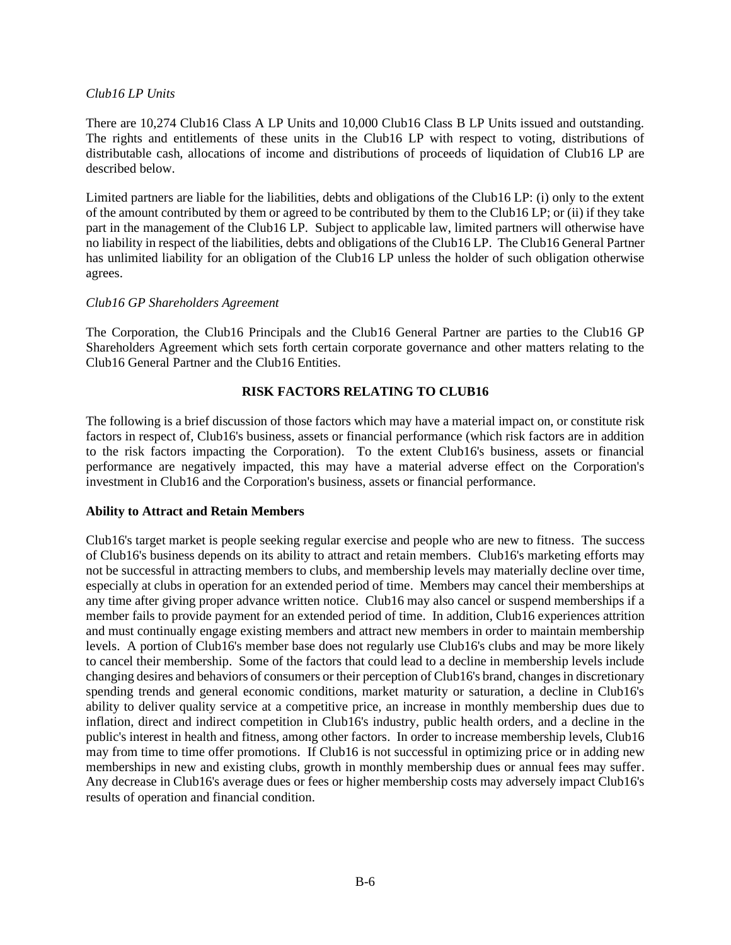## *Club16 LP Units*

There are 10,274 Club16 Class A LP Units and 10,000 Club16 Class B LP Units issued and outstanding. The rights and entitlements of these units in the Club16 LP with respect to voting, distributions of distributable cash, allocations of income and distributions of proceeds of liquidation of Club16 LP are described below.

Limited partners are liable for the liabilities, debts and obligations of the Club16 LP: (i) only to the extent of the amount contributed by them or agreed to be contributed by them to the Club16 LP; or (ii) if they take part in the management of the Club16 LP. Subject to applicable law, limited partners will otherwise have no liability in respect of the liabilities, debts and obligations of the Club16 LP. The Club16 General Partner has unlimited liability for an obligation of the Club16 LP unless the holder of such obligation otherwise agrees.

## *Club16 GP Shareholders Agreement*

The Corporation, the Club16 Principals and the Club16 General Partner are parties to the Club16 GP Shareholders Agreement which sets forth certain corporate governance and other matters relating to the Club16 General Partner and the Club16 Entities.

## **RISK FACTORS RELATING TO CLUB16**

The following is a brief discussion of those factors which may have a material impact on, or constitute risk factors in respect of, Club16's business, assets or financial performance (which risk factors are in addition to the risk factors impacting the Corporation). To the extent Club16's business, assets or financial performance are negatively impacted, this may have a material adverse effect on the Corporation's investment in Club16 and the Corporation's business, assets or financial performance.

## **Ability to Attract and Retain Members**

Club16's target market is people seeking regular exercise and people who are new to fitness. The success of Club16's business depends on its ability to attract and retain members. Club16's marketing efforts may not be successful in attracting members to clubs, and membership levels may materially decline over time, especially at clubs in operation for an extended period of time. Members may cancel their memberships at any time after giving proper advance written notice. Club16 may also cancel or suspend memberships if a member fails to provide payment for an extended period of time. In addition, Club16 experiences attrition and must continually engage existing members and attract new members in order to maintain membership levels. A portion of Club16's member base does not regularly use Club16's clubs and may be more likely to cancel their membership. Some of the factors that could lead to a decline in membership levels include changing desires and behaviors of consumers or their perception of Club16's brand, changes in discretionary spending trends and general economic conditions, market maturity or saturation, a decline in Club16's ability to deliver quality service at a competitive price, an increase in monthly membership dues due to inflation, direct and indirect competition in Club16's industry, public health orders, and a decline in the public's interest in health and fitness, among other factors. In order to increase membership levels, Club16 may from time to time offer promotions. If Club16 is not successful in optimizing price or in adding new memberships in new and existing clubs, growth in monthly membership dues or annual fees may suffer. Any decrease in Club16's average dues or fees or higher membership costs may adversely impact Club16's results of operation and financial condition.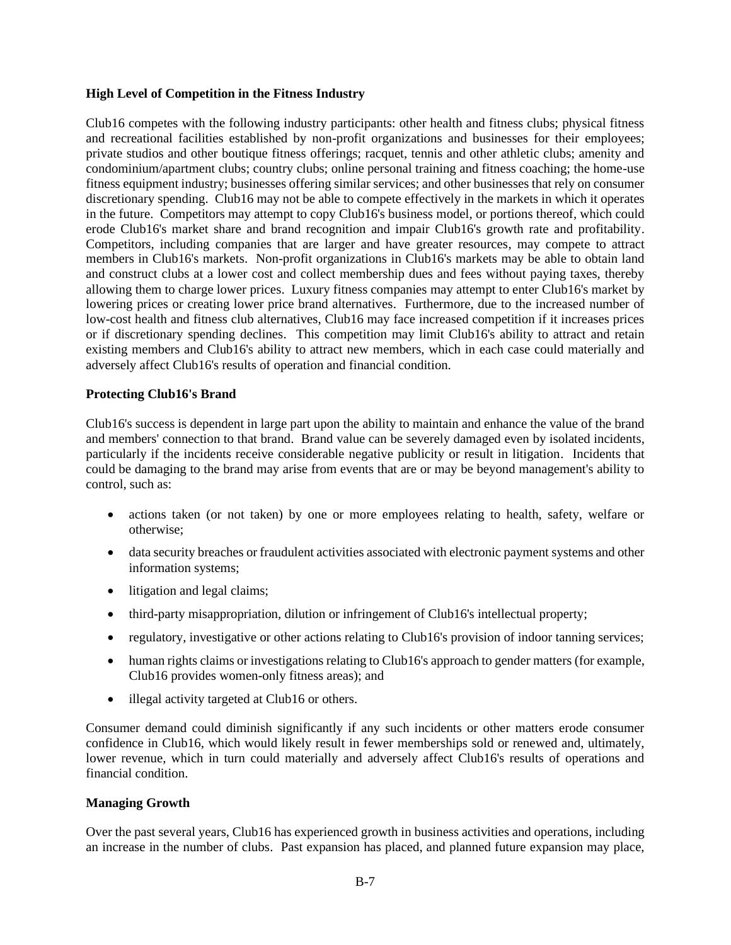## **High Level of Competition in the Fitness Industry**

Club16 competes with the following industry participants: other health and fitness clubs; physical fitness and recreational facilities established by non-profit organizations and businesses for their employees; private studios and other boutique fitness offerings; racquet, tennis and other athletic clubs; amenity and condominium/apartment clubs; country clubs; online personal training and fitness coaching; the home-use fitness equipment industry; businesses offering similar services; and other businesses that rely on consumer discretionary spending. Club16 may not be able to compete effectively in the markets in which it operates in the future. Competitors may attempt to copy Club16's business model, or portions thereof, which could erode Club16's market share and brand recognition and impair Club16's growth rate and profitability. Competitors, including companies that are larger and have greater resources, may compete to attract members in Club16's markets. Non-profit organizations in Club16's markets may be able to obtain land and construct clubs at a lower cost and collect membership dues and fees without paying taxes, thereby allowing them to charge lower prices. Luxury fitness companies may attempt to enter Club16's market by lowering prices or creating lower price brand alternatives. Furthermore, due to the increased number of low-cost health and fitness club alternatives, Club16 may face increased competition if it increases prices or if discretionary spending declines. This competition may limit Club16's ability to attract and retain existing members and Club16's ability to attract new members, which in each case could materially and adversely affect Club16's results of operation and financial condition.

## **Protecting Club16's Brand**

Club16's success is dependent in large part upon the ability to maintain and enhance the value of the brand and members' connection to that brand. Brand value can be severely damaged even by isolated incidents, particularly if the incidents receive considerable negative publicity or result in litigation. Incidents that could be damaging to the brand may arise from events that are or may be beyond management's ability to control, such as:

- actions taken (or not taken) by one or more employees relating to health, safety, welfare or otherwise;
- data security breaches or fraudulent activities associated with electronic payment systems and other information systems;
- litigation and legal claims;
- third-party misappropriation, dilution or infringement of Club16's intellectual property;
- regulatory, investigative or other actions relating to Club16's provision of indoor tanning services;
- human rights claims or investigations relating to Club16's approach to gender matters (for example, Club16 provides women-only fitness areas); and
- illegal activity targeted at Club16 or others.

Consumer demand could diminish significantly if any such incidents or other matters erode consumer confidence in Club16, which would likely result in fewer memberships sold or renewed and, ultimately, lower revenue, which in turn could materially and adversely affect Club16's results of operations and financial condition.

## **Managing Growth**

Over the past several years, Club16 has experienced growth in business activities and operations, including an increase in the number of clubs. Past expansion has placed, and planned future expansion may place,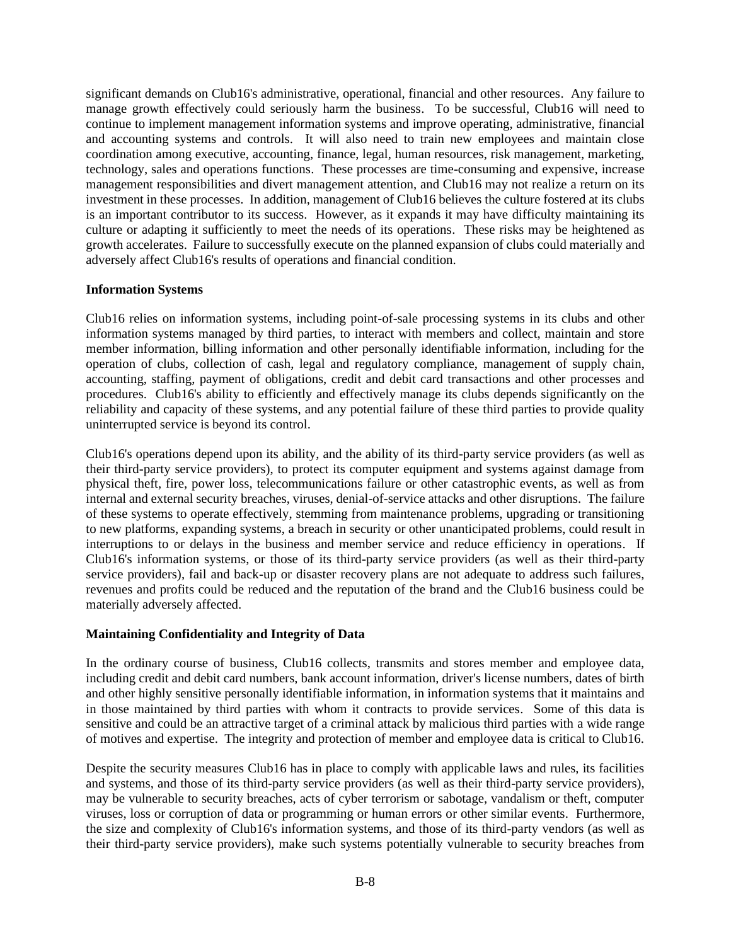significant demands on Club16's administrative, operational, financial and other resources. Any failure to manage growth effectively could seriously harm the business. To be successful, Club16 will need to continue to implement management information systems and improve operating, administrative, financial and accounting systems and controls. It will also need to train new employees and maintain close coordination among executive, accounting, finance, legal, human resources, risk management, marketing, technology, sales and operations functions. These processes are time-consuming and expensive, increase management responsibilities and divert management attention, and Club16 may not realize a return on its investment in these processes. In addition, management of Club16 believes the culture fostered at its clubs is an important contributor to its success. However, as it expands it may have difficulty maintaining its culture or adapting it sufficiently to meet the needs of its operations. These risks may be heightened as growth accelerates. Failure to successfully execute on the planned expansion of clubs could materially and adversely affect Club16's results of operations and financial condition.

## **Information Systems**

Club16 relies on information systems, including point-of-sale processing systems in its clubs and other information systems managed by third parties, to interact with members and collect, maintain and store member information, billing information and other personally identifiable information, including for the operation of clubs, collection of cash, legal and regulatory compliance, management of supply chain, accounting, staffing, payment of obligations, credit and debit card transactions and other processes and procedures. Club16's ability to efficiently and effectively manage its clubs depends significantly on the reliability and capacity of these systems, and any potential failure of these third parties to provide quality uninterrupted service is beyond its control.

Club16's operations depend upon its ability, and the ability of its third-party service providers (as well as their third-party service providers), to protect its computer equipment and systems against damage from physical theft, fire, power loss, telecommunications failure or other catastrophic events, as well as from internal and external security breaches, viruses, denial-of-service attacks and other disruptions. The failure of these systems to operate effectively, stemming from maintenance problems, upgrading or transitioning to new platforms, expanding systems, a breach in security or other unanticipated problems, could result in interruptions to or delays in the business and member service and reduce efficiency in operations. If Club16's information systems, or those of its third-party service providers (as well as their third-party service providers), fail and back-up or disaster recovery plans are not adequate to address such failures, revenues and profits could be reduced and the reputation of the brand and the Club16 business could be materially adversely affected.

# **Maintaining Confidentiality and Integrity of Data**

In the ordinary course of business, Club16 collects, transmits and stores member and employee data, including credit and debit card numbers, bank account information, driver's license numbers, dates of birth and other highly sensitive personally identifiable information, in information systems that it maintains and in those maintained by third parties with whom it contracts to provide services. Some of this data is sensitive and could be an attractive target of a criminal attack by malicious third parties with a wide range of motives and expertise. The integrity and protection of member and employee data is critical to Club16.

Despite the security measures Club16 has in place to comply with applicable laws and rules, its facilities and systems, and those of its third-party service providers (as well as their third-party service providers), may be vulnerable to security breaches, acts of cyber terrorism or sabotage, vandalism or theft, computer viruses, loss or corruption of data or programming or human errors or other similar events. Furthermore, the size and complexity of Club16's information systems, and those of its third-party vendors (as well as their third-party service providers), make such systems potentially vulnerable to security breaches from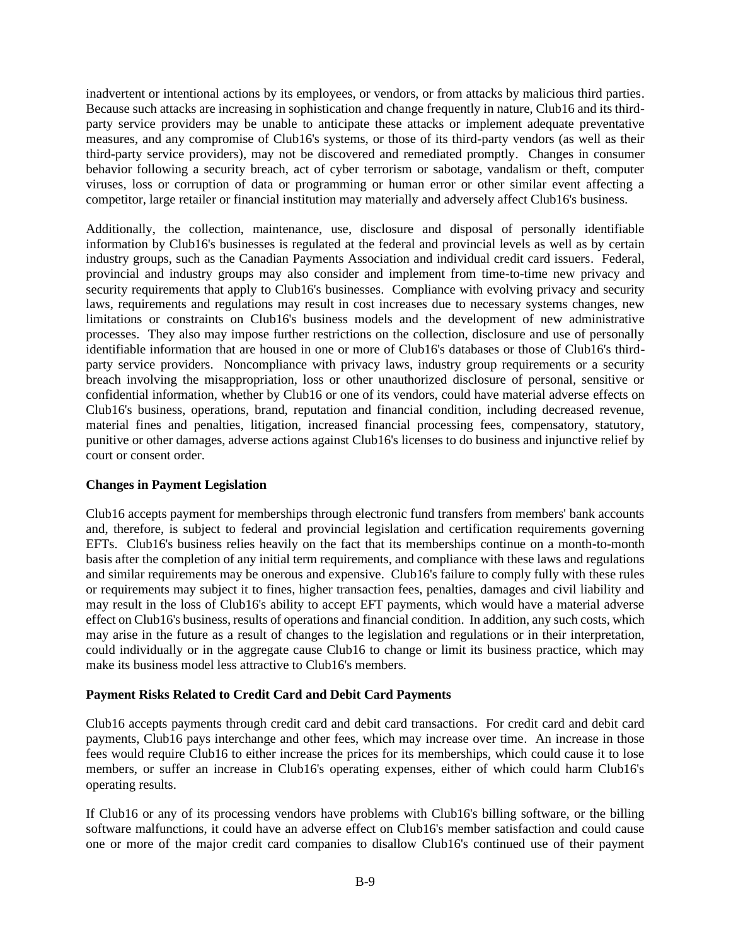inadvertent or intentional actions by its employees, or vendors, or from attacks by malicious third parties. Because such attacks are increasing in sophistication and change frequently in nature, Club16 and its thirdparty service providers may be unable to anticipate these attacks or implement adequate preventative measures, and any compromise of Club16's systems, or those of its third-party vendors (as well as their third-party service providers), may not be discovered and remediated promptly. Changes in consumer behavior following a security breach, act of cyber terrorism or sabotage, vandalism or theft, computer viruses, loss or corruption of data or programming or human error or other similar event affecting a competitor, large retailer or financial institution may materially and adversely affect Club16's business.

Additionally, the collection, maintenance, use, disclosure and disposal of personally identifiable information by Club16's businesses is regulated at the federal and provincial levels as well as by certain industry groups, such as the Canadian Payments Association and individual credit card issuers. Federal, provincial and industry groups may also consider and implement from time-to-time new privacy and security requirements that apply to Club16's businesses. Compliance with evolving privacy and security laws, requirements and regulations may result in cost increases due to necessary systems changes, new limitations or constraints on Club16's business models and the development of new administrative processes. They also may impose further restrictions on the collection, disclosure and use of personally identifiable information that are housed in one or more of Club16's databases or those of Club16's thirdparty service providers. Noncompliance with privacy laws, industry group requirements or a security breach involving the misappropriation, loss or other unauthorized disclosure of personal, sensitive or confidential information, whether by Club16 or one of its vendors, could have material adverse effects on Club16's business, operations, brand, reputation and financial condition, including decreased revenue, material fines and penalties, litigation, increased financial processing fees, compensatory, statutory, punitive or other damages, adverse actions against Club16's licenses to do business and injunctive relief by court or consent order.

## **Changes in Payment Legislation**

Club16 accepts payment for memberships through electronic fund transfers from members' bank accounts and, therefore, is subject to federal and provincial legislation and certification requirements governing EFTs. Club16's business relies heavily on the fact that its memberships continue on a month-to-month basis after the completion of any initial term requirements, and compliance with these laws and regulations and similar requirements may be onerous and expensive. Club16's failure to comply fully with these rules or requirements may subject it to fines, higher transaction fees, penalties, damages and civil liability and may result in the loss of Club16's ability to accept EFT payments, which would have a material adverse effect on Club16's business, results of operations and financial condition. In addition, any such costs, which may arise in the future as a result of changes to the legislation and regulations or in their interpretation, could individually or in the aggregate cause Club16 to change or limit its business practice, which may make its business model less attractive to Club16's members.

## **Payment Risks Related to Credit Card and Debit Card Payments**

Club16 accepts payments through credit card and debit card transactions. For credit card and debit card payments, Club16 pays interchange and other fees, which may increase over time. An increase in those fees would require Club16 to either increase the prices for its memberships, which could cause it to lose members, or suffer an increase in Club16's operating expenses, either of which could harm Club16's operating results.

If Club16 or any of its processing vendors have problems with Club16's billing software, or the billing software malfunctions, it could have an adverse effect on Club16's member satisfaction and could cause one or more of the major credit card companies to disallow Club16's continued use of their payment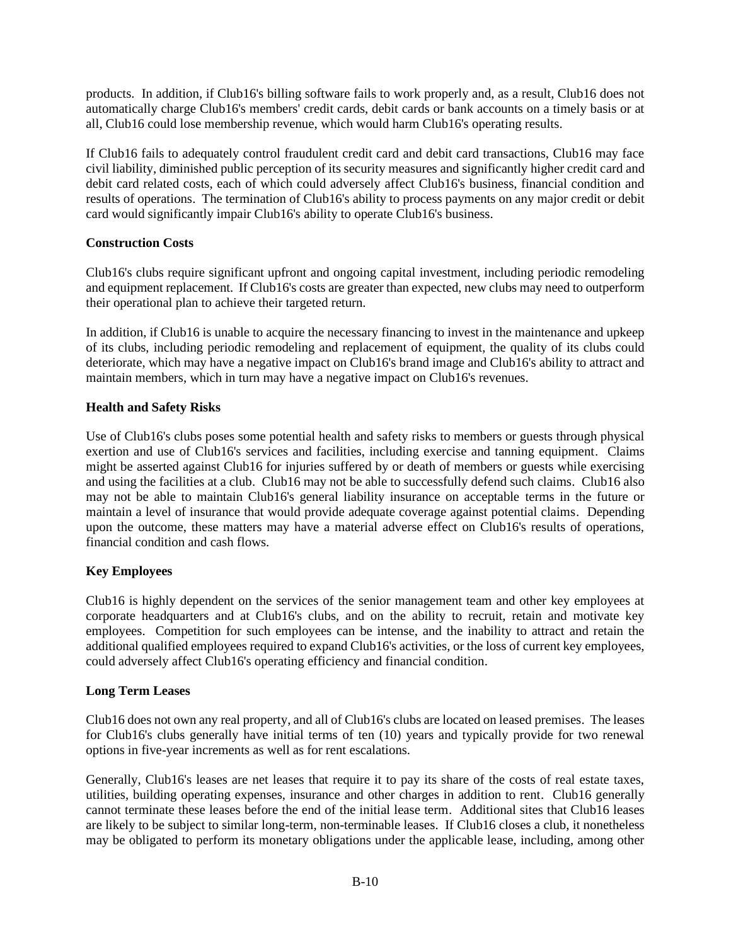products. In addition, if Club16's billing software fails to work properly and, as a result, Club16 does not automatically charge Club16's members' credit cards, debit cards or bank accounts on a timely basis or at all, Club16 could lose membership revenue, which would harm Club16's operating results.

If Club16 fails to adequately control fraudulent credit card and debit card transactions, Club16 may face civil liability, diminished public perception of its security measures and significantly higher credit card and debit card related costs, each of which could adversely affect Club16's business, financial condition and results of operations. The termination of Club16's ability to process payments on any major credit or debit card would significantly impair Club16's ability to operate Club16's business.

# **Construction Costs**

Club16's clubs require significant upfront and ongoing capital investment, including periodic remodeling and equipment replacement. If Club16's costs are greater than expected, new clubs may need to outperform their operational plan to achieve their targeted return.

In addition, if Club16 is unable to acquire the necessary financing to invest in the maintenance and upkeep of its clubs, including periodic remodeling and replacement of equipment, the quality of its clubs could deteriorate, which may have a negative impact on Club16's brand image and Club16's ability to attract and maintain members, which in turn may have a negative impact on Club16's revenues.

## **Health and Safety Risks**

Use of Club16's clubs poses some potential health and safety risks to members or guests through physical exertion and use of Club16's services and facilities, including exercise and tanning equipment. Claims might be asserted against Club16 for injuries suffered by or death of members or guests while exercising and using the facilities at a club. Club16 may not be able to successfully defend such claims. Club16 also may not be able to maintain Club16's general liability insurance on acceptable terms in the future or maintain a level of insurance that would provide adequate coverage against potential claims. Depending upon the outcome, these matters may have a material adverse effect on Club16's results of operations, financial condition and cash flows.

# **Key Employees**

Club16 is highly dependent on the services of the senior management team and other key employees at corporate headquarters and at Club16's clubs, and on the ability to recruit, retain and motivate key employees. Competition for such employees can be intense, and the inability to attract and retain the additional qualified employees required to expand Club16's activities, or the loss of current key employees, could adversely affect Club16's operating efficiency and financial condition.

# **Long Term Leases**

Club16 does not own any real property, and all of Club16's clubs are located on leased premises. The leases for Club16's clubs generally have initial terms of ten (10) years and typically provide for two renewal options in five-year increments as well as for rent escalations.

Generally, Club16's leases are net leases that require it to pay its share of the costs of real estate taxes, utilities, building operating expenses, insurance and other charges in addition to rent. Club16 generally cannot terminate these leases before the end of the initial lease term. Additional sites that Club16 leases are likely to be subject to similar long-term, non-terminable leases. If Club16 closes a club, it nonetheless may be obligated to perform its monetary obligations under the applicable lease, including, among other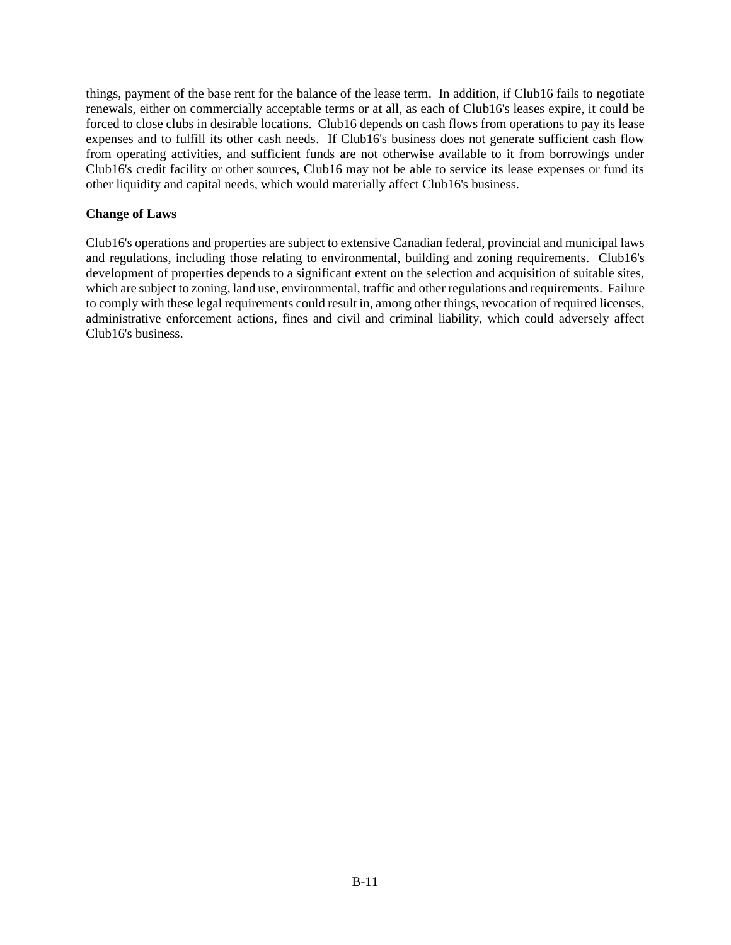things, payment of the base rent for the balance of the lease term. In addition, if Club16 fails to negotiate renewals, either on commercially acceptable terms or at all, as each of Club16's leases expire, it could be forced to close clubs in desirable locations. Club16 depends on cash flows from operations to pay its lease expenses and to fulfill its other cash needs. If Club16's business does not generate sufficient cash flow from operating activities, and sufficient funds are not otherwise available to it from borrowings under Club16's credit facility or other sources, Club16 may not be able to service its lease expenses or fund its other liquidity and capital needs, which would materially affect Club16's business.

## **Change of Laws**

Club16's operations and properties are subject to extensive Canadian federal, provincial and municipal laws and regulations, including those relating to environmental, building and zoning requirements. Club16's development of properties depends to a significant extent on the selection and acquisition of suitable sites, which are subject to zoning, land use, environmental, traffic and other regulations and requirements. Failure to comply with these legal requirements could result in, among other things, revocation of required licenses, administrative enforcement actions, fines and civil and criminal liability, which could adversely affect Club16's business.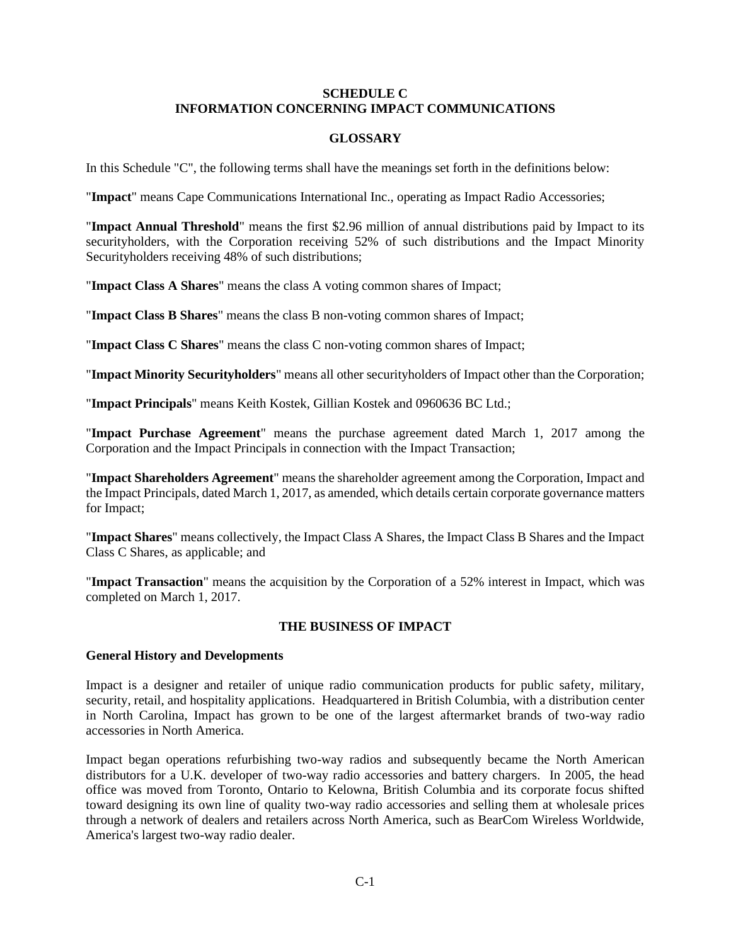## **SCHEDULE C INFORMATION CONCERNING IMPACT COMMUNICATIONS**

## **GLOSSARY**

In this Schedule "C", the following terms shall have the meanings set forth in the definitions below:

"**Impact**" means Cape Communications International Inc., operating as Impact Radio Accessories;

"**Impact Annual Threshold**" means the first \$2.96 million of annual distributions paid by Impact to its securityholders, with the Corporation receiving 52% of such distributions and the Impact Minority Securityholders receiving 48% of such distributions;

"**Impact Class A Shares**" means the class A voting common shares of Impact;

"**Impact Class B Shares**" means the class B non-voting common shares of Impact;

"**Impact Class C Shares**" means the class C non-voting common shares of Impact;

"**Impact Minority Securityholders**" means all other securityholders of Impact other than the Corporation;

"**Impact Principals**" means Keith Kostek, Gillian Kostek and 0960636 BC Ltd.;

"**Impact Purchase Agreement**" means the purchase agreement dated March 1, 2017 among the Corporation and the Impact Principals in connection with the Impact Transaction;

"**Impact Shareholders Agreement**" means the shareholder agreement among the Corporation, Impact and the Impact Principals, dated March 1, 2017, as amended, which details certain corporate governance matters for Impact;

"**Impact Shares**" means collectively, the Impact Class A Shares, the Impact Class B Shares and the Impact Class C Shares, as applicable; and

"**Impact Transaction**" means the acquisition by the Corporation of a 52% interest in Impact, which was completed on March 1, 2017.

# **THE BUSINESS OF IMPACT**

## **General History and Developments**

Impact is a designer and retailer of unique radio communication products for public safety, military, security, retail, and hospitality applications. Headquartered in British Columbia, with a distribution center in North Carolina, Impact has grown to be one of the largest aftermarket brands of two-way radio accessories in North America.

Impact began operations refurbishing two-way radios and subsequently became the North American distributors for a U.K. developer of two-way radio accessories and battery chargers. In 2005, the head office was moved from Toronto, Ontario to Kelowna, British Columbia and its corporate focus shifted toward designing its own line of quality two-way radio accessories and selling them at wholesale prices through a network of dealers and retailers across North America, such as BearCom Wireless Worldwide, America's largest two-way radio dealer.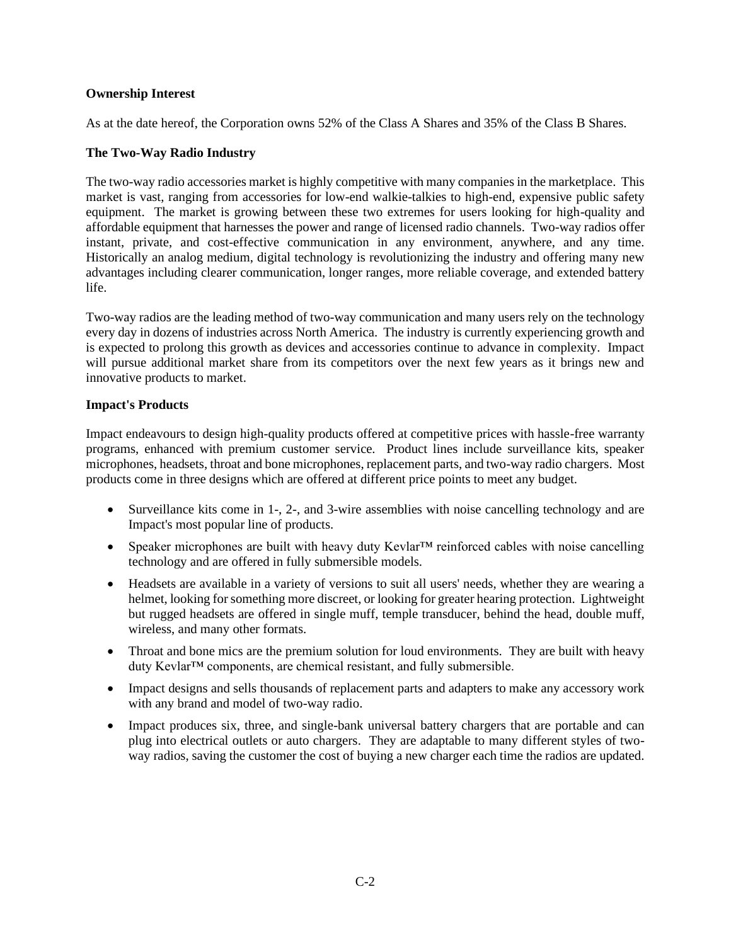## **Ownership Interest**

As at the date hereof, the Corporation owns 52% of the Class A Shares and 35% of the Class B Shares.

## **The Two-Way Radio Industry**

The two-way radio accessories market is highly competitive with many companies in the marketplace. This market is vast, ranging from accessories for low-end walkie-talkies to high-end, expensive public safety equipment. The market is growing between these two extremes for users looking for high-quality and affordable equipment that harnesses the power and range of licensed radio channels. Two-way radios offer instant, private, and cost-effective communication in any environment, anywhere, and any time. Historically an analog medium, digital technology is revolutionizing the industry and offering many new advantages including clearer communication, longer ranges, more reliable coverage, and extended battery life.

Two-way radios are the leading method of two-way communication and many users rely on the technology every day in dozens of industries across North America. The industry is currently experiencing growth and is expected to prolong this growth as devices and accessories continue to advance in complexity. Impact will pursue additional market share from its competitors over the next few years as it brings new and innovative products to market.

## **Impact's Products**

Impact endeavours to design high-quality products offered at competitive prices with hassle-free warranty programs, enhanced with premium customer service. Product lines include surveillance kits, speaker microphones, headsets, throat and bone microphones, replacement parts, and two-way radio chargers. Most products come in three designs which are offered at different price points to meet any budget.

- Surveillance kits come in 1-, 2-, and 3-wire assemblies with noise cancelling technology and are Impact's most popular line of products.
- Speaker microphones are built with heavy duty Kevlar<sup>™</sup> reinforced cables with noise cancelling technology and are offered in fully submersible models.
- Headsets are available in a variety of versions to suit all users' needs, whether they are wearing a helmet, looking for something more discreet, or looking for greater hearing protection. Lightweight but rugged headsets are offered in single muff, temple transducer, behind the head, double muff, wireless, and many other formats.
- Throat and bone mics are the premium solution for loud environments. They are built with heavy duty Kevlar™ components, are chemical resistant, and fully submersible.
- Impact designs and sells thousands of replacement parts and adapters to make any accessory work with any brand and model of two-way radio.
- Impact produces six, three, and single-bank universal battery chargers that are portable and can plug into electrical outlets or auto chargers. They are adaptable to many different styles of twoway radios, saving the customer the cost of buying a new charger each time the radios are updated.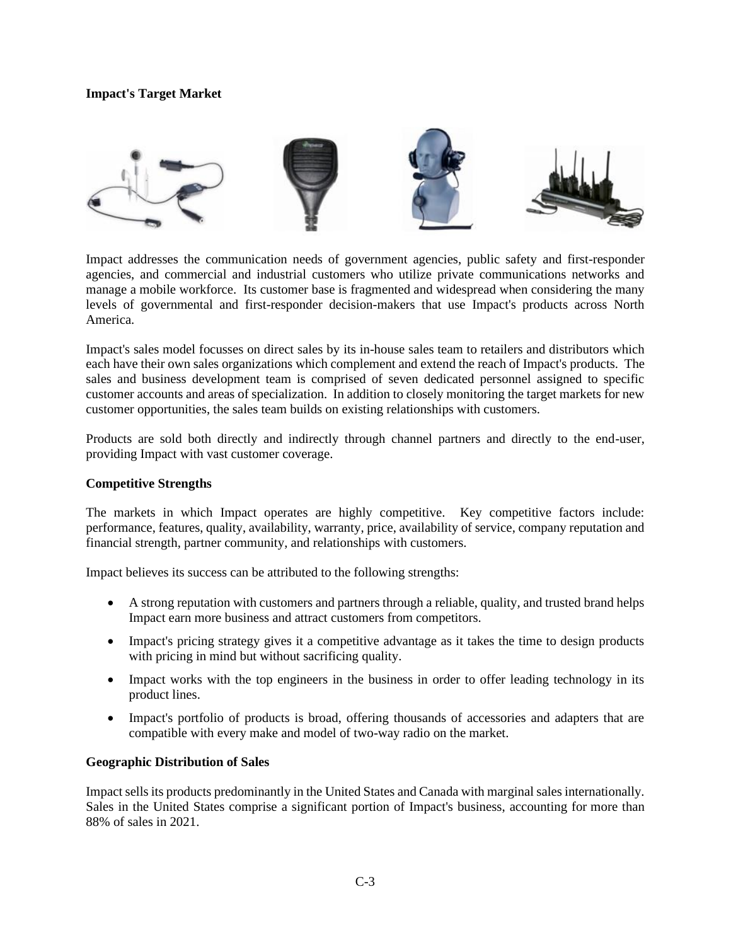## **Impact's Target Market**



Impact addresses the communication needs of government agencies, public safety and first-responder agencies, and commercial and industrial customers who utilize private communications networks and manage a mobile workforce. Its customer base is fragmented and widespread when considering the many levels of governmental and first-responder decision-makers that use Impact's products across North America.

Impact's sales model focusses on direct sales by its in-house sales team to retailers and distributors which each have their own sales organizations which complement and extend the reach of Impact's products. The sales and business development team is comprised of seven dedicated personnel assigned to specific customer accounts and areas of specialization. In addition to closely monitoring the target markets for new customer opportunities, the sales team builds on existing relationships with customers.

Products are sold both directly and indirectly through channel partners and directly to the end-user, providing Impact with vast customer coverage.

## **Competitive Strengths**

The markets in which Impact operates are highly competitive. Key competitive factors include: performance, features, quality, availability, warranty, price, availability of service, company reputation and financial strength, partner community, and relationships with customers.

Impact believes its success can be attributed to the following strengths:

- A strong reputation with customers and partners through a reliable, quality, and trusted brand helps Impact earn more business and attract customers from competitors.
- Impact's pricing strategy gives it a competitive advantage as it takes the time to design products with pricing in mind but without sacrificing quality.
- Impact works with the top engineers in the business in order to offer leading technology in its product lines.
- Impact's portfolio of products is broad, offering thousands of accessories and adapters that are compatible with every make and model of two-way radio on the market.

## **Geographic Distribution of Sales**

Impact sells its products predominantly in the United States and Canada with marginal sales internationally. Sales in the United States comprise a significant portion of Impact's business, accounting for more than 88% of sales in 2021.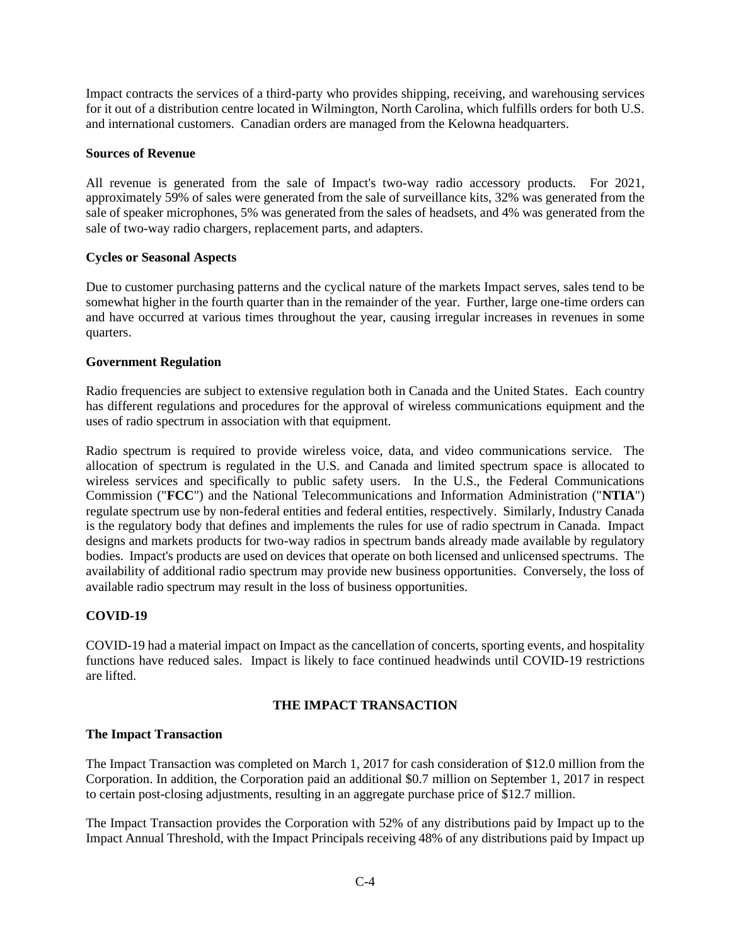Impact contracts the services of a third-party who provides shipping, receiving, and warehousing services for it out of a distribution centre located in Wilmington, North Carolina, which fulfills orders for both U.S. and international customers. Canadian orders are managed from the Kelowna headquarters.

### **Sources of Revenue**

All revenue is generated from the sale of Impact's two-way radio accessory products. For 2021, approximately 59% of sales were generated from the sale of surveillance kits, 32% was generated from the sale of speaker microphones, 5% was generated from the sales of headsets, and 4% was generated from the sale of two-way radio chargers, replacement parts, and adapters.

## **Cycles or Seasonal Aspects**

Due to customer purchasing patterns and the cyclical nature of the markets Impact serves, sales tend to be somewhat higher in the fourth quarter than in the remainder of the year. Further, large one-time orders can and have occurred at various times throughout the year, causing irregular increases in revenues in some quarters.

## **Government Regulation**

Radio frequencies are subject to extensive regulation both in Canada and the United States. Each country has different regulations and procedures for the approval of wireless communications equipment and the uses of radio spectrum in association with that equipment.

Radio spectrum is required to provide wireless voice, data, and video communications service. The allocation of spectrum is regulated in the U.S. and Canada and limited spectrum space is allocated to wireless services and specifically to public safety users. In the U.S., the Federal Communications Commission ("**FCC**") and the National Telecommunications and Information Administration ("**NTIA**") regulate spectrum use by non-federal entities and federal entities, respectively. Similarly, Industry Canada is the regulatory body that defines and implements the rules for use of radio spectrum in Canada. Impact designs and markets products for two-way radios in spectrum bands already made available by regulatory bodies. Impact's products are used on devices that operate on both licensed and unlicensed spectrums. The availability of additional radio spectrum may provide new business opportunities. Conversely, the loss of available radio spectrum may result in the loss of business opportunities.

## **COVID-19**

COVID-19 had a material impact on Impact as the cancellation of concerts, sporting events, and hospitality functions have reduced sales. Impact is likely to face continued headwinds until COVID-19 restrictions are lifted.

## **THE IMPACT TRANSACTION**

## **The Impact Transaction**

The Impact Transaction was completed on March 1, 2017 for cash consideration of \$12.0 million from the Corporation. In addition, the Corporation paid an additional \$0.7 million on September 1, 2017 in respect to certain post-closing adjustments, resulting in an aggregate purchase price of \$12.7 million.

The Impact Transaction provides the Corporation with 52% of any distributions paid by Impact up to the Impact Annual Threshold, with the Impact Principals receiving 48% of any distributions paid by Impact up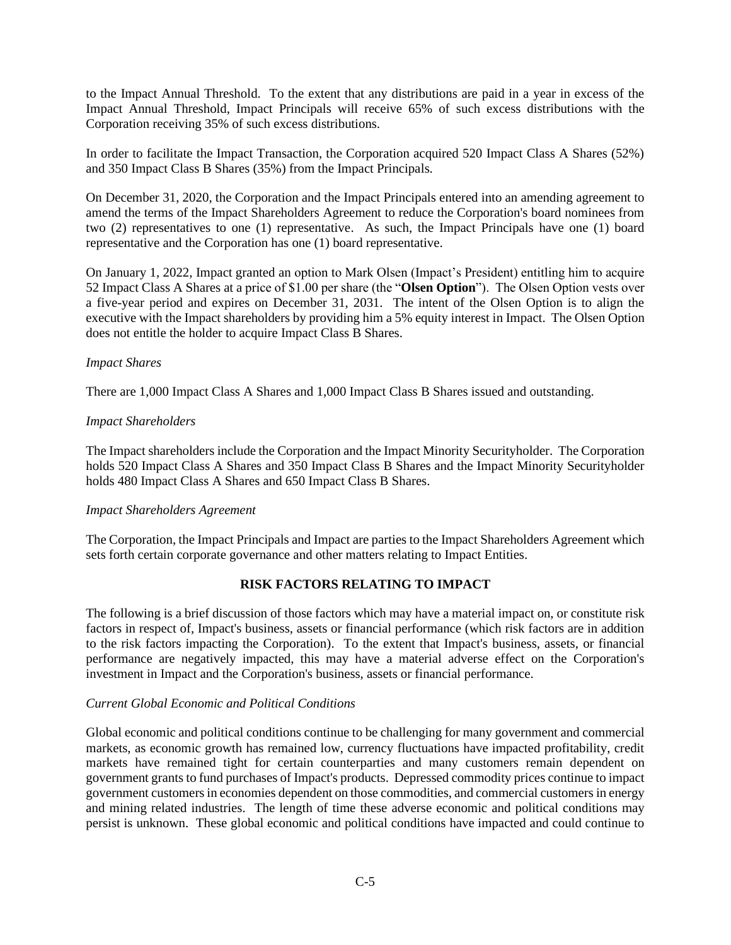to the Impact Annual Threshold. To the extent that any distributions are paid in a year in excess of the Impact Annual Threshold, Impact Principals will receive 65% of such excess distributions with the Corporation receiving 35% of such excess distributions.

In order to facilitate the Impact Transaction, the Corporation acquired 520 Impact Class A Shares (52%) and 350 Impact Class B Shares (35%) from the Impact Principals.

On December 31, 2020, the Corporation and the Impact Principals entered into an amending agreement to amend the terms of the Impact Shareholders Agreement to reduce the Corporation's board nominees from two (2) representatives to one (1) representative. As such, the Impact Principals have one (1) board representative and the Corporation has one (1) board representative.

On January 1, 2022, Impact granted an option to Mark Olsen (Impact's President) entitling him to acquire 52 Impact Class A Shares at a price of \$1.00 per share (the "**Olsen Option**"). The Olsen Option vests over a five-year period and expires on December 31, 2031. The intent of the Olsen Option is to align the executive with the Impact shareholders by providing him a 5% equity interest in Impact. The Olsen Option does not entitle the holder to acquire Impact Class B Shares.

## *Impact Shares*

There are 1,000 Impact Class A Shares and 1,000 Impact Class B Shares issued and outstanding.

## *Impact Shareholders*

The Impact shareholders include the Corporation and the Impact Minority Securityholder. The Corporation holds 520 Impact Class A Shares and 350 Impact Class B Shares and the Impact Minority Securityholder holds 480 Impact Class A Shares and 650 Impact Class B Shares.

## *Impact Shareholders Agreement*

The Corporation, the Impact Principals and Impact are parties to the Impact Shareholders Agreement which sets forth certain corporate governance and other matters relating to Impact Entities.

# **RISK FACTORS RELATING TO IMPACT**

The following is a brief discussion of those factors which may have a material impact on, or constitute risk factors in respect of, Impact's business, assets or financial performance (which risk factors are in addition to the risk factors impacting the Corporation). To the extent that Impact's business, assets, or financial performance are negatively impacted, this may have a material adverse effect on the Corporation's investment in Impact and the Corporation's business, assets or financial performance.

## *Current Global Economic and Political Conditions*

Global economic and political conditions continue to be challenging for many government and commercial markets, as economic growth has remained low, currency fluctuations have impacted profitability, credit markets have remained tight for certain counterparties and many customers remain dependent on government grants to fund purchases of Impact's products. Depressed commodity prices continue to impact government customers in economies dependent on those commodities, and commercial customers in energy and mining related industries. The length of time these adverse economic and political conditions may persist is unknown. These global economic and political conditions have impacted and could continue to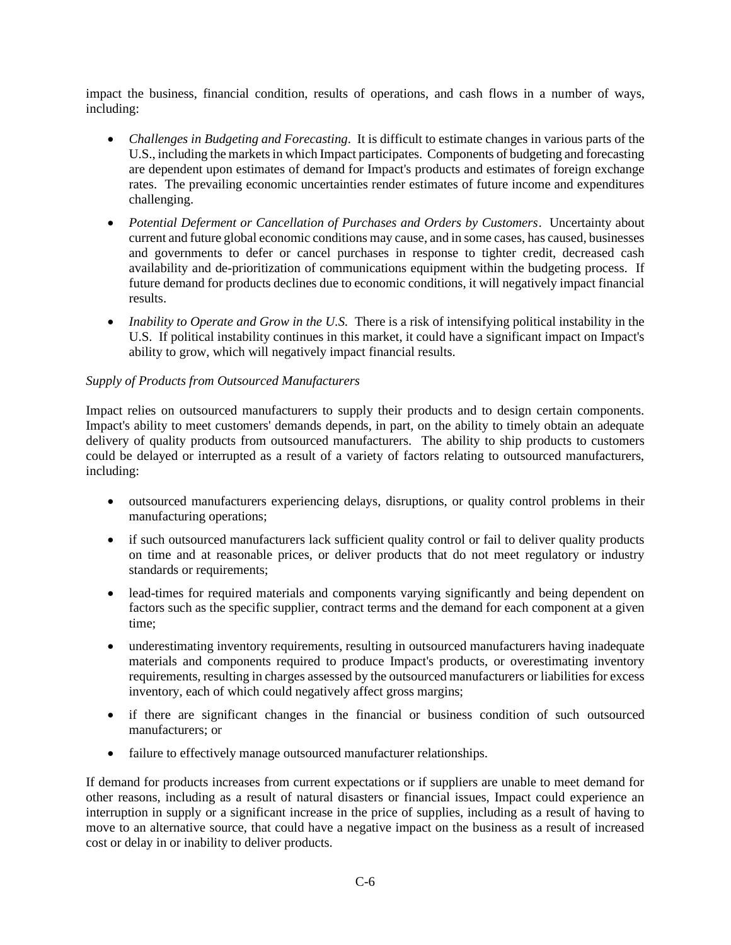impact the business, financial condition, results of operations, and cash flows in a number of ways, including:

- *Challenges in Budgeting and Forecasting*. It is difficult to estimate changes in various parts of the U.S., including the markets in which Impact participates. Components of budgeting and forecasting are dependent upon estimates of demand for Impact's products and estimates of foreign exchange rates. The prevailing economic uncertainties render estimates of future income and expenditures challenging.
- *Potential Deferment or Cancellation of Purchases and Orders by Customers*. Uncertainty about current and future global economic conditions may cause, and in some cases, has caused, businesses and governments to defer or cancel purchases in response to tighter credit, decreased cash availability and de-prioritization of communications equipment within the budgeting process. If future demand for products declines due to economic conditions, it will negatively impact financial results.
- *Inability to Operate and Grow in the U.S.* There is a risk of intensifying political instability in the U.S. If political instability continues in this market, it could have a significant impact on Impact's ability to grow, which will negatively impact financial results.

## *Supply of Products from Outsourced Manufacturers*

Impact relies on outsourced manufacturers to supply their products and to design certain components. Impact's ability to meet customers' demands depends, in part, on the ability to timely obtain an adequate delivery of quality products from outsourced manufacturers. The ability to ship products to customers could be delayed or interrupted as a result of a variety of factors relating to outsourced manufacturers, including:

- outsourced manufacturers experiencing delays, disruptions, or quality control problems in their manufacturing operations;
- if such outsourced manufacturers lack sufficient quality control or fail to deliver quality products on time and at reasonable prices, or deliver products that do not meet regulatory or industry standards or requirements;
- lead-times for required materials and components varying significantly and being dependent on factors such as the specific supplier, contract terms and the demand for each component at a given time;
- underestimating inventory requirements, resulting in outsourced manufacturers having inadequate materials and components required to produce Impact's products, or overestimating inventory requirements, resulting in charges assessed by the outsourced manufacturers or liabilities for excess inventory, each of which could negatively affect gross margins;
- if there are significant changes in the financial or business condition of such outsourced manufacturers; or
- failure to effectively manage outsourced manufacturer relationships.

If demand for products increases from current expectations or if suppliers are unable to meet demand for other reasons, including as a result of natural disasters or financial issues, Impact could experience an interruption in supply or a significant increase in the price of supplies, including as a result of having to move to an alternative source, that could have a negative impact on the business as a result of increased cost or delay in or inability to deliver products.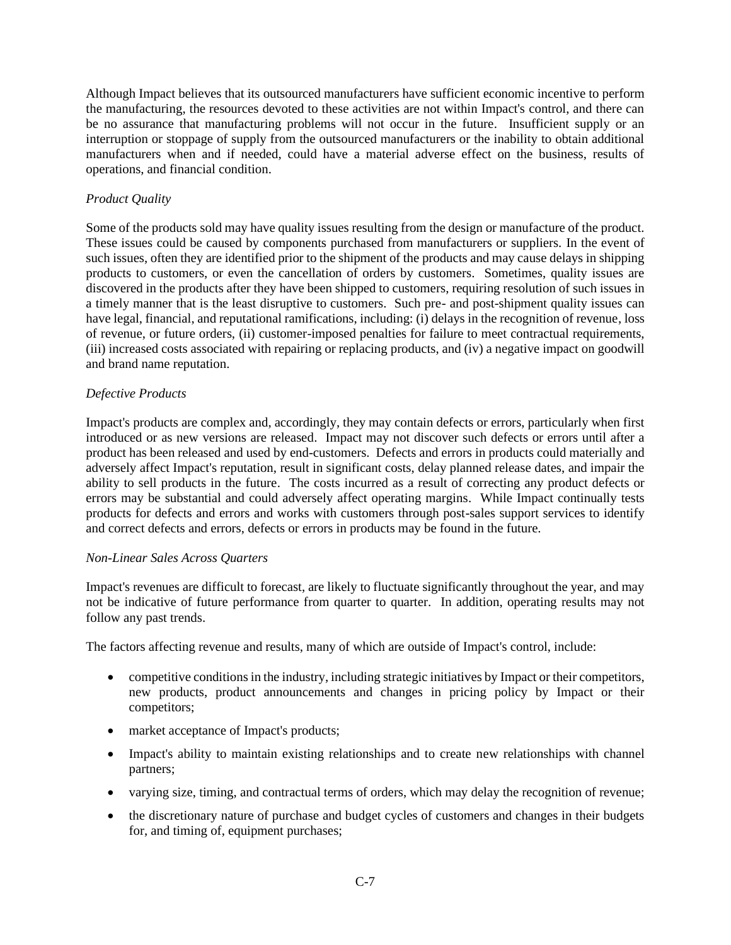Although Impact believes that its outsourced manufacturers have sufficient economic incentive to perform the manufacturing, the resources devoted to these activities are not within Impact's control, and there can be no assurance that manufacturing problems will not occur in the future. Insufficient supply or an interruption or stoppage of supply from the outsourced manufacturers or the inability to obtain additional manufacturers when and if needed, could have a material adverse effect on the business, results of operations, and financial condition.

## *Product Quality*

Some of the products sold may have quality issues resulting from the design or manufacture of the product. These issues could be caused by components purchased from manufacturers or suppliers. In the event of such issues, often they are identified prior to the shipment of the products and may cause delays in shipping products to customers, or even the cancellation of orders by customers. Sometimes, quality issues are discovered in the products after they have been shipped to customers, requiring resolution of such issues in a timely manner that is the least disruptive to customers. Such pre- and post-shipment quality issues can have legal, financial, and reputational ramifications, including: (i) delays in the recognition of revenue, loss of revenue, or future orders, (ii) customer-imposed penalties for failure to meet contractual requirements, (iii) increased costs associated with repairing or replacing products, and (iv) a negative impact on goodwill and brand name reputation.

## *Defective Products*

Impact's products are complex and, accordingly, they may contain defects or errors, particularly when first introduced or as new versions are released. Impact may not discover such defects or errors until after a product has been released and used by end-customers. Defects and errors in products could materially and adversely affect Impact's reputation, result in significant costs, delay planned release dates, and impair the ability to sell products in the future. The costs incurred as a result of correcting any product defects or errors may be substantial and could adversely affect operating margins. While Impact continually tests products for defects and errors and works with customers through post-sales support services to identify and correct defects and errors, defects or errors in products may be found in the future.

## *Non-Linear Sales Across Quarters*

Impact's revenues are difficult to forecast, are likely to fluctuate significantly throughout the year, and may not be indicative of future performance from quarter to quarter. In addition, operating results may not follow any past trends.

The factors affecting revenue and results, many of which are outside of Impact's control, include:

- competitive conditions in the industry, including strategic initiatives by Impact or their competitors, new products, product announcements and changes in pricing policy by Impact or their competitors;
- market acceptance of Impact's products;
- Impact's ability to maintain existing relationships and to create new relationships with channel partners;
- varying size, timing, and contractual terms of orders, which may delay the recognition of revenue;
- the discretionary nature of purchase and budget cycles of customers and changes in their budgets for, and timing of, equipment purchases;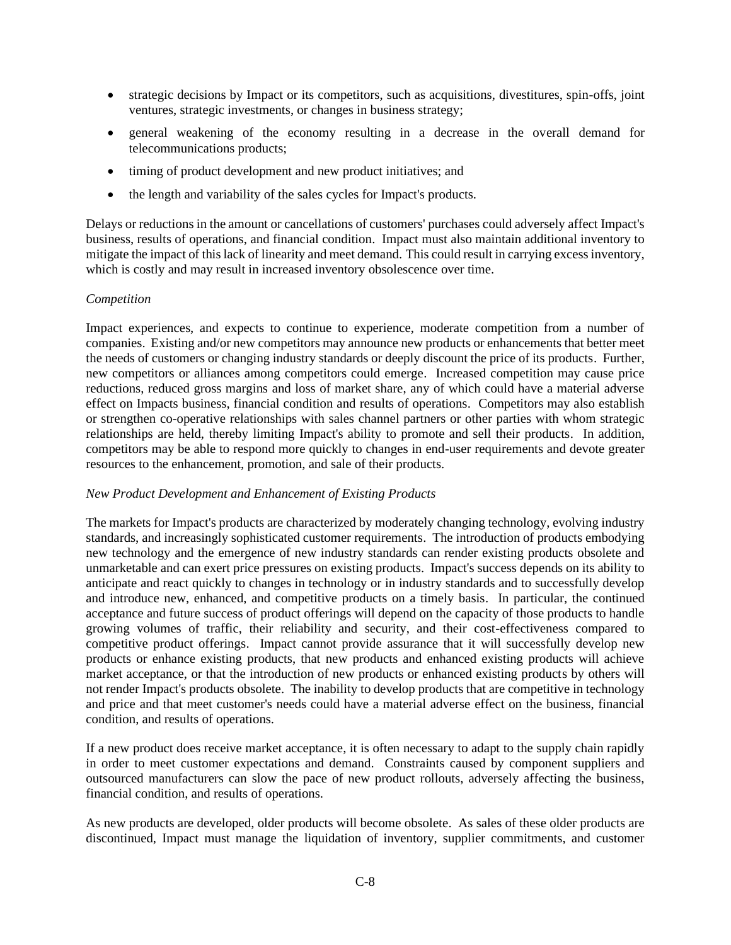- strategic decisions by Impact or its competitors, such as acquisitions, divestitures, spin-offs, joint ventures, strategic investments, or changes in business strategy;
- general weakening of the economy resulting in a decrease in the overall demand for telecommunications products;
- timing of product development and new product initiatives; and
- the length and variability of the sales cycles for Impact's products.

Delays or reductions in the amount or cancellations of customers' purchases could adversely affect Impact's business, results of operations, and financial condition. Impact must also maintain additional inventory to mitigate the impact of this lack of linearity and meet demand. This could result in carrying excess inventory, which is costly and may result in increased inventory obsolescence over time.

## *Competition*

Impact experiences, and expects to continue to experience, moderate competition from a number of companies. Existing and/or new competitors may announce new products or enhancements that better meet the needs of customers or changing industry standards or deeply discount the price of its products. Further, new competitors or alliances among competitors could emerge. Increased competition may cause price reductions, reduced gross margins and loss of market share, any of which could have a material adverse effect on Impacts business, financial condition and results of operations. Competitors may also establish or strengthen co-operative relationships with sales channel partners or other parties with whom strategic relationships are held, thereby limiting Impact's ability to promote and sell their products. In addition, competitors may be able to respond more quickly to changes in end-user requirements and devote greater resources to the enhancement, promotion, and sale of their products.

## *New Product Development and Enhancement of Existing Products*

The markets for Impact's products are characterized by moderately changing technology, evolving industry standards, and increasingly sophisticated customer requirements. The introduction of products embodying new technology and the emergence of new industry standards can render existing products obsolete and unmarketable and can exert price pressures on existing products. Impact's success depends on its ability to anticipate and react quickly to changes in technology or in industry standards and to successfully develop and introduce new, enhanced, and competitive products on a timely basis. In particular, the continued acceptance and future success of product offerings will depend on the capacity of those products to handle growing volumes of traffic, their reliability and security, and their cost-effectiveness compared to competitive product offerings. Impact cannot provide assurance that it will successfully develop new products or enhance existing products, that new products and enhanced existing products will achieve market acceptance, or that the introduction of new products or enhanced existing products by others will not render Impact's products obsolete. The inability to develop products that are competitive in technology and price and that meet customer's needs could have a material adverse effect on the business, financial condition, and results of operations.

If a new product does receive market acceptance, it is often necessary to adapt to the supply chain rapidly in order to meet customer expectations and demand. Constraints caused by component suppliers and outsourced manufacturers can slow the pace of new product rollouts, adversely affecting the business, financial condition, and results of operations.

As new products are developed, older products will become obsolete. As sales of these older products are discontinued, Impact must manage the liquidation of inventory, supplier commitments, and customer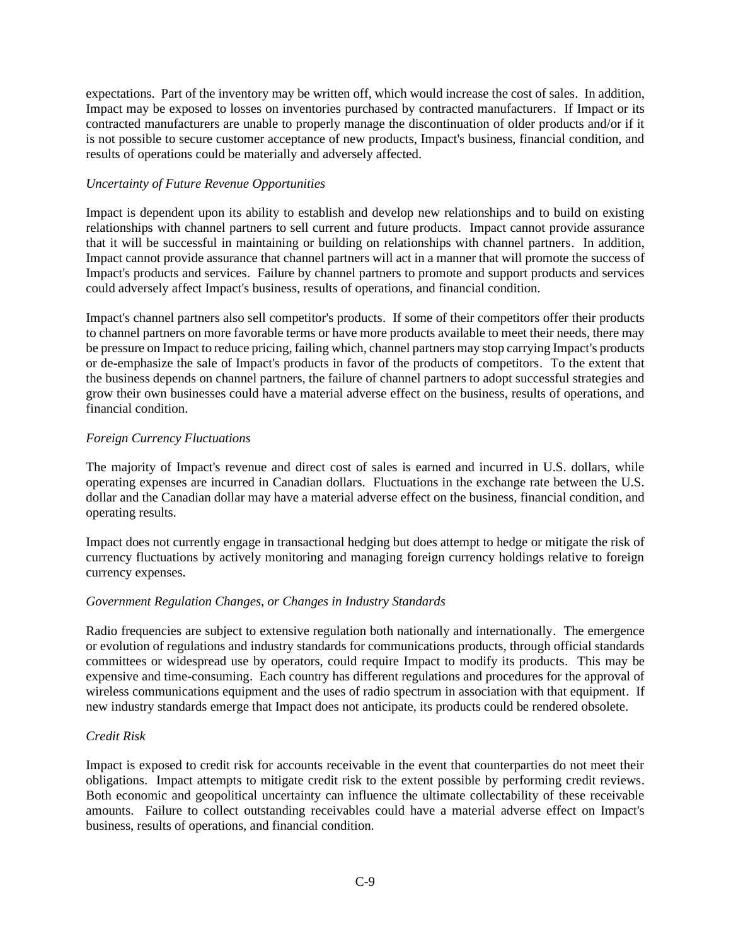expectations. Part of the inventory may be written off, which would increase the cost of sales. In addition, Impact may be exposed to losses on inventories purchased by contracted manufacturers. If Impact or its contracted manufacturers are unable to properly manage the discontinuation of older products and/or if it is not possible to secure customer acceptance of new products, Impact's business, financial condition, and results of operations could be materially and adversely affected.

## *Uncertainty of Future Revenue Opportunities*

Impact is dependent upon its ability to establish and develop new relationships and to build on existing relationships with channel partners to sell current and future products. Impact cannot provide assurance that it will be successful in maintaining or building on relationships with channel partners. In addition, Impact cannot provide assurance that channel partners will act in a manner that will promote the success of Impact's products and services. Failure by channel partners to promote and support products and services could adversely affect Impact's business, results of operations, and financial condition.

Impact's channel partners also sell competitor's products. If some of their competitors offer their products to channel partners on more favorable terms or have more products available to meet their needs, there may be pressure on Impact to reduce pricing, failing which, channel partners may stop carrying Impact's products or de-emphasize the sale of Impact's products in favor of the products of competitors. To the extent that the business depends on channel partners, the failure of channel partners to adopt successful strategies and grow their own businesses could have a material adverse effect on the business, results of operations, and financial condition.

## *Foreign Currency Fluctuations*

The majority of Impact's revenue and direct cost of sales is earned and incurred in U.S. dollars, while operating expenses are incurred in Canadian dollars. Fluctuations in the exchange rate between the U.S. dollar and the Canadian dollar may have a material adverse effect on the business, financial condition, and operating results.

Impact does not currently engage in transactional hedging but does attempt to hedge or mitigate the risk of currency fluctuations by actively monitoring and managing foreign currency holdings relative to foreign currency expenses.

# *Government Regulation Changes, or Changes in Industry Standards*

Radio frequencies are subject to extensive regulation both nationally and internationally. The emergence or evolution of regulations and industry standards for communications products, through official standards committees or widespread use by operators, could require Impact to modify its products. This may be expensive and time-consuming. Each country has different regulations and procedures for the approval of wireless communications equipment and the uses of radio spectrum in association with that equipment. If new industry standards emerge that Impact does not anticipate, its products could be rendered obsolete.

# *Credit Risk*

Impact is exposed to credit risk for accounts receivable in the event that counterparties do not meet their obligations. Impact attempts to mitigate credit risk to the extent possible by performing credit reviews. Both economic and geopolitical uncertainty can influence the ultimate collectability of these receivable amounts. Failure to collect outstanding receivables could have a material adverse effect on Impact's business, results of operations, and financial condition.